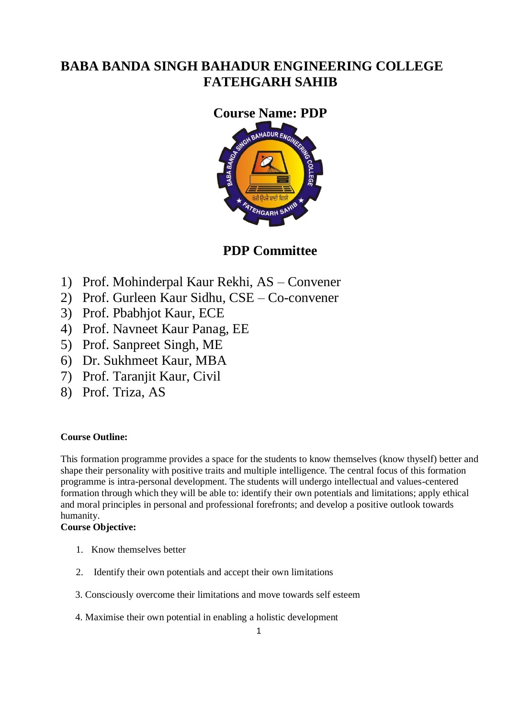# **BABA BANDA SINGH BAHADUR ENGINEERING COLLEGE FATEHGARH SAHIB**



# **PDP Committee**

- 1) Prof. Mohinderpal Kaur Rekhi, AS Convener
- 2) Prof. Gurleen Kaur Sidhu, CSE Co-convener
- 3) Prof. Pbabhjot Kaur, ECE
- 4) Prof. Navneet Kaur Panag, EE
- 5) Prof. Sanpreet Singh, ME
- 6) Dr. Sukhmeet Kaur, MBA
- 7) Prof. Taranjit Kaur, Civil
- 8) Prof. Triza, AS

### **Course Outline:**

This formation programme provides a space for the students to know themselves (know thyself) better and shape their personality with positive traits and multiple intelligence. The central focus of this formation programme is intra-personal development. The students will undergo intellectual and values-centered formation through which they will be able to: identify their own potentials and limitations; apply ethical and moral principles in personal and professional forefronts; and develop a positive outlook towards humanity.

### **Course Objective:**

- 1. Know themselves better
- 2. Identify their own potentials and accept their own limitations
- 3. Consciously overcome their limitations and move towards self esteem
- 4. Maximise their own potential in enabling a holistic development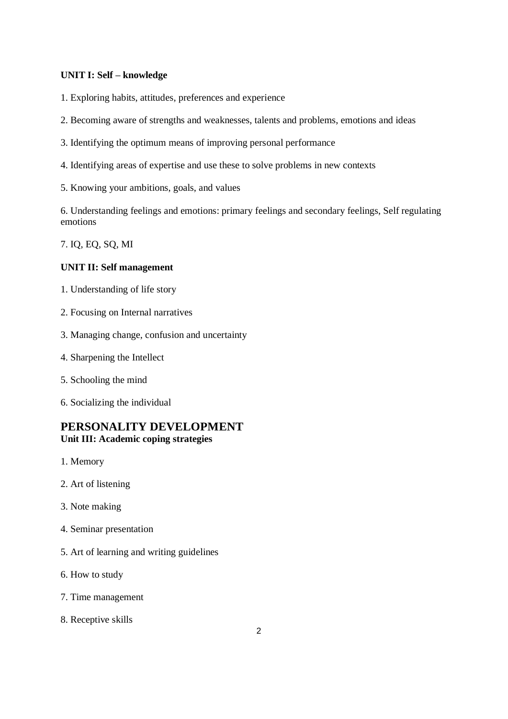### **UNIT I: Self – knowledge**

- 1. Exploring habits, attitudes, preferences and experience
- 2. Becoming aware of strengths and weaknesses, talents and problems, emotions and ideas
- 3. Identifying the optimum means of improving personal performance
- 4. Identifying areas of expertise and use these to solve problems in new contexts
- 5. Knowing your ambitions, goals, and values

6. Understanding feelings and emotions: primary feelings and secondary feelings, Self regulating emotions

7. IQ, EQ, SQ, MI

### **UNIT II: Self management**

- 1. Understanding of life story
- 2. Focusing on Internal narratives
- 3. Managing change, confusion and uncertainty
- 4. Sharpening the Intellect
- 5. Schooling the mind
- 6. Socializing the individual

### **PERSONALITY DEVELOPMENT Unit III: Academic coping strategies**

- 1. Memory
- 2. Art of listening
- 3. Note making
- 4. Seminar presentation
- 5. Art of learning and writing guidelines
- 6. How to study
- 7. Time management
- 8. Receptive skills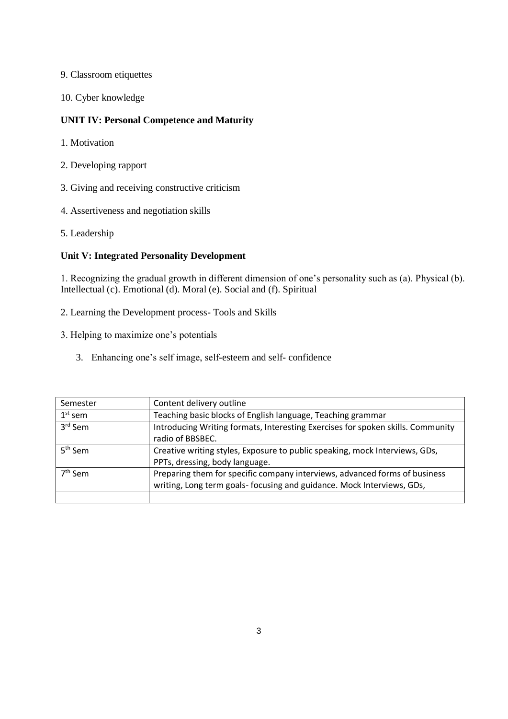9. Classroom etiquettes

10. Cyber knowledge

### **UNIT IV: Personal Competence and Maturity**

- 1. Motivation
- 2. Developing rapport
- 3. Giving and receiving constructive criticism
- 4. Assertiveness and negotiation skills
- 5. Leadership

### **Unit V: Integrated Personality Development**

1. Recognizing the gradual growth in different dimension of one's personality such as (a). Physical (b). Intellectual (c). Emotional (d). Moral (e). Social and (f). Spiritual

- 2. Learning the Development process- Tools and Skills
- 3. Helping to maximize one's potentials
	- 3. Enhancing one's self image, self-esteem and self- confidence

| Semester  | Content delivery outline                                                                                                                             |
|-----------|------------------------------------------------------------------------------------------------------------------------------------------------------|
| $1st$ sem | Teaching basic blocks of English language, Teaching grammar                                                                                          |
| $3rd$ Sem | Introducing Writing formats, Interesting Exercises for spoken skills. Community<br>radio of BBSBEC.                                                  |
| $5th$ Sem | Creative writing styles, Exposure to public speaking, mock Interviews, GDs,<br>PPTs, dressing, body language.                                        |
| $7th$ Sem | Preparing them for specific company interviews, advanced forms of business<br>writing, Long term goals- focusing and guidance. Mock Interviews, GDs, |
|           |                                                                                                                                                      |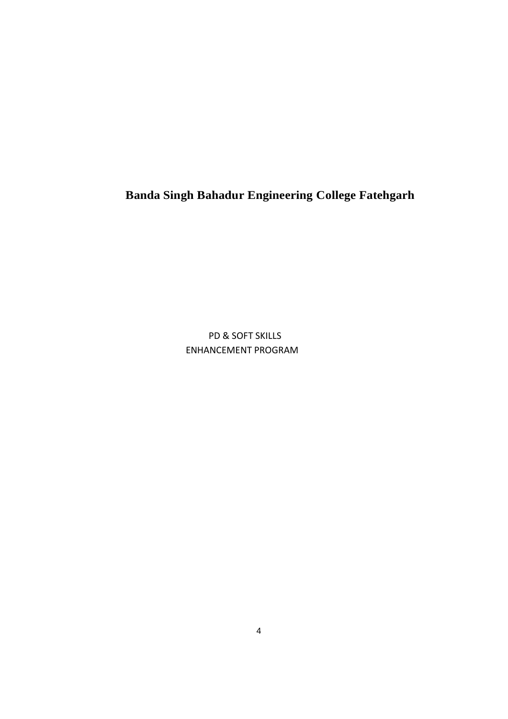**Banda Singh Bahadur Engineering College Fatehgarh**

 PD & SOFT SKILLS ENHANCEMENT PROGRAM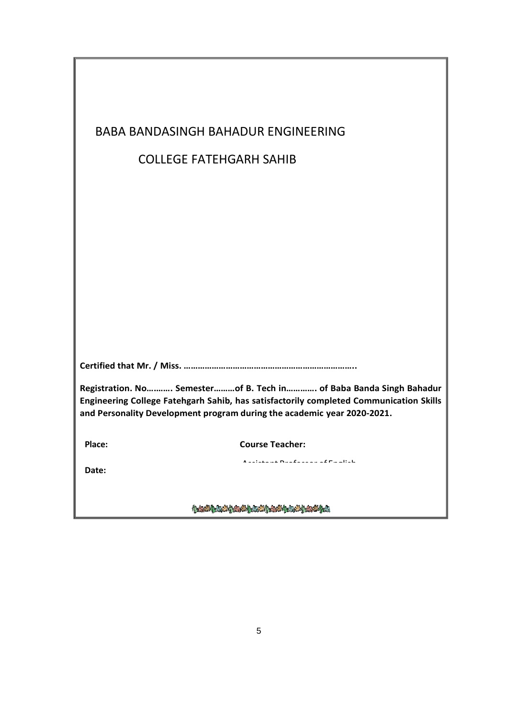| <b>BABA BANDASINGH BAHADUR ENGINEERING</b>                                                                                                                                                                                              |
|-----------------------------------------------------------------------------------------------------------------------------------------------------------------------------------------------------------------------------------------|
| <b>COLLEGE FATEHGARH SAHIB</b>                                                                                                                                                                                                          |
|                                                                                                                                                                                                                                         |
|                                                                                                                                                                                                                                         |
|                                                                                                                                                                                                                                         |
|                                                                                                                                                                                                                                         |
|                                                                                                                                                                                                                                         |
|                                                                                                                                                                                                                                         |
| Registration. No Semesterof B. Tech in of Baba Banda Singh Bahadur<br>Engineering College Fatehgarh Sahib, has satisfactorily completed Communication Skills<br>and Personality Development program during the academic year 2020-2021. |
| Place:<br><b>Course Teacher:</b>                                                                                                                                                                                                        |
| A contournou Marcelonou a Cima altala<br>Date:                                                                                                                                                                                          |
|                                                                                                                                                                                                                                         |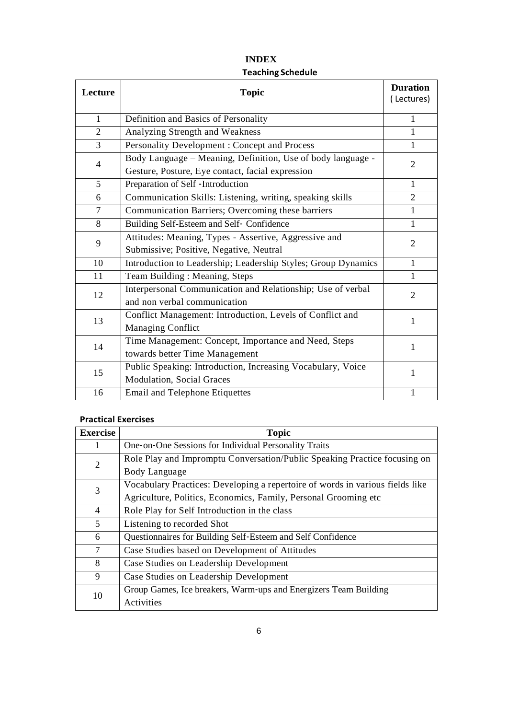| Lecture        | <b>Topic</b>                                                                                                    | <b>Duration</b><br>(Lectures) |
|----------------|-----------------------------------------------------------------------------------------------------------------|-------------------------------|
| $\mathbf{1}$   | Definition and Basics of Personality                                                                            | 1                             |
| $\overline{2}$ | Analyzing Strength and Weakness                                                                                 | 1                             |
| 3              | Personality Development: Concept and Process                                                                    | 1                             |
| $\overline{4}$ | Body Language - Meaning, Definition, Use of body language -<br>Gesture, Posture, Eye contact, facial expression | $\overline{2}$                |
| 5              | Preparation of Self -Introduction                                                                               | $\mathbf{1}$                  |
| 6              | Communication Skills: Listening, writing, speaking skills                                                       | $\overline{2}$                |
| $\overline{7}$ | Communication Barriers; Overcoming these barriers                                                               | 1                             |
| 8              | Building Self-Esteem and Self- Confidence                                                                       | $\mathbf{1}$                  |
| 9              | Attitudes: Meaning, Types - Assertive, Aggressive and<br>Submissive; Positive, Negative, Neutral                | 2                             |
| 10             | Introduction to Leadership; Leadership Styles; Group Dynamics                                                   | $\mathbf{1}$                  |
| 11             | Team Building: Meaning, Steps                                                                                   | $\mathbf{1}$                  |
| 12             | Interpersonal Communication and Relationship; Use of verbal<br>and non verbal communication                     | 2                             |
| 13             | Conflict Management: Introduction, Levels of Conflict and<br>Managing Conflict                                  | 1                             |
| 14             | Time Management: Concept, Importance and Need, Steps<br>towards better Time Management                          | 1                             |
| 15             | Public Speaking: Introduction, Increasing Vocabulary, Voice<br><b>Modulation, Social Graces</b>                 | 1                             |
| 16             | <b>Email and Telephone Etiquettes</b>                                                                           | 1                             |

## **INDEX Teaching Schedule**

## **Practical Exercises**

| <b>Exercise</b> | <b>Topic</b>                                                                  |
|-----------------|-------------------------------------------------------------------------------|
|                 | One-on-One Sessions for Individual Personality Traits                         |
| $\overline{2}$  | Role Play and Impromptu Conversation/Public Speaking Practice focusing on     |
|                 | Body Language                                                                 |
| 3               | Vocabulary Practices: Developing a repertoire of words in various fields like |
|                 | Agriculture, Politics, Economics, Family, Personal Grooming etc               |
| $\overline{4}$  | Role Play for Self Introduction in the class                                  |
| 5               | Listening to recorded Shot                                                    |
| 6               | Questionnaires for Building Self-Esteem and Self Confidence                   |
| 7               | Case Studies based on Development of Attitudes                                |
| 8               | Case Studies on Leadership Development                                        |
| 9               | Case Studies on Leadership Development                                        |
| 10              | Group Games, Ice breakers, Warm-ups and Energizers Team Building              |
|                 | Activities                                                                    |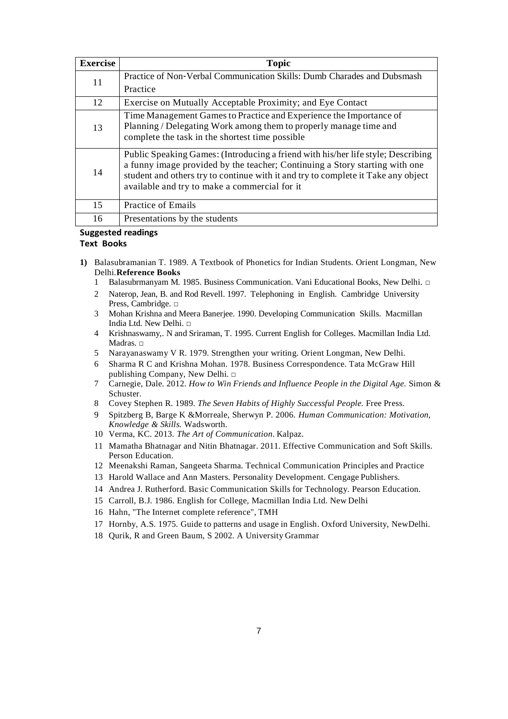| <b>Exercise</b> | <b>Topic</b>                                                                                                                                                                                                                                                                                          |
|-----------------|-------------------------------------------------------------------------------------------------------------------------------------------------------------------------------------------------------------------------------------------------------------------------------------------------------|
| 11              | Practice of Non-Verbal Communication Skills: Dumb Charades and Dubsmash                                                                                                                                                                                                                               |
|                 | Practice                                                                                                                                                                                                                                                                                              |
| 12              | Exercise on Mutually Acceptable Proximity; and Eye Contact                                                                                                                                                                                                                                            |
| 13              | Time Management Games to Practice and Experience the Importance of<br>Planning / Delegating Work among them to properly manage time and<br>complete the task in the shortest time possible                                                                                                            |
| 14              | Public Speaking Games: (Introducing a friend with his/her life style; Describing<br>a funny image provided by the teacher; Continuing a Story starting with one<br>student and others try to continue with it and try to complete it Take any object<br>available and try to make a commercial for it |
| 15              | Practice of Emails                                                                                                                                                                                                                                                                                    |
| 16              | Presentations by the students                                                                                                                                                                                                                                                                         |

### **Suggested readings**

### **Text Books**

- **1)** Balasubramanian T. 1989. A Textbook of Phonetics for Indian Students. Orient Longman, New Delhi.**Reference Books**
	- 1 Balasubrmanyam M. 1985. Business Communication. Vani Educational Books, New Delhi. □
	- 2 Naterop, Jean, B. and Rod Revell. 1997. Telephoning in English. Cambridge University Press, Cambridge. □
	- 3 Mohan Krishna and Meera Banerjee. 1990. Developing Communication Skills. Macmillan India Ltd. New Delhi. □
	- 4 Krishnaswamy,. N and Sriraman, T. 1995. Current English for Colleges. Macmillan India Ltd. Madras. □
	- 5 Narayanaswamy V R. 1979. Strengthen your writing. Orient Longman, New Delhi.
	- 6 Sharma R C and Krishna Mohan. 1978. Business Correspondence. Tata McGraw Hill publishing Company, New Delhi. □
	- 7 Carnegie, Dale. 2012. *How to Win Friends and Influence People in the Digital Age.* Simon & Schuster.
	- 8 Covey Stephen R. 1989. *The Seven Habits of Highly Successful People.* Free Press.
	- 9 Spitzberg B, Barge K &Morreale, Sherwyn P. 2006. *Human Communication: Motivation, Knowledge & Skills.* Wadsworth.
	- 10 Verma, KC. 2013. *The Art of Communication*. Kalpaz.
	- 11 Mamatha Bhatnagar and Nitin Bhatnagar. 2011. Effective Communication and Soft Skills. Person Education.
	- 12 Meenakshi Raman, Sangeeta Sharma. Technical Communication Principles and Practice
	- 13 Harold Wallace and Ann Masters. Personality Development. Cengage Publishers.
	- 14 Andrea J. Rutherford. Basic Communication Skills for Technology. Pearson Education.
	- 15 Carroll, B.J. 1986. English for College, Macmillan India Ltd. New Delhi
	- 16 Hahn, "The Internet complete reference", TMH
	- 17 Hornby, A.S. 1975. Guide to patterns and usage in English. Oxford University, NewDelhi.
	- 18 Qurik, R and Green Baum, S 2002. A University Grammar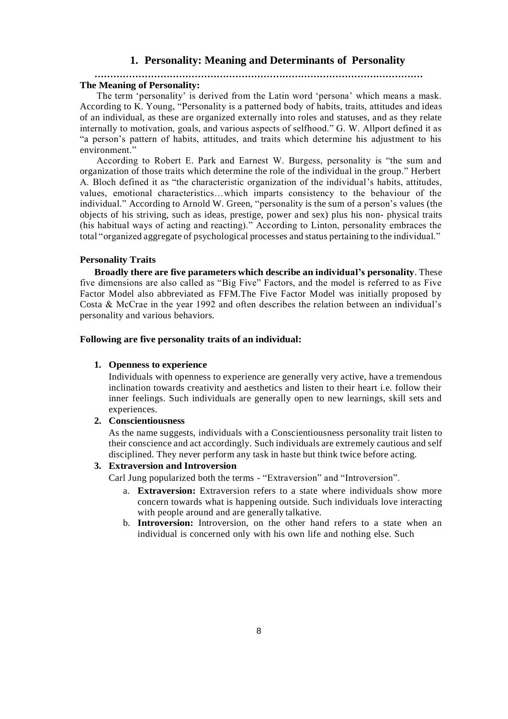### **1. Personality: Meaning and Determinants of Personality**

### **……………………………………………………………………………………………**

### **The Meaning of Personality:**

The term 'personality' is derived from the Latin word 'persona' which means a mask. According to K. Young, "Personality is a patterned body of habits, traits, attitudes and ideas of an individual, as these are organized externally into roles and statuses, and as they relate internally to motivation, goals, and various aspects of selfhood." G. W. Allport defined it as "a person's pattern of habits, attitudes, and traits which determine his adjustment to his environment."

According to Robert E. Park and Earnest W. Burgess, personality is "the sum and organization of those traits which determine the role of the individual in the group." Herbert A. Bloch defined it as "the characteristic organization of the individual's habits, attitudes, values, emotional characteristics…which imparts consistency to the behaviour of the individual." According to Arnold W. Green, "personality is the sum of a person's values (the objects of his striving, such as ideas, prestige, power and sex) plus his non- physical traits (his habitual ways of acting and reacting)." According to Linton, personality embraces the total "organized aggregate of psychological processes and status pertaining to the individual."

### **Personality Traits**

**Broadly there are five parameters which describe an individual's personality**. These five dimensions are also called as "Big Five" Factors, and the model is referred to as Five Factor Model also abbreviated as FFM.The Five Factor Model was initially proposed by Costa & McCrae in the year 1992 and often describes the relation between an individual's personality and various behaviors.

#### **Following are five personality traits of an individual:**

#### **1. Openness to experience**

Individuals with openness to experience are generally very active, have a tremendous inclination towards creativity and aesthetics and listen to their heart i.e. follow their inner feelings. Such individuals are generally open to new learnings, skill sets and experiences.

### **2. Conscientiousness**

As the name suggests, individuals with a Conscientiousness personality trait listen to their conscience and act accordingly. Such individuals are extremely cautious and self disciplined. They never perform any task in haste but think twice before acting.

### **3. Extraversion and Introversion**

Carl Jung popularized both the terms - "Extraversion" and "Introversion".

- a. **Extraversion:** Extraversion refers to a state where individuals show more concern towards what is happening outside. Such individuals love interacting with people around and are generally talkative.
- b. **Introversion:** Introversion, on the other hand refers to a state when an individual is concerned only with his own life and nothing else. Such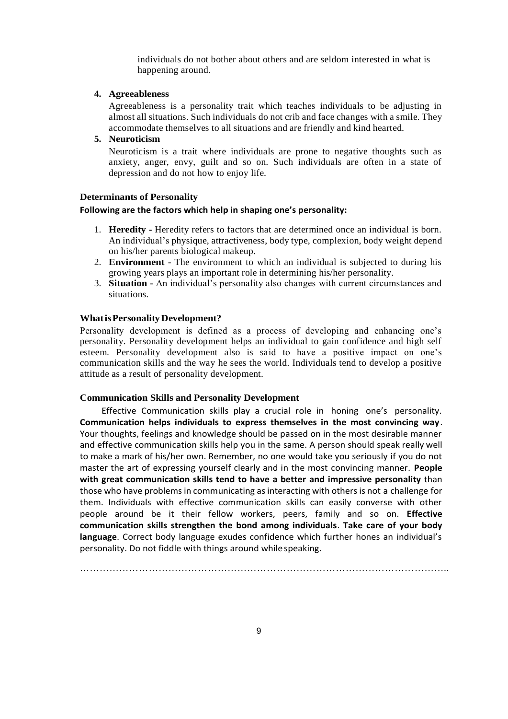individuals do not bother about others and are seldom interested in what is happening around.

#### **4. Agreeableness**

Agreeableness is a personality trait which teaches individuals to be adjusting in almost all situations. Such individuals do not crib and face changes with a smile. They accommodate themselves to all situations and are friendly and kind hearted.

### **5. Neuroticism**

Neuroticism is a trait where individuals are prone to negative thoughts such as anxiety, anger, envy, guilt and so on. Such individuals are often in a state of depression and do not how to enjoy life.

#### **Determinants of Personality**

### **Following are the factors which help in shaping one's personality:**

- 1. **Heredity -** Heredity refers to factors that are determined once an individual is born. An individual's physique, attractiveness, body type, complexion, body weight depend on his/her parents biological makeup.
- 2. **Environment -** The environment to which an individual is subjected to during his growing years plays an important role in determining his/her personality.
- 3. **Situation -** An individual's personality also changes with current circumstances and situations.

#### **WhatisPersonalityDevelopment?**

Personality development is defined as a process of developing and enhancing one's personality. Personality development helps an individual to gain confidence and high self esteem. Personality development also is said to have a positive impact on one's communication skills and the way he sees the world. Individuals tend to develop a positive attitude as a result of personality development.

#### **Communication Skills and Personality Development**

Effective Communication skills play a crucial role in honing one's personality. **Communication helps individuals to express themselves in the most convincing way**. Your thoughts, feelings and knowledge should be passed on in the most desirable manner and effective communication skills help you in the same. A person should speak really well to make a mark of his/her own. Remember, no one would take you seriously if you do not master the art of expressing yourself clearly and in the most convincing manner. **People with great communication skills tend to have a better and impressive personality** than those who have problems in communicating asinteracting with othersis not a challenge for them. Individuals with effective communication skills can easily converse with other people around be it their fellow workers, peers, family and so on. **Effective communication skills strengthen the bond among individuals**. **Take care of your body language**. Correct body language exudes confidence which further hones an individual's personality. Do not fiddle with things around whilespeaking.

…………………………………………………………………………………………………..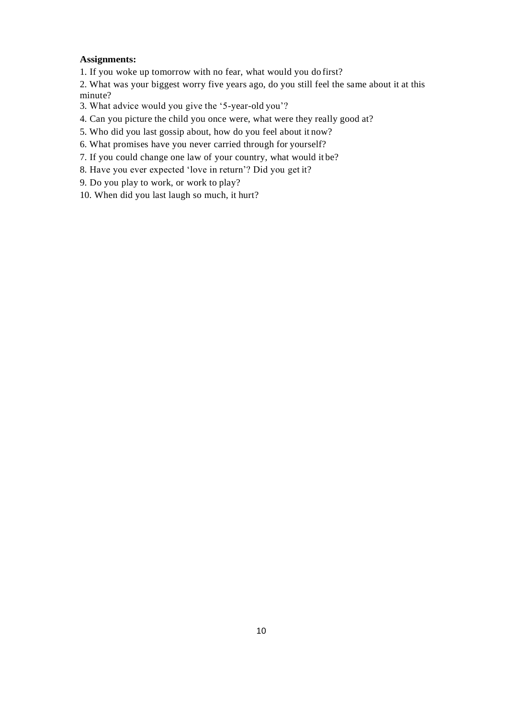#### **Assignments:**

1. If you woke up tomorrow with no fear, what would you do first?

2. What was your biggest worry five years ago, do you still feel the same about it at this minute?

- 3. What advice would you give the '5-year-old you'?
- 4. Can you picture the child you once were, what were they really good at?
- 5. Who did you last gossip about, how do you feel about it now?
- 6. What promises have you never carried through for yourself?
- 7. If you could change one law of your country, what would it be?
- 8. Have you ever expected 'love in return'? Did you get it?
- 9. Do you play to work, or work to play?
- 10. When did you last laugh so much, it hurt?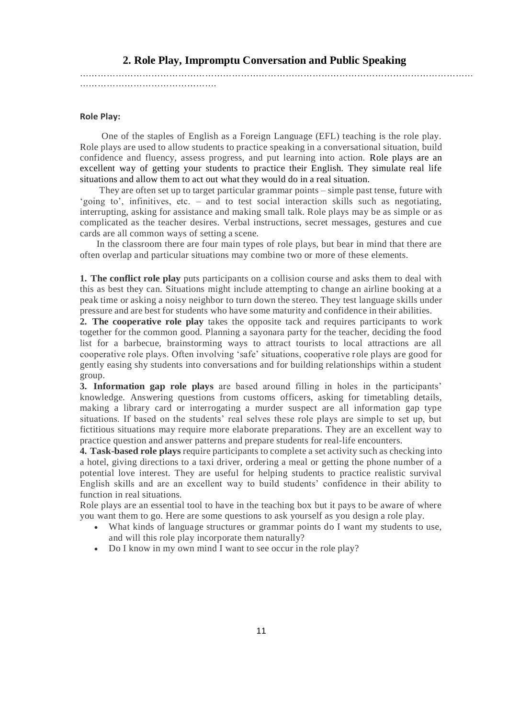### **2. Role Play, Impromptu Conversation and Public Speaking**

 $\mathcal{L}^{\text{max}}_{\text{max}}$ 

……………………………………….

#### **Role Play:**

One of the staples of English as a Foreign Language (EFL) teaching is the role play. Role plays are used to allow students to practice speaking in a conversational situation, build confidence and fluency, assess progress, and put learning into action. Role plays are an excellent way of getting your students to practice their English. They simulate real life situations and allow them to act out what they would do in a real situation.

They are often set up to target particular grammar points – simple past tense, future with 'going to', infinitives, etc. – and to test social interaction skills such as negotiating, interrupting, asking for assistance and making small talk. Role plays may be as simple or as complicated as the teacher desires. Verbal instructions, secret messages, gestures and cue cards are all common ways of setting a scene.

In the classroom there are four main types of role plays, but bear in mind that there are often overlap and particular situations may combine two or more of these elements.

**1. The conflict role play** puts participants on a collision course and asks them to deal with this as best they can. Situations might include attempting to change an airline booking at a peak time or asking a noisy neighbor to turn down the stereo. They test language skills under pressure and are best for students who have some maturity and confidence in their abilities.

**2. The cooperative role play** takes the opposite tack and requires participants to work together for the common good. Planning a sayonara party for the teacher, deciding the food list for a barbecue, brainstorming ways to attract tourists to local attractions are all cooperative role plays. Often involving 'safe' situations, cooperative role plays are good for gently easing shy students into conversations and for building relationships within a student group.

**3. Information gap role plays** are based around filling in holes in the participants' knowledge. Answering questions from customs officers, asking for timetabling details, making a library card or interrogating a murder suspect are all information gap type situations. If based on the students' real selves these role plays are simple to set up, but fictitious situations may require more elaborate preparations. They are an excellent way to practice question and answer patterns and prepare students for real-life encounters.

**4. Task-based role plays**require participants to complete a set activity such as checking into a hotel, giving directions to a taxi driver, ordering a meal or getting the phone number of a potential love interest. They are useful for helping students to practice realistic survival English skills and are an excellent way to build students' confidence in their ability to function in real situations.

Role plays are an essential tool to have in the teaching box but it pays to be aware of where you want them to go. Here are some questions to ask yourself as you design a role play.

- What kinds of language structures or grammar points do I want my students to use, and will this role play incorporate them naturally?
- Do I know in my own mind I want to see occur in the role play?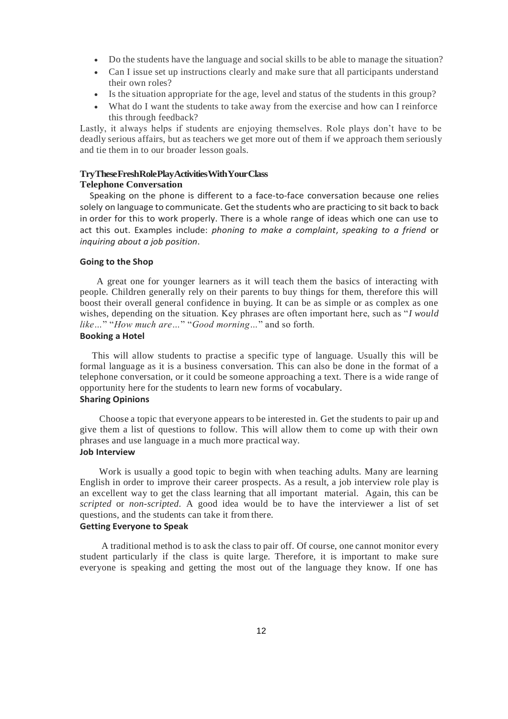- Do the students have the language and social skills to be able to manage the situation?
- Can I issue set up instructions clearly and make sure that all participants understand their own roles?
- Is the situation appropriate for the age, level and status of the students in this group?
- What do I want the students to take away from the exercise and how can I reinforce this through feedback?

Lastly, it always helps if students are enjoying themselves. Role plays don't have to be deadly serious affairs, but as teachers we get more out of them if we approach them seriously and tie them in to our broader lesson goals.

#### **TryTheseFreshRolePlayActivitiesWithYourClass**

#### **Telephone Conversation**

Speaking on the phone is different to a face-to-face conversation because one relies solely on language to communicate. Get the students who are practicing to sit back to back in order for this to work properly. There is a whole range of ideas which one can use to act this out. Examples include: *phoning to make a complaint*, *speaking to a friend* or *inquiring about a job position*.

#### **Going to the Shop**

A great one for younger learners as it will teach them the basics of interacting with people. Children generally rely on their parents to buy things for them, therefore this will boost their overall general confidence in buying. It can be as simple or as complex as one wishes, depending on the situation. Key phrases are often important here, such as "*I would like…*" "*How much are…*" "*Good morning…*" and so forth.

#### **Booking a Hotel**

This will allow students to practise a specific type of language. Usually this will be formal language as it is a business conversation. This can also be done in the format of a telephone conversation, or it could be someone approaching a text. There is a wide range of opportunity here for the students to learn new forms of vocabulary.

#### **Sharing Opinions**

Choose a topic that everyone appears to be intere[sted](https://busyteacher.org/2921-teaching-english-vocabulary-10-fabulous-ways-to.html) in. Get the students to pair up and give them a list of questions to follow. This will allow them to come up with their own phrases and use language in a much more practical way. **Job Interview**

Work is usually a good topic to begin with when teaching adults. Many are learning English in order to improve their career prospects. As a result, a job interview role play is an excellent way to get the class learning that all important material. Again, this can be *scripted* or *non-scripted*. A good idea would be to ha[ve the interviewer](https://busyteacher.org/7273-teach-adults-15-secrets.html) a list of set questions, and the [students can take it from](http://365tests.com/job-tests/career-assessment-test/) there.

#### **Getting Everyone to Speak**

A traditional method is to ask the class to pair off. Of course, one cannot monitor every student particularly if the class is quite large. Therefore, it is important to make sure everyone is speaking and getting the most out of the language they know. If one has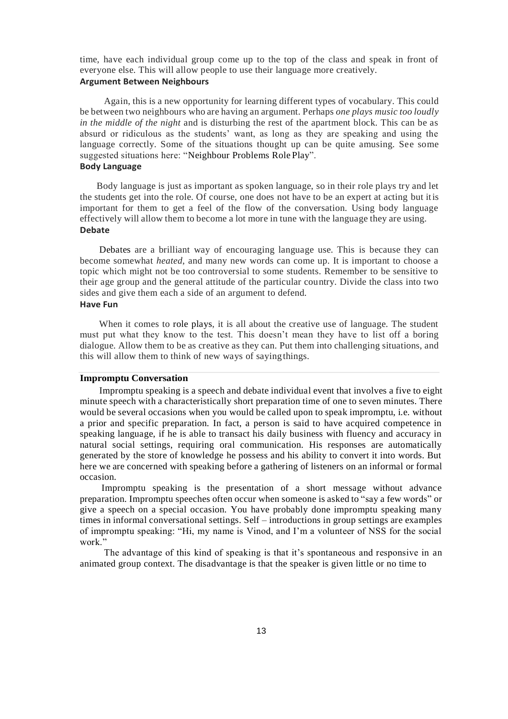time, have each individual group come up to the top of the class and speak in front of everyone else. This will allow people to use their language more creatively. **Argument Between Neighbours**

Again, this is a new opportunity for learning different types of vocabulary. This could be between two neighbours who are having an argument. Perhaps *one plays music too loudly in the middle of the night* and is disturbing the rest of the apartment block. This can be as absurd or ridiculous as the students' want, as long as they are speaking and using the language correctly. Some of the situations thought up can be quite amusing. See some suggested situations here: "Neighbour Problems Role Play". **Body Language**

Body language is just as important as spoken language, so in their role plays try and let the students get into the role. Of course, one does not have to be an expert at acting but itis important for them to get a feel of the flow of the conversation. Using body language effectively will allow them to become a lot more in tune with the language they are using. **Debate**

Debates are a brilliant way of encouraging language use. This is because they can become somewhat *heated*, and many new words can come up. It is important to choose a topic which might not be too controversial to some students. Remember to be sensitive to their age group and the general attitude of the particular country. Divide the class into two sides and give them each a side of an argument to defend.

#### **Have Fun**

When it comes to role plays, it is all about the creative use of language. The student must put what they know to the test. This doesn't mean they have to list off a boring dialogue. Allow them to be as [cre](https://busyteacher.org/classroom_activities-speaking/roleplays/)ative as they can. Put them into challenging situations, and this will allow them to think of new ways of saying things.

#### **Impromptu Conversation**

Impromptu speaking is a speech and debate individual event that involves a five to eight minute speech with a characteristically short preparation time of one to seven minutes. There would be several occasions when you would be called upon to speak impromptu, i.e. without a prior and specific preparation. In fact, a person is said to have acquired competence in speaking language, if he is able to transact his daily business with fluency and accuracy in natural social settings, requiring oral communication. His responses are automatically generated by the store of knowledge he possess and his ability to convert it into words. But here we are concerned with speaking before a gathering of listeners on an informal or formal occasion.

Impromptu speaking is the presentation of a short message without advance preparation. Impromptu speeches often occur when someone is asked to "say a few words" or give a speech on a special occasion. You have probably done impromptu speaking many times in informal conversational settings. Self – introductions in group settings are examples of impromptu speaking: "Hi, my name is Vinod, and I'm a volunteer of NSS for the social work."

The advantage of this kind of speaking is that it's spontaneous and responsive in an animated group context. The disadvantage is that the speaker is given little or no time to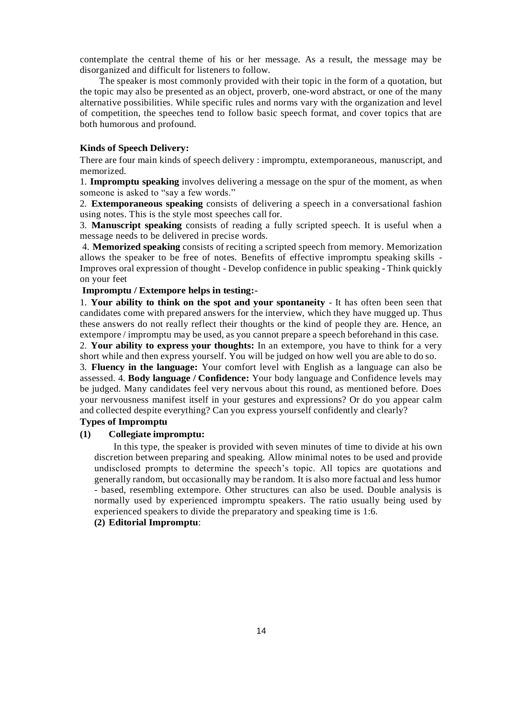contemplate the central theme of his or her message. As a result, the message may be disorganized and difficult for listeners to follow.

The speaker is most commonly provided with their topic in the form of a quotation, but the topic may also be presented as an object, proverb, one-word abstract, or one of the many alternative possibilities. While specific rules and norms vary with the organization and level of competition, the speeches tend to follow basic speech format, and cover topics that are both humorous and profound.

#### **Kinds of Speech Delivery:**

There are four main kinds of speech delivery : impromptu, extemporaneous, manuscript, and memorized.

1. **Impromptu speaking** involves delivering a message on the spur of the moment, as when someone is asked to "say a few words."

2. **Extemporaneous speaking** consists of delivering a speech in a conversational fashion using notes. This is the style most speeches call for.

3. **Manuscript speaking** consists of reading a fully scripted speech. It is useful when a message needs to be delivered in precise words.

4. **Memorized speaking** consists of reciting a scripted speech from memory. Memorization allows the speaker to be free of notes. Benefits of effective impromptu speaking skills - Improves oral expression of thought - Develop confidence in public speaking - Think quickly on your feet

#### **Impromptu / Extempore helps in testing:-**

1. **Your ability to think on the spot and your spontaneity** - It has often been seen that candidates come with prepared answers for the interview, which they have mugged up. Thus these answers do not really reflect their thoughts or the kind of people they are. Hence, an extempore / impromptu may be used, as you cannot prepare a speech beforehand in this case.

2. **Your ability to express your thoughts:** In an extempore, you have to think for a very short while and then express yourself. You will be judged on how well you are able to do so. 3. **Fluency in the language:** Your comfort level with English as a language can also be assessed. 4. **Body language / Confidence:** Your body language and Confidence levels may be judged. Many candidates feel very nervous about this round, as mentioned before. Does your nervousness manifest itself in your gestures and expressions? Or do you appear calm and collected despite everything? Can you express yourself confidently and clearly?

### **Types of Impromptu**

### **(1) Collegiate impromptu:**

In this type, the speaker is provided with seven minutes of time to divide at his own discretion between preparing and speaking. Allow minimal notes to be used and provide undisclosed prompts to determine the speech's topic. All topics are quotations and generally random, but occasionally may be random. It is also more factual and less humor - based, resembling extempore. Other structures can also be used. Double analysis is normally used by experienced impromptu speakers. The ratio usually being used by experienced speakers to divide the preparatory and speaking time is 1:6.

**(2) Editorial Impromptu**: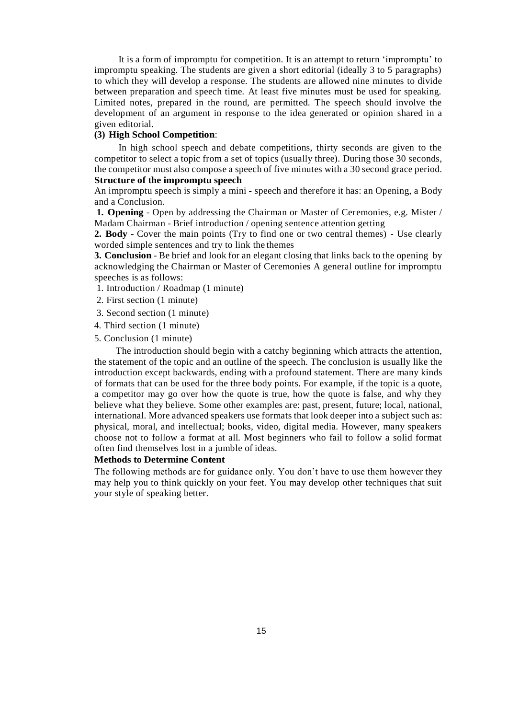It is a form of impromptu for competition. It is an attempt to return 'impromptu' to impromptu speaking. The students are given a short editorial (ideally 3 to 5 paragraphs) to which they will develop a response. The students are allowed nine minutes to divide between preparation and speech time. At least five minutes must be used for speaking. Limited notes, prepared in the round, are permitted. The speech should involve the development of an argument in response to the idea generated or opinion shared in a given editorial.

### **(3) High School Competition**:

In high school speech and debate competitions, thirty seconds are given to the competitor to select a topic from a set of topics (usually three). During those 30 seconds, the competitor must also compose a speech of five minutes with a 30 second grace period. **Structure of the impromptu speech**

An impromptu speech is simply a mini - speech and therefore it has: an Opening, a Body and a Conclusion.

**1. Opening** - Open by addressing the Chairman or Master of Ceremonies, e.g. Mister / Madam Chairman - Brief introduction / opening sentence attention getting

**2. Body -** Cover the main points (Try to find one or two central themes) - Use clearly worded simple sentences and try to link the themes

**3. Conclusion** - Be brief and look for an elegant closing that links back to the opening by acknowledging the Chairman or Master of Ceremonies A general outline for impromptu speeches is as follows:

1. Introduction / Roadmap (1 minute)

2. First section (1 minute)

- 3. Second section (1 minute)
- 4. Third section (1 minute)
- 5. Conclusion (1 minute)

The introduction should begin with a catchy beginning which attracts the attention, the statement of the topic and an outline of the speech. The conclusion is usually like the introduction except backwards, ending with a profound statement. There are many kinds of formats that can be used for the three body points. For example, if the topic is a quote, a competitor may go over how the quote is true, how the quote is false, and why they believe what they believe. Some other examples are: past, present, future; local, national, international. More advanced speakers use formats that look deeper into a subject such as: physical, moral, and intellectual; books, video, digital media. However, many speakers choose not to follow a format at all. Most beginners who fail to follow a solid format often find themselves lost in a jumble of ideas.

#### **Methods to Determine Content**

The following methods are for guidance only. You don't have to use them however they may help you to think quickly on your feet. You may develop other techniques that suit your style of speaking better.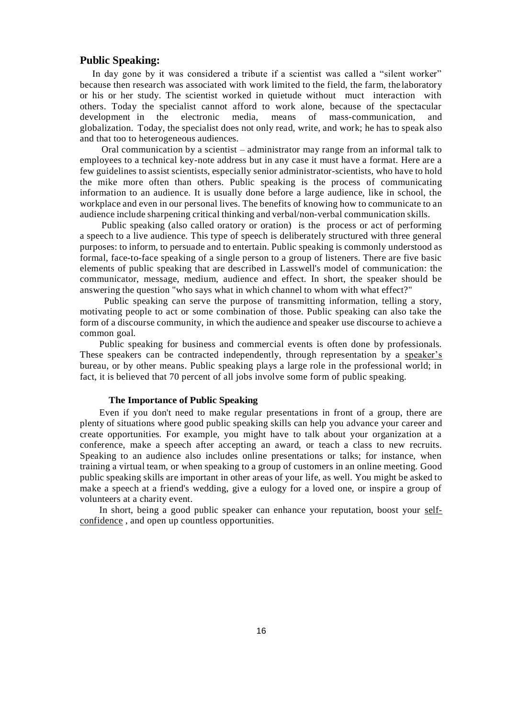### **Public Speaking:**

In day gone by it was considered a tribute if a scientist was called a "silent worker" because then research was associated with work limited to the field, the farm, the laboratory or his or her study. The scientist worked in quietude without muct interaction with others. Today the specialist cannot afford to work alone, because of the spectacular development in the electronic media, means of mass-communication, and globalization. Today, the specialist does not only read, write, and work; he has to speak also and that too to heterogeneous audiences.

Oral communication by a scientist – administrator may range from an informal talk to employees to a technical key-note address but in any case it must have a format. Here are a few guidelines to assist scientists, especially senior administrator-scientists, who have to hold the mike more often than others. Public speaking is the process of communicating information to an audience. It is usually done before a large audience, like in school, the workplace and even in our personal lives. The benefits of knowing how to communicate to an audience include sharpening critical thinking and verbal/non-verbal communication skills.

Public speaking (also called oratory or oration) is the process or act of performing a speech to a live audience. This type of speech is deliberately structured with three general purposes: to inform, to persuade and to entertain. Public speaking is commonly understood as formal, face-to-face speaking of a single person to a group of listeners. There are five basic elements of public speaking that are described in Lasswell's model of communication: the communicator, message, medium, audience and effect. In short, the speaker should be answering the question "who says what in which channel to whom with what [effect?"](https://en.wikipedia.org/wiki/Lasswell%27s_model_of_communication)

Public speaking can serve the purpose of transmitting information, telling a story, motivating people to act or some combination of those. Public speaking can also take the form of a discourse community, in which the audience and speaker use discourse to achieve a common goal.

[Public speaking for busine](https://en.wikipedia.org/wiki/Discourse_community)ss and commercial events is often done by professionals. These speakers can be contracted independently, through representation by a speaker's bureau, or by other means. Public speaking plays a large role in the professional world; in fact, it is believed that 70 percent of all jobs involve some form of public speaking.

#### **The Importance of Public Speaking**

Even if you don't need to make regular presentations in front of a group, there are plenty of situations where good public speaking skills can help you advance your career and create opportunities. For example, you might have to talk about your organization at a conference, make a speech after accepting [an award, or](https://www.mindtools.com/pages/article/DeliveringGreatPresentations.htm) teach a class to new recruits. Speaking to an audience also includes online presentations or talks; for instance, when training a virtual team, or when speaking to a group of customers in an online meeting. Good public speaking skills are important in other areas of your life, as well. You might be asked to make a speech at a friend's wedding, give a eulogy for a loved one, or inspire a group of volunteers at a charity event.

In short, being a good public speaker can enhance your reputation, boost your selfconfidence , and open up countless opportunities.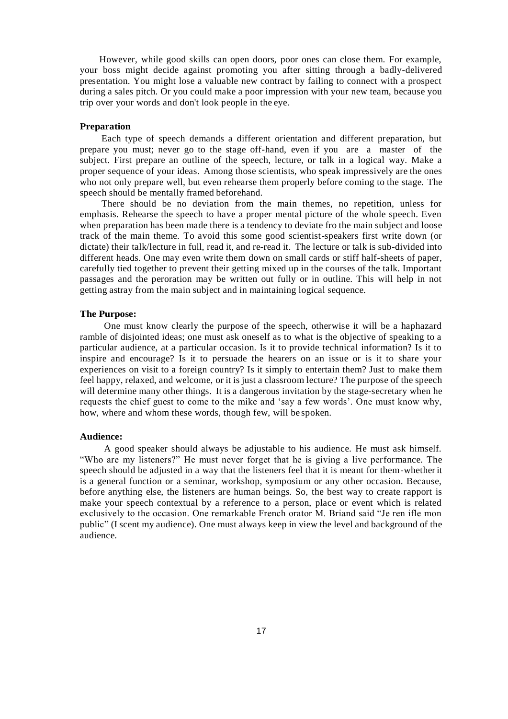However, while good skills can open doors, poor ones can close them. For example, your boss might decide against promoting you after sitting through a badly-delivered presentation. You might lose a valuable new contract by failing to connect with a prospect during a sales pitch. Or you could make a poor impression with your new team, because you trip over your words and don't look people in the eye.

### **Preparation**

Each type of speech demands a different orientation and different preparation, but prepare you must; never go to the stage off-hand, even if you are a master of the subject. First prepare an outline of the speech, lecture, or talk in a logical way. Make a proper sequence of your ideas. Among those scientists, who speak impressively are the ones who not only prepare well, but even rehearse them properly before coming to the stage. The speech should be mentally framed beforehand.

There should be no deviation from the main themes, no repetition, unless for emphasis. Rehearse the speech to have a proper mental picture of the whole speech. Even when preparation has been made there is a tendency to deviate fro the main subject and loose track of the main theme. To avoid this some good scientist-speakers first write down (or dictate) their talk/lecture in full, read it, and re-read it. The lecture or talk is sub-divided into different heads. One may even write them down on small cards or stiff half-sheets of paper, carefully tied together to prevent their getting mixed up in the courses of the talk. Important passages and the peroration may be written out fully or in outline. This will help in not getting astray from the main subject and in maintaining logical sequence.

#### **The Purpose:**

One must know clearly the purpose of the speech, otherwise it will be a haphazard ramble of disjointed ideas; one must ask oneself as to what is the objective of speaking to a particular audience, at a particular occasion. Is it to provide technical information? Is it to inspire and encourage? Is it to persuade the hearers on an issue or is it to share your experiences on visit to a foreign country? Is it simply to entertain them? Just to make them feel happy, relaxed, and welcome, or it is just a classroom lecture? The purpose of the speech will determine many other things. It is a dangerous invitation by the stage-secretary when he requests the chief guest to come to the mike and 'say a few words'. One must know why, how, where and whom these words, though few, will be spoken.

#### **Audience:**

A good speaker should always be adjustable to his audience. He must ask himself. "Who are my listeners?" He must never forget that he is giving a live performance. The speech should be adjusted in a way that the listeners feel that it is meant for them-whether it is a general function or a seminar, workshop, symposium or any other occasion. Because, before anything else, the listeners are human beings. So, the best way to create rapport is make your speech contextual by a reference to a person, place or event which is related exclusively to the occasion. One remarkable French orator M. Briand said "Je ren ifle mon public" (I scent my audience). One must always keep in view the level and background of the audience.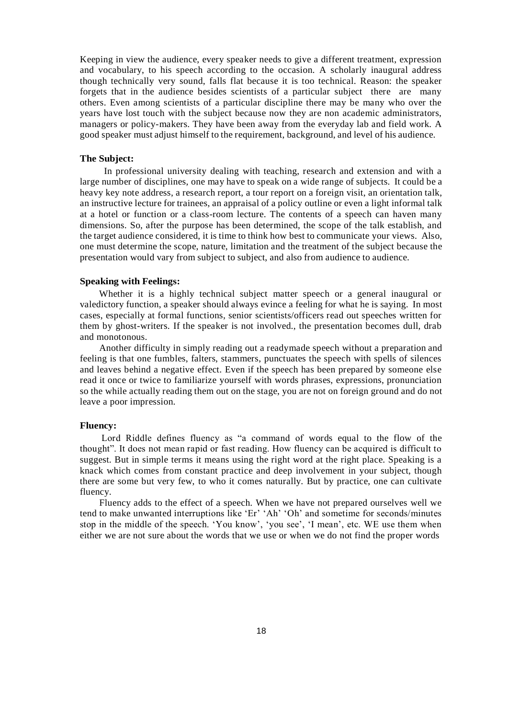Keeping in view the audience, every speaker needs to give a different treatment, expression and vocabulary, to his speech according to the occasion. A scholarly inaugural address though technically very sound, falls flat because it is too technical. Reason: the speaker forgets that in the audience besides scientists of a particular subject there are many others. Even among scientists of a particular discipline there may be many who over the years have lost touch with the subject because now they are non academic administrators, managers or policy-makers. They have been away from the everyday lab and field work. A good speaker must adjust himself to the requirement, background, and level of his audience.

#### **The Subject:**

In professional university dealing with teaching, research and extension and with a large number of disciplines, one may have to speak on a wide range of subjects. It could be a heavy key note address, a research report, a tour report on a foreign visit, an orientation talk, an instructive lecture for trainees, an appraisal of a policy outline or even a light informal talk at a hotel or function or a class-room lecture. The contents of a speech can haven many dimensions. So, after the purpose has been determined, the scope of the talk establish, and the target audience considered, it is time to think how best to communicate your views. Also, one must determine the scope, nature, limitation and the treatment of the subject because the presentation would vary from subject to subject, and also from audience to audience.

#### **Speaking with Feelings:**

Whether it is a highly technical subject matter speech or a general inaugural or valedictory function, a speaker should always evince a feeling for what he is saying. In most cases, especially at formal functions, senior scientists/officers read out speeches written for them by ghost-writers. If the speaker is not involved., the presentation becomes dull, drab and monotonous.

Another difficulty in simply reading out a readymade speech without a preparation and feeling is that one fumbles, falters, stammers, punctuates the speech with spells of silences and leaves behind a negative effect. Even if the speech has been prepared by someone else read it once or twice to familiarize yourself with words phrases, expressions, pronunciation so the while actually reading them out on the stage, you are not on foreign ground and do not leave a poor impression.

#### **Fluency:**

Lord Riddle defines fluency as "a command of words equal to the flow of the thought". It does not mean rapid or fast reading. How fluency can be acquired is difficult to suggest. But in simple terms it means using the right word at the right place. Speaking is a knack which comes from constant practice and deep involvement in your subject, though there are some but very few, to who it comes naturally. But by practice, one can cultivate fluency.

Fluency adds to the effect of a speech. When we have not prepared ourselves well we tend to make unwanted interruptions like 'Er' 'Ah' 'Oh' and sometime for seconds/minutes stop in the middle of the speech. 'You know', 'you see', 'I mean', etc. WE use them when either we are not sure about the words that we use or when we do not find the proper words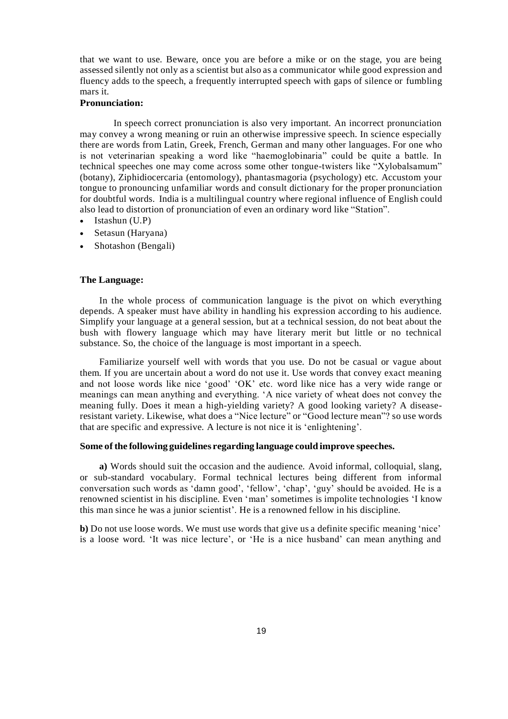that we want to use. Beware, once you are before a mike or on the stage, you are being assessed silently not only as a scientist but also as a communicator while good expression and fluency adds to the speech, a frequently interrupted speech with gaps of silence or fumbling mars it.

#### **Pronunciation:**

In speech correct pronunciation is also very important. An incorrect pronunciation may convey a wrong meaning or ruin an otherwise impressive speech. In science especially there are words from Latin, Greek, French, German and many other languages. For one who is not veterinarian speaking a word like "haemoglobinaria" could be quite a battle. In technical speeches one may come across some other tongue-twisters like "Xylobalsamum" (botany), Ziphidiocercaria (entomology), phantasmagoria (psychology) etc. Accustom your tongue to pronouncing unfamiliar words and consult dictionary for the proper pronunciation for doubtful words. India is a multilingual country where regional influence of English could also lead to distortion of pronunciation of even an ordinary word like "Station".

- $\bullet$  Istashun (U.P)
- Setasun (Haryana)
- Shotashon (Bengali)

#### **The Language:**

In the whole process of communication language is the pivot on which everything depends. A speaker must have ability in handling his expression according to his audience. Simplify your language at a general session, but at a technical session, do not beat about the bush with flowery language which may have literary merit but little or no technical substance. So, the choice of the language is most important in a speech.

Familiarize yourself well with words that you use. Do not be casual or vague about them. If you are uncertain about a word do not use it. Use words that convey exact meaning and not loose words like nice 'good' 'OK' etc. word like nice has a very wide range or meanings can mean anything and everything. 'A nice variety of wheat does not convey the meaning fully. Does it mean a high-yielding variety? A good looking variety? A diseaseresistant variety. Likewise, what does a "Nice lecture" or "Good lecture mean"? so use words that are specific and expressive. A lecture is not nice it is 'enlightening'.

#### **Some ofthe following guidelines regarding language could improve speeches.**

**a)** Words should suit the occasion and the audience. Avoid informal, colloquial, slang, or sub-standard vocabulary. Formal technical lectures being different from informal conversation such words as 'damn good', 'fellow', 'chap', 'guy' should be avoided. He is a renowned scientist in his discipline. Even 'man' sometimes is impolite technologies 'I know this man since he was a junior scientist'. He is a renowned fellow in his discipline.

**b)** Do not use loose words. We must use words that give us a definite specific meaning 'nice' is a loose word. 'It was nice lecture', or 'He is a nice husband' can mean anything and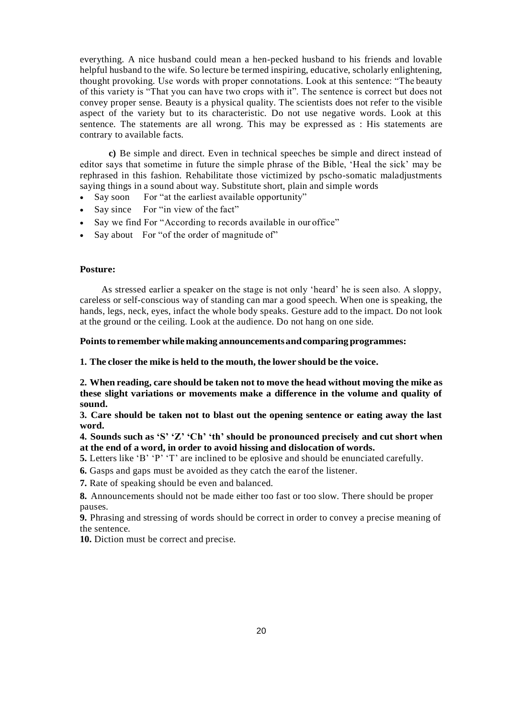everything. A nice husband could mean a hen-pecked husband to his friends and lovable helpful husband to the wife. So lecture be termed inspiring, educative, scholarly enlightening, thought provoking. Use words with proper connotations. Look at this sentence: "The beauty of this variety is "That you can have two crops with it". The sentence is correct but does not convey proper sense. Beauty is a physical quality. The scientists does not refer to the visible aspect of the variety but to its characteristic. Do not use negative words. Look at this sentence. The statements are all wrong. This may be expressed as : His statements are contrary to available facts.

**c)** Be simple and direct. Even in technical speeches be simple and direct instead of editor says that sometime in future the simple phrase of the Bible, 'Heal the sick' may be rephrased in this fashion. Rehabilitate those victimized by pscho-somatic maladjustments saying things in a sound about way. Substitute short, plain and simple words

- Say soon For "at the earliest available opportunity"
- Say since For "in view of the fact"
- Say we find For "According to records available in our office"
- Say about For "of the order of magnitude of"

### **Posture:**

As stressed earlier a speaker on the stage is not only 'heard' he is seen also. A sloppy, careless or self-conscious way of standing can mar a good speech. When one is speaking, the hands, legs, neck, eyes, infact the whole body speaks. Gesture add to the impact. Do not look at the ground or the ceiling. Look at the audience. Do not hang on one side.

### **Pointstorememberwhilemaking announcementsandcomparing programmes:**

#### **1. The closer the mike is held to the mouth, the lower should be the voice.**

**2. When reading, care should be taken not to move the head without moving the mike as these slight variations or movements make a difference in the volume and quality of sound.**

**3. Care should be taken not to blast out the opening sentence or eating away the last word.**

**4. Sounds such as 'S' 'Z' 'Ch' 'th' should be pronounced precisely and cut short when at the end of a word, in order to avoid hissing and dislocation of words.**

**5.** Letters like 'B' 'P' 'T' are inclined to be eplosive and should be enunciated carefully.

**6.** Gasps and gaps must be avoided as they catch the earof the listener.

**7.** Rate of speaking should be even and balanced.

**8.** Announcements should not be made either too fast or too slow. There should be proper pauses.

**9.** Phrasing and stressing of words should be correct in order to convey a precise meaning of the sentence.

**10.** Diction must be correct and precise.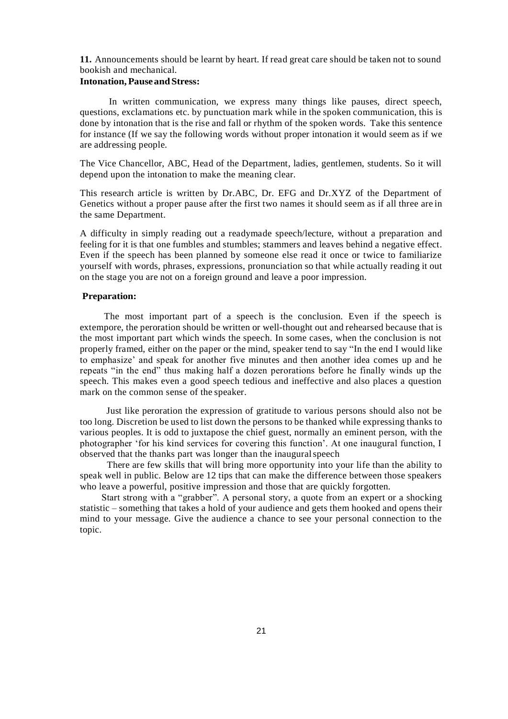**11.** Announcements should be learnt by heart. If read great care should be taken not to sound bookish and mechanical.

#### **Intonation,PauseandStress:**

In written communication, we express many things like pauses, direct speech, questions, exclamations etc. by punctuation mark while in the spoken communication, this is done by intonation that is the rise and fall or rhythm of the spoken words. Take this sentence for instance (If we say the following words without proper intonation it would seem as if we are addressing people.

The Vice Chancellor, ABC, Head of the Department, ladies, gentlemen, students. So it will depend upon the intonation to make the meaning clear.

This research article is written by Dr.ABC, Dr. EFG and Dr.XYZ of the Department of Genetics without a proper pause after the first two names it should seem as if all three are in the same Department.

A difficulty in simply reading out a readymade speech/lecture, without a preparation and feeling for it is that one fumbles and stumbles; stammers and leaves behind a negative effect. Even if the speech has been planned by someone else read it once or twice to familiarize yourself with words, phrases, expressions, pronunciation so that while actually reading it out on the stage you are not on a foreign ground and leave a poor impression.

### **Preparation:**

The most important part of a speech is the conclusion. Even if the speech is extempore, the peroration should be written or well-thought out and rehearsed because that is the most important part which winds the speech. In some cases, when the conclusion is not properly framed, either on the paper or the mind, speaker tend to say "In the end I would like to emphasize' and speak for another five minutes and then another idea comes up and he repeats "in the end" thus making half a dozen perorations before he finally winds up the speech. This makes even a good speech tedious and ineffective and also places a question mark on the common sense of the speaker.

Just like peroration the expression of gratitude to various persons should also not be too long. Discretion be used to list down the persons to be thanked while expressing thanks to various peoples. It is odd to juxtapose the chief guest, normally an eminent person, with the photographer 'for his kind services for covering this function'. At one inaugural function, I observed that the thanks part was longer than the inauguralspeech

There are few skills that will bring more opportunity into your life than the ability to speak well in public. Below are 12 tips that can make the difference between those speakers who leave a powerful, positive impression and those that are quickly forgotten.

Start strong with a "grabber". A personal story, a quote from an expert or a shocking statistic – something that takes a hold of your audience and gets them hooked and opens their mind to your message. Give the audience a chance to see your personal connection to the topic.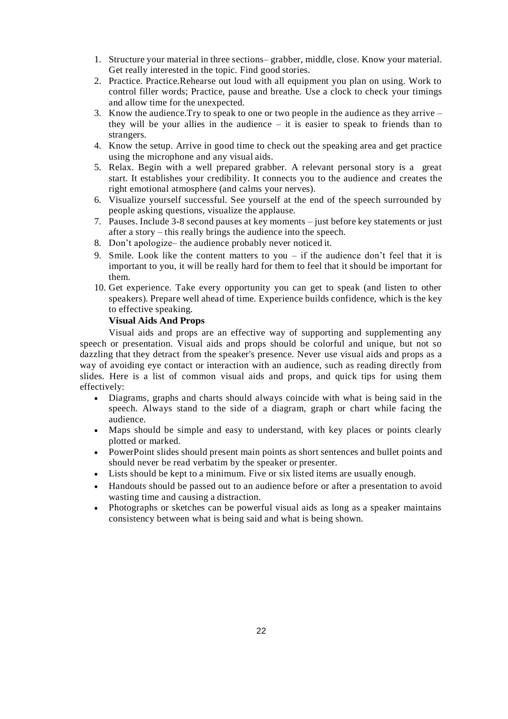- 1. Structure your material in three sections– grabber, middle, close. Know your material. Get really interested in the topic. Find good stories.
- 2. Practice. Practice.Rehearse out loud with all equipment you plan on using. Work to control filler words; Practice, pause and breathe. Use a clock to check your timings and allow time for the unexpected.
- 3. Know the audience.Try to speak to one or two people in the audience as they arrive they will be your allies in the audience – it is easier to speak to friends than to strangers.
- 4. Know the setup. Arrive in good time to check out the speaking area and get practice using the microphone and any visual aids.
- 5. Relax. Begin with a well prepared grabber. A relevant personal story is a great start. It establishes your credibility. It connects you to the audience and creates the right emotional atmosphere (and calms your nerves).
- 6. Visualize yourself successful. See yourself at the end of the speech surrounded by people asking questions, visualize the applause.
- 7. Pauses. Include 3-8 second pauses at key moments just before key statements or just after a story – this really brings the audience into the speech.
- 8. Don't apologize– the audience probably never noticed it.
- 9. Smile. Look like the content matters to you  $-$  if the audience don't feel that it is important to you, it will be really hard for them to feel that it should be important for them.
- 10. Get experience. Take every opportunity you can get to speak (and listen to other speakers). Prepare well ahead of time. Experience builds confidence, which is the key to effective speaking.

### **Visual Aids And Props**

Visual aids and props are an effective way of supporting and supplementing any speech or presentation. Visual aids and props should be colorful and unique, but not so dazzling that they detract from the speaker's presence. Never use visual aids and props as a way of avoiding eye contact or interaction with an audience, such as reading directly from slides. Here is a list of common visual aids and props, and quick tips for using them effectively:

- Diagrams, graphs and charts should always coincide with what is being said in the speech. Always stand to the side of a diagram, graph or chart while facing the audience.
- Maps should be simple and easy to understand, with key places or points clearly plotted or marked.
- PowerPoint slides should present main points as short sentences and bullet points and should never be read verbatim by the speaker or presenter.
- Lists should be kept to a minimum. Five or six listed items are usually enough.
- Handouts should be passed out to an audience before or after a presentation to avoid wasting time and causing a distraction.
- Photographs or sketches can be powerful visual aids as long as a speaker maintains consistency between what is being said and what is being shown.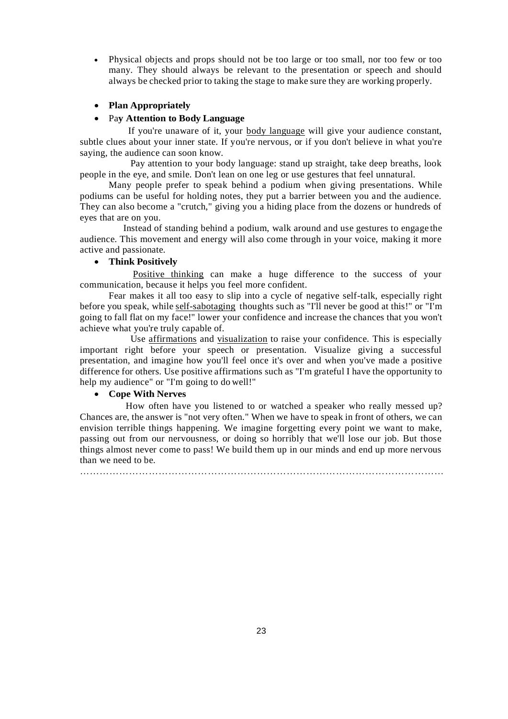Physical objects and props should not be too large or too small, nor too few or too many. They should always be relevant to the presentation or speech and should always be checked prior to taking the stage to make sure they are working properly.

#### **Plan Appropriately**

### Pa**y Attention to Body Language**

If you're unaware of it, your body language will give your audience constant, subtle clues about your inner state. If [you're nervous, or if](https://www.mindtools.com/pages/article/Body_Language.htm) you don't believe in what you're saying, the audience can soon know.

Pay attention to your body language: stand up straight, take deep breaths, look people in the eye, and smile. Don't lean on one leg or use gestures that feel unnatural.

Many people prefer to speak behind a podium when giving presentations. While podiums can be useful for holding notes, they put a barrier between you and the audience. They can also become a "crutch," giving you a hiding place from the dozens or hundreds of eyes that are on you.

Instead of standing behind a podium, walk around and use gestures to engage the audience. This movement and energy will also come through in your voice, making it more active and passionate.

#### **Think Positively**

Positive thinking can make a huge difference to the success of your communication, because it helps you feel more confident.

Fear [makes it all too](https://www.mindtools.com/pages/article/newTCS_06.htm) easy to slip into a cycle of negative self-talk, especially right before you speak, while self-sabotaging thoughts such as "I'll never be good at this!" or "I'm going to fall flat on my face!" lower your confidence and increase the chances that you won't achieve what you're tru[ly capable](https://www.mindtools.com/pages/article/newTCS_95.htm) of.

Use affirmations and visualization to raise your confidence. This is especially important right before your speech or presentation. Visualize giving a successful presentation, [and imagine](https://www.mindtools.com/pages/article/affirmations.htm) how [you'll feel onc](https://www.mindtools.com/pages/article/newHTE_81.htm)e it's over and when you've made a positive difference for others. Use positive affirmations such as "I'm grateful I have the opportunity to help my audience" or "I'm going to do well!"

### **Cope With Nerves**

How often have you listened to or watched a speaker who really messed up? Chances are, the answer is "not very often." When we have to speak in front of others, we can envision terrible things happening. We imagine forgetting every point we want to make, passing out from our nervousness, or doing so horribly that we'll lose our job. But those things almost never come to pass! We build them up in our minds and end up more nervous than we need to be.

…………………………………………………………………………………………………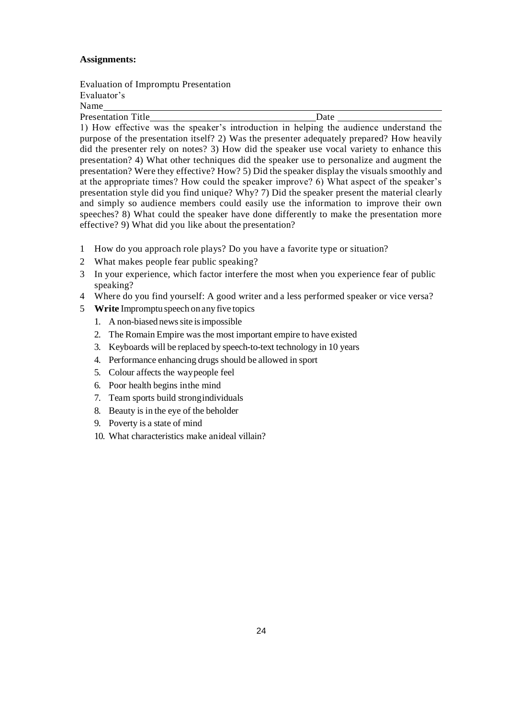#### **Assignments:**

Evaluation of Impromptu Presentation Evaluator's Name

Presentation Title Date

1) How effective was the speaker's introduction in helping the audience understand the purpose of the presentation itself? 2) Was the presenter adequately prepared? How heavily did the presenter rely on notes? 3) How did the speaker use vocal variety to enhance this presentation? 4) What other techniques did the speaker use to personalize and augment the presentation? Were they effective? How? 5) Did the speaker display the visuals smoothly and at the appropriate times? How could the speaker improve? 6) What aspect of the speaker's presentation style did you find unique? Why? 7) Did the speaker present the material clearly and simply so audience members could easily use the information to improve their own speeches? 8) What could the speaker have done differently to make the presentation more effective? 9) What did you like about the presentation?

- 1 How do you approach role plays? Do you have a favorite type or situation?
- 2 What makes people fear public speaking?
- 3 In your experience, which factor interfere the most when you experience fear of public speaking?
- 4 Where do you find yourself: A good writer and a less performed speaker or vice versa?
- 5 **Write** Impromptu speech on any five topics
	- 1. A non-biased news site is impossible
	- 2. The Romain Empire was the most important empire to have existed
	- 3. Keyboards will be replaced by speech-to-text technology in 10 years
	- 4. Performance enhancing drugs should be allowed in sport
	- 5. Colour affects the waypeople feel
	- 6. Poor health begins inthe mind
	- 7. Team sports build strongindividuals
	- 8. Beauty is in the eye of the beholder
	- 9. Poverty is a state of mind
	- 10. What characteristics make anideal villain?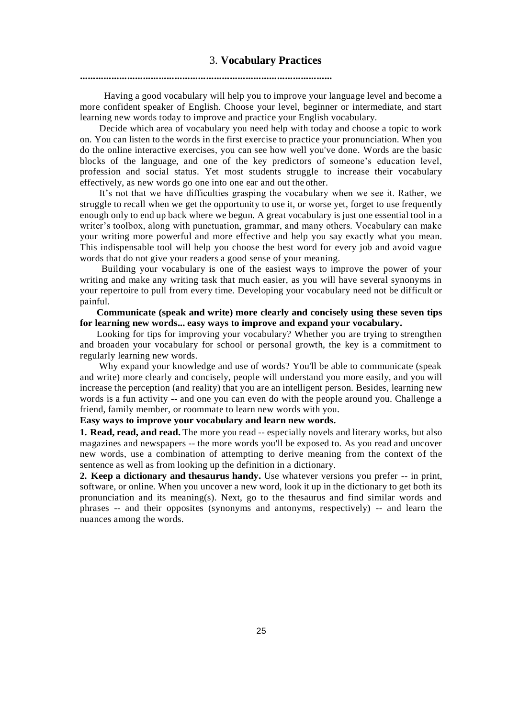#### **……………………………………………………………………………………**

Having a good vocabulary will help you to improve your language level and become a more confident speaker of English. Choose your level, beginner or intermediate, and start learning new words today to improve and practice your English vocabulary.

Decide which area of vocabulary you need help with today and choose a topic to work on. You can listen to the words in the first exercise to practice your pronunciation. When you do the online interactive exercises, you can see how well you've done. Words are the basic blocks of the language, and one of the key predictors of someone's education level, profession and social statu[s. Yet most students struggle](https://lingualift.com/blog/reasons-improve-vocabulary/) to increase their vocabulary effectively, as new words go one into one ear and out the other.

It's not that we have difficulties grasping the vocabulary when we see it. Rather, we struggle to recall when we get the opportunity to use it, or worse yet, forget to use frequently enough only to end up back where we begun. A great vocabulary is just one essential tool in a writer's toolbox, along with punctuation, grammar, and many others. Vocabulary can make your writing more powerful and more effective and help you say exactly what you mean. This indispensable tool will help you choose the best word for every job and avoid vague words that do not give your readers a good sense of your meaning.

Building your vocabulary is one of the easiest ways to improve the power of your writing and make any writing task that much easier, as you will have several synonyms in your repertoire to pull from every time. Developing your vocabulary need not be difficult or painful.

### **Communicate (speak and write) more clearly and concisely using these seven tips for learning new words... easy ways to improve and expand your vocabulary.**

Looking for tips for improving your vocabulary? Whether you are trying to strengthen and broaden your vocabulary for school or personal growth, the key is a commitment to regularly learning new words.

Why expand your knowledge and use of words? You'll be able to communicate (speak and write) more clearly and concisely, people will understand you more easily, and you will increase the perception (and reality) that you are an intelligent person. Besides, learning new words is a fun activity -- and one you can even do with the people around you. Challenge a friend, family member, or roommate to learn new words with you.

#### **Easy ways to improve your vocabulary and learn new words.**

**1. Read, read, and read.** The more you read -- especially novels and literary works, but also magazines and newspapers -- the more words you'll be exposed to. As you read and uncover new words, use a combination of attempting to derive meaning from the context of the sentence as well as from looking up the definition in a dictionary.

**2. Keep a dictionary and thesaurus handy.** Use whatever versions you prefer -- in print, software, or online. When you uncover a new word, look it up in the dictionary to get both its pronunciation and its meaning(s). Next, go to the thesaurus and find similar words and phrases -- and their opposites (synonyms and antonyms, respectively) -- and learn the nuances among the words.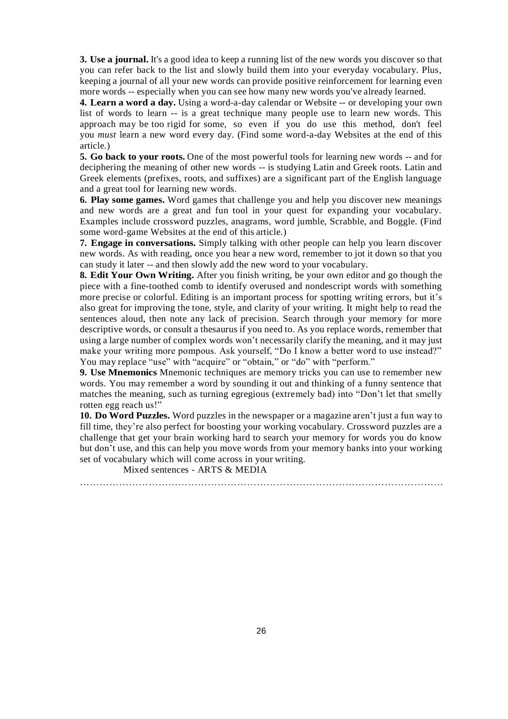**3. Use a journal.** It's a good idea to keep a running list of the new words you discover so that you can refer back to the list and slowly build them into your everyday vocabulary. Plus, keeping a journal of all your new words can provide positive reinforcement for learning even more words -- especially when you can see how many new words you've already learned.

**4. Learn a word a day.** Using a word-a-day calendar or Website -- or developing your own list of words to learn -- is a great technique many people use to learn new words. This approach may be too rigid for some, so even if you do use this method, don't feel you *must* learn a new word every day. (Find some word-a-day Websites at the end of this article.)

**5. Go back to your roots.** One of the most powerful tools for learning new words -- and for deciphering the meaning of other new words -- is studying Latin and Greek roots. Latin and Greek elements (prefixes, roots, and suffixes) are a significant part of the English language and a great tool for learning new words.

**6. Play some games.** Word games that challenge you and help you discover new meanings and new words are a great and fun tool in your quest for expanding your vocabulary. Examples include crossword puzzles, anagrams, word jumble, Scrabble, and Boggle. (Find some word-game Websites at the end of this article.)

**7. Engage in conversations.** Simply talking with other people can help you learn discover new words. As with reading, once you hear a new word, remember to jot it down so that you can study it later -- and then slowly add the new word to your vocabulary.

**8. Edit Your Own Writing.** After you finish writing, be your own editor and go though the piece with a fine-toothed comb to identify overused and nondescript words with something more precise or colorful. Editing is an important process for spotting writing errors, but it's also great for improving the tone, style, and clarity of your writing. It might help to read the sentences aloud, then note any lack of precision. Search through your memory for more descriptive words, or consult a thesaurus if you need to. As you replace words, remember that using a large number of complex words won't necessarily clarify the meaning, and it may just make your writing more pompous. Ask yourself, "Do I know a better word to use instead?" You may replace "use" with "acquire" or "obtain," or "do" with "perform."

**9. Use Mnemonics** Mnemonic techniques are memory tricks you can use to remember new words. You may remember a word by sounding it out and thinking of a funny sentence that matches the meaning, such as turning egregious (extremely bad) into "Don't let that smelly rotten egg reach us!"

**10. Do Word Puzzles.** Word puzzles in the newspaper or a magazine aren't just a fun way to fill time, they're also perfect for boosting your working vocabulary. Crossword puzzles are a challenge that get your brain working hard to search your memory for words you do know but don't use, and this can help you move words from your memory banks into your working set of vocabulary which will come across in your writing.

Mixed sentences - ARTS & MEDIA

…………………………………………………………………………………………………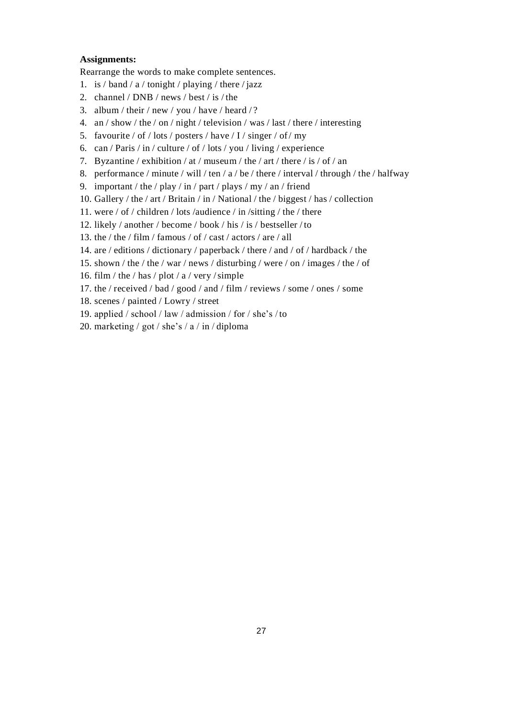#### **Assignments:**

Rearrange the words to make complete sentences.

- 1. is / band / a / tonight / playing / there / jazz
- 2. channel / DNB / news / best / is / the
- 3. album / their / new / you / have / heard / ?
- 4. an / show / the / on / night / television / was / last / there / interesting
- 5. favourite / of / lots / posters / have / I / singer / of / my
- 6. can / Paris / in / culture / of / lots / you / living / experience
- 7. Byzantine / exhibition / at / museum / the / art / there / is / of / an
- 8. performance / minute / will / ten / a / be / there / interval / through / the / halfway
- 9. important / the / play / in / part / plays / my / an / friend
- 10. Gallery / the / art / Britain / in / National / the / biggest / has / collection
- 11. were / of / children / lots /audience / in /sitting / the / there
- 12. likely / another / become / book / his / is / bestseller / to
- 13. the / the / film / famous / of / cast / actors / are / all
- 14. are / editions / dictionary / paperback / there / and / of / hardback / the
- 15. shown / the / the / war / news / disturbing / were / on / images / the / of
- 16. film / the / has / plot / a / very /simple
- 17. the / received / bad / good / and / film / reviews / some / ones / some
- 18. scenes / painted / Lowry / street
- 19. applied / school / law / admission / for / she's / to
- 20. marketing / got / she's / a / in / diploma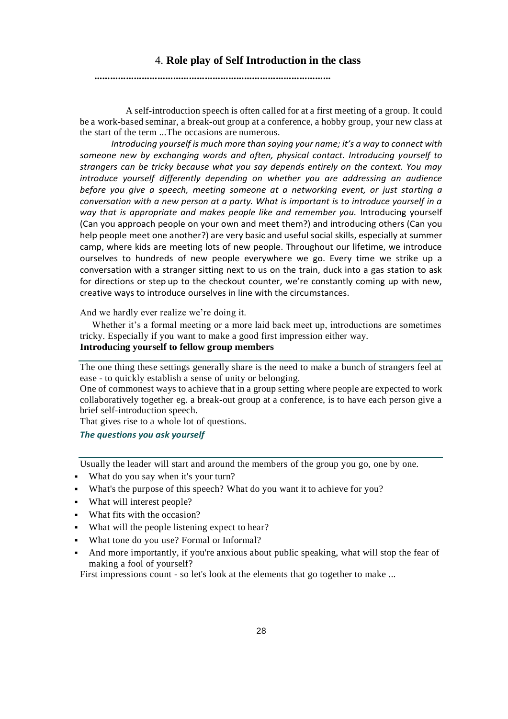### 4. **Role play of Self Introduction in the class**

**………………………………………………………………………………**

A self-introduction speech is often called for at a first meeting of a group. It could be a work-based seminar, a break-out group at a conference, a hobby group, your new class at the start of the term ...The occasions are numerous.

*Introducing yourself is much more than saying your name; it's a way to connect with someone new by exchanging words and often, physical contact. Introducing yourself to strangers can be tricky because what you say depends entirely on the context. You may introduce yourself differently depending on whether you are addressing an audience before you give a speech, meeting someone at a networking event, or just starting a conversation with a new person at a party. What is important is to introduce yourself in a way that is appropriate and makes people like and remember you.* Introducing yourself (Can you approach people on your own and meet them?) and introducing others (Can you help people meet one another?) are very basic and useful social skills, especially at summer camp, where kids are meeting lots of new people. Throughout our lifetime, we introduce ourselves to hundreds of new people everywhere we go. Every time we strike up a conversation with a stranger sitting next to us on the train, duck into a gas station to ask for directions or step up to the checkout counter, we're constantly coming up with new, creative ways to introduce ourselves in line with the circumstances.

And we hardly ever realize we're doing it.

Whether it's a formal meeting or a more laid back meet up, introductions are sometimes tricky. Especially if you want to make a good first impression either way. **Introducing yourself to fellow group members**

The one thing these settings generally share is the need to make a bunch of strangers feel at ease - to quickly establish a sense of unity or belonging.

One of commonest ways to achieve that in a group setting where people are expected to work collaboratively together eg. a break-out group at a conference, is to have each person give a brief self-introduction speech.

That gives rise to a whole lot of questions.

*The questions you ask yourself*

Usually the leader will start and around the members of the group you go, one by one.

- What do you say when it's your turn?
- What's the purpose of this speech? What do you want it to achieve for you?
- What will interest people?
- What fits with the occasion?
- What will the people listening expect to hear?
- What tone do you use? Formal or Informal?
- And more importantly, if you're anxious about public speaking, what will stop the fear of making a fool of yourself?

First impressions count - so let's look at the elements that go together to make ...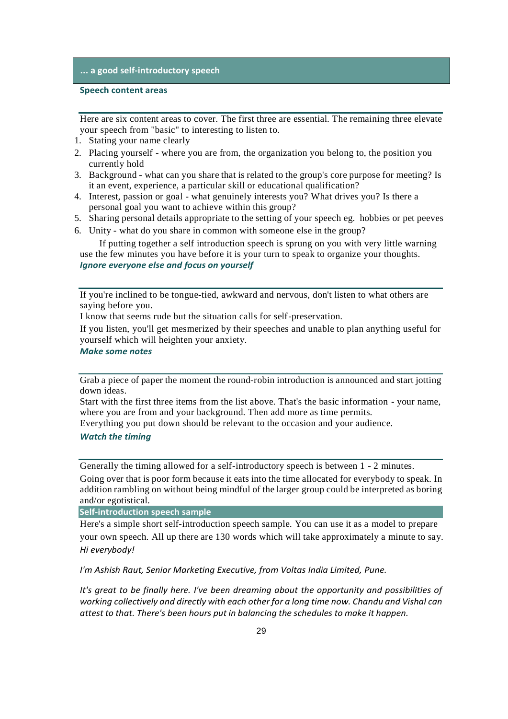#### **... a good self-introductory speech**

#### **Speech content areas**

Here are six content areas to cover. The first three are essential. The remaining three elevate your speech from "basic" to interesting to listen to.

- 1. Stating your name clearly
- 2. Placing yourself where you are from, the organization you belong to, the position you currently hold
- 3. Background what can you share that is related to the group's core purpose for meeting? Is it an event, experience, a particular skill or educational qualification?
- 4. Interest, passion or goal what genuinely interests you? What drives you? Is there a personal goal you want to achieve within this group?
- 5. Sharing personal details appropriate to the setting of your speech eg. hobbies or pet peeves
- 6. Unity what do you share in common with someone else in the group?

If putting together a self introduction speech is sprung on you with very little warning use the few minutes you have before it is your turn to speak to organize your thoughts. *Ignore everyone else and focus on yourself*

If you're inclined to be tongue-tied, awkward and nervous, don't listen to what others are saying before you.

I know that seems rude but the situation calls for self-preservation.

If you listen, you'll get mesmerized by their speeches and unable to plan anything useful for yourself which will heighten your anxiety.

#### *Make some notes*

Grab a piece of paper the moment the round-robin introduction is announced and start jotting down ideas.

Start with the first three items from the list above. That's the basic information - your name, where you are from and your background. Then add more as time permits.

Everything you put down should be relevant to the occasion and your audience.

### *Watch the timing*

Generally the timing allowed for a self-introductory speech is between 1 - 2 minutes.

Going over that is poor form because it eats into the time allocated for everybody to speak. In addition rambling on without being mindful of the larger group could be interpreted as boring and/or egotistical.

**Self-introduction speech sample**

Here's a simple short self-introduction speech sample. You can use it as a model to prepare your own speech. All up there are 130 words which will take approximately a minute to say. *Hi everybody!*

*I'm Ashish Raut, Senior Marketing Executive, from Voltas India Limited, Pune.*

*It's great to be finally here. I've been dreaming about the opportunity and possibilities of working collectively and directly with each other for a long time now. Chandu and Vishal can attest to that. There's been hours put in balancing the schedules to make it happen.*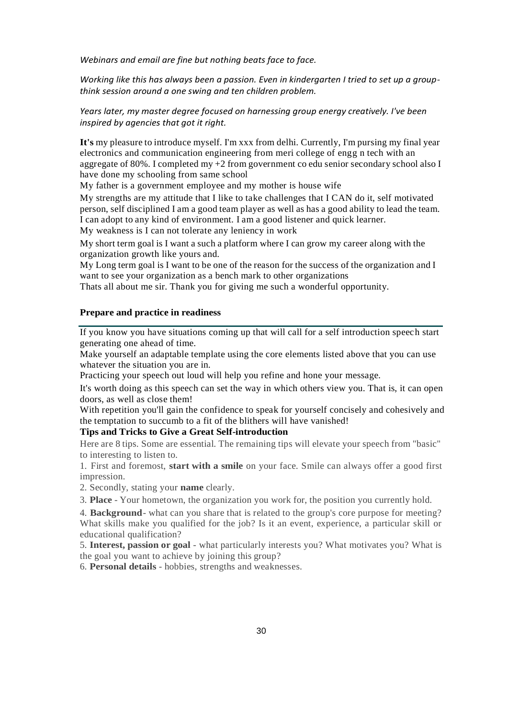*Webinars and email are fine but nothing beats face to face.*

*Working like this has always been a passion. Even in kindergarten I tried to set up a groupthink session around a one swing and ten children problem.*

*Years later, my master degree focused on harnessing group energy creatively. I've been inspired by agencies that got it right.*

**It's** my pleasure to introduce myself. I'm xxx from delhi. Currently, I'm pursing my final year electronics and communication engineering from meri college of engg n tech with an aggregate of 80%. I completed my +2 from government co edu senior secondary school also I have done my schooling from same school

My father is a government employee and my mother is house wife

My strengths are my attitude that I like to take challenges that I CAN do it, self motivated person, self disciplined I am a good team player as well as has a good ability to lead the team. I can adopt to any kind of environment. I am a good listener and quick learner.

My weakness is I can not tolerate any leniency in work

My short term goal is I want a such a platform where I can grow my career along with the organization growth like yours and.

My Long term goal is I want to be one of the reason for the success of the organization and I want to see your organization as a bench mark to other organizations

Thats all about me sir. Thank you for giving me such a wonderful opportunity.

### **Prepare and practice in readiness**

If you know you have situations coming up that will call for a self introduction speech start generating one ahead of time.

Make yourself an adaptable template using the core elements listed above that you can use whatever the situation you are in.

Practicing your speech out loud will help you refine and hone your message.

It's worth doing as this speech can set the way in which others view you. That is, it can open doors, as well as close them!

With repetition you'll gain the confidence to speak for yourself concisely and cohesively and the temptation to succumb to a fit of the blithers will have vanished!

**Tips and Tricks to Give a Great Self-introduction**

Here are 8 tips. Some are essential. The remaining tips will elevate your speech from "basic" to interesting to listen to.

1. First and foremost, **start with a smile** on your face. Smile can always offer a good first impression.

2. Secondly, stating your **name** clearly.

3. **Place** - Your hometown, the organization you work for, the position you currently hold.

4. **Background**- what can you share that is related to the group's core purpose for meeting? What skills make you qualified for the job? Is it an event, experience, a particular skill or educational qualification?

5. **Interest, passion or goal** - what particularly interests you? What motivates you? What is the goal you want to achieve by joining this group?

6. **Personal details** - hobbies, strengths and weaknesses.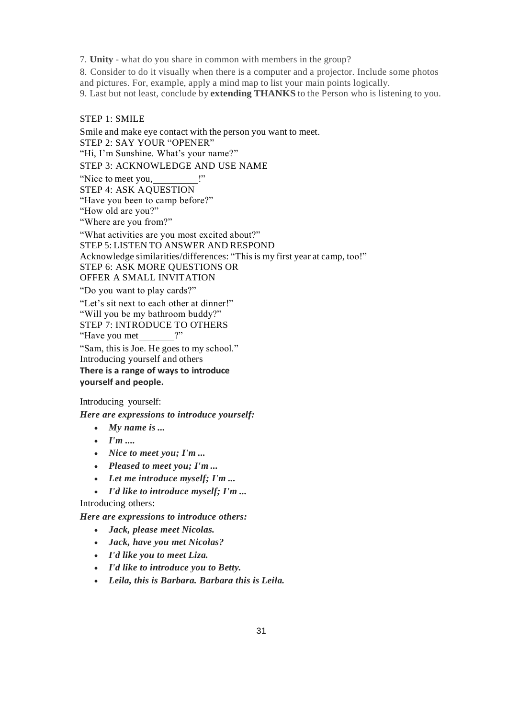7. **Unity** - what do you share in common with members in the group?

8. Consider to do it visually when there is a computer and a projector. Include some photos and pictures. For, example, apply a mind map to list your main points logically.

9. Last but not least, conclude by **extending THANKS** to the Person who is listening to you.

### STEP 1: SMILE

Smile and make eye contact with the person you want to meet. STEP 2: SAY YOUR "OPENER" "Hi, I'm Sunshine. What's your name?" STEP 3: ACKNOWLEDGE AND USE NAME "Nice to meet you, STEP 4: ASK AQUESTION "Have you been to camp before?" "How old are you?" "Where are you from?" "What activities are you most excited about?" STEP 5: LISTEN TO ANSWER AND RESPOND Acknowledge similarities/differences: "This is my first year at camp, too!" STEP 6: ASK MORE QUESTIONS OR OFFER A SMALL INVITATION "Do you want to play cards?" "Let's sit next to each other at dinner!" "Will you be my bathroom buddy?" STEP 7: INTRODUCE TO OTHERS "Have you met ?" "Sam, this is Joe. He goes to my school." Introducing yourself and others

**There is a range of ways to introduce** 

### **yourself and people.**

Introducing yourself:

*Here are expressions to introduce yourself:*

- *My name is ...*
- *I'm ....*
- *Nice to meet you; I'm ...*
- *Pleased to meet you; I'm ...*
- *Let me introduce myself; I'm ...*
- *I'd like to introduce myself; I'm ...*

Introducing others:

*Here are expressions to introduce others:*

- *Jack, please meet Nicolas.*
- *Jack, have you met Nicolas?*
- *I'd like you to meet Liza.*
- *I'd like to introduce you to Betty.*
- *Leila, this is Barbara. Barbara this is Leila.*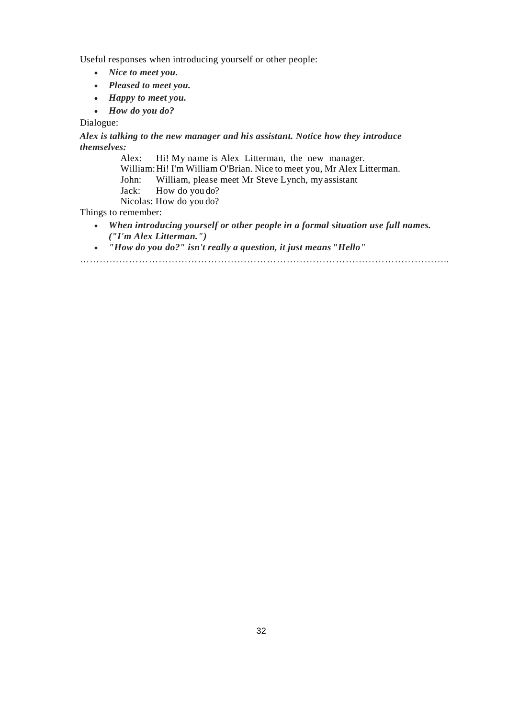Useful responses when introducing yourself or other people:

- *Nice to meet you.*
- *Pleased to meet you.*
- *Happy to meet you.*
- *How do you do?*

Dialogue:

*Alex is talking to the new manager and his assistant. Notice how they introduce themselves:*

Alex: Hi! My name is Alex Litterman, the new manager.

William:Hi! I'm William O'Brian. Nice to meet you, Mr Alex Litterman.

John: William, please meet Mr Steve Lynch, my assistant

Jack: How do you do?

Nicolas: How do you do?

Things to remember:

- *When introducing yourself or other people in a formal situation use full names. ("I'm Alex Litterman.")*
- *"How do you do?" isn't really a question, it just means "Hello"*

…………………………………………………………………………………………………..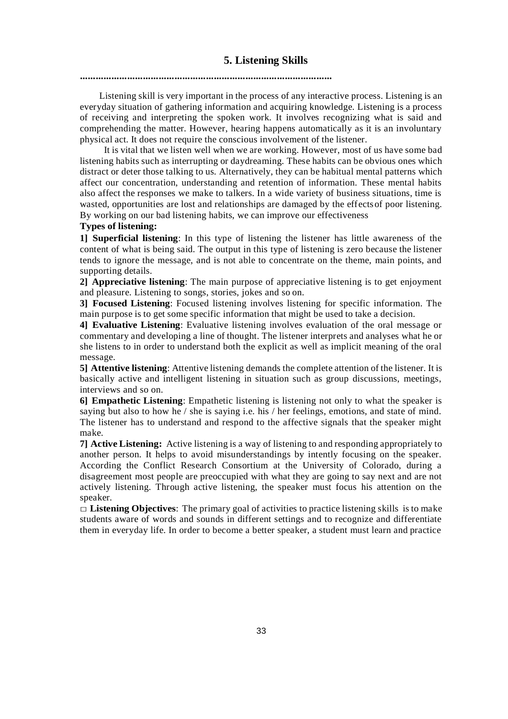#### **……………………………………………………………………………………**

Listening skill is very important in the process of any interactive process. Listening is an everyday situation of gathering information and acquiring knowledge. Listening is a process of receiving and interpreting the spoken work. It involves recognizing what is said and comprehending the matter. However, hearing happens automatically as it is an involuntary physical act. It does not require the conscious involvement of the listener.

It is vital that we listen well when we are working. However, most of us have some bad listening habits such as interrupting or daydreaming. These habits can be obvious ones which distract or deter those talking to us. Alternatively, they can be habitual mental patterns which affect our concentration, understanding and retention of information. These mental habits also affect the responses we make to talkers. In a wide variety of business situations, time is wasted, opportunities are lost and relationships are damaged by the effectsof poor listening. By working on our bad listening habits, we can improve our effectiveness

#### **Types of listening:**

**1] Superficial listening**: In this type of listening the listener has little awareness of the content of what is being said. The output in this type of listening is zero because the listener tends to ignore the message, and is not able to concentrate on the theme, main points, and supporting details.

**2] Appreciative listening**: The main purpose of appreciative listening is to get enjoyment and pleasure. Listening to songs, stories, jokes and so on.

**3] Focused Listening**: Focused listening involves listening for specific information. The main purpose is to get some specific information that might be used to take a decision.

**4] Evaluative Listening**: Evaluative listening involves evaluation of the oral message or commentary and developing a line of thought. The listener interprets and analyses what he or she listens to in order to understand both the explicit as well as implicit meaning of the oral message.

**5] Attentive listening**: Attentive listening demands the complete attention of the listener. It is basically active and intelligent listening in situation such as group discussions, meetings, interviews and so on.

**6] Empathetic Listening**: Empathetic listening is listening not only to what the speaker is saying but also to how he / she is saying i.e. his / her feelings, emotions, and state of mind. The listener has to understand and respond to the affective signals that the speaker might make.

**7] Active Listening:** Active listening is a way of listening to and responding appropriately to another person. It helps to avoid misunderstandings by intently focusing on the speaker. According the Conflict Research Consortium at the University of Colorado, during a disagreement most people are preoccupied with what they are going to say next and are not actively listening. Through active listening, the speaker must focus his attention on the speaker.

 $\Box$  **Listening Objectives**: The primary goal of activities to practice listening skills is to make students aware of words and sounds in different settings and to recognize and differentiate them in everyday life. In order to become a better speaker, a student must learn and practice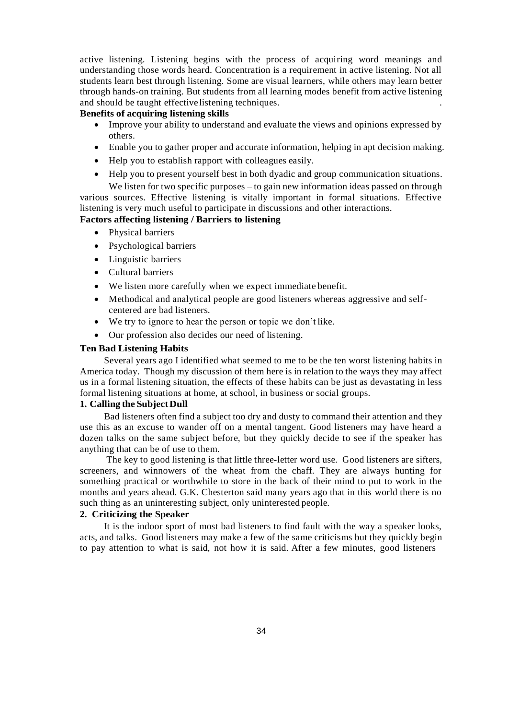active listening. Listening begins with the process of acquiring word meanings and understanding those words heard. Concentration is a requirement in active listening. Not all students learn best through listening. Some are visual learners, while others may learn better through hands-on training. But students from all learning modes benefit from active listening and should be taught effective listening techniques. .

### **Benefits of acquiring listening skills**

- Improve your ability to understand and evaluate the views and opinions expressed by others.
- Enable you to gather proper and accurate information, helping in apt decision making.
- Help you to establish rapport with colleagues easily.
- Help you to present yourself best in both dyadic and group communication situations.

We listen for two specific purposes – to gain new information ideas passed on through various sources. Effective listening is vitally important in formal situations. Effective listening is very much useful to participate in discussions and other interactions.

## **Factors affecting listening / Barriers to listening**

- Physical barriers
- Psychological barriers
- Linguistic barriers
- Cultural barriers
- We listen more carefully when we expect immediate benefit.
- Methodical and analytical people are good listeners whereas aggressive and selfcentered are bad listeners.
- We try to ignore to hear the person or topic we don't like.
- Our profession also decides our need of listening.

#### **Ten Bad Listening Habits**

Several years ago I identified what seemed to me to be the ten worst listening habits in America today. Though my discussion of them here is in relation to the ways they may affect us in a formal listening situation, the effects of these habits can be just as devastating in less formal listening situations at home, at school, in business or social groups.

#### **1. Calling the SubjectDull**

Bad listeners often find a subject too dry and dusty to command their attention and they use this as an excuse to wander off on a mental tangent. Good listeners may have heard a dozen talks on the same subject before, but they quickly decide to see if the speaker has anything that can be of use to them.

The key to good listening is that little three-letter word use. Good listeners are sifters, screeners, and winnowers of the wheat from the chaff. They are always hunting for something practical or worthwhile to store in the back of their mind to put to work in the months and years ahead. G.K. Chesterton said many years ago that in this world there is no such thing as an uninteresting subject, only uninterested people.

#### **2. Criticizing the Speaker**

It is the indoor sport of most bad listeners to find fault with the way a speaker looks, acts, and talks. Good listeners may make a few of the same criticisms but they quickly begin to pay attention to what is said, not how it is said. After a few minutes, good listeners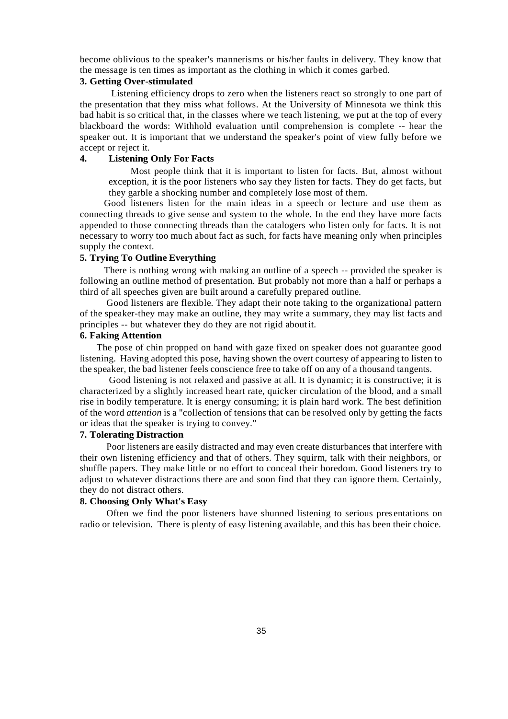become oblivious to the speaker's mannerisms or his/her faults in delivery. They know that the message is ten times as important as the clothing in which it comes garbed.

#### **3. Getting Over-stimulated**

Listening efficiency drops to zero when the listeners react so strongly to one part of the presentation that they miss what follows. At the University of Minnesota we think this bad habit is so critical that, in the classes where we teach listening, we put at the top of every blackboard the words: Withhold evaluation until comprehension is complete -- hear the speaker out. It is important that we understand the speaker's point of view fully before we accept or reject it.

#### **4. Listening Only For Facts**

Most people think that it is important to listen for facts. But, almost without exception, it is the poor listeners who say they listen for facts. They do get facts, but they garble a shocking number and completely lose most of them.

Good listeners listen for the main ideas in a speech or lecture and use them as connecting threads to give sense and system to the whole. In the end they have more facts appended to those connecting threads than the catalogers who listen only for facts. It is not necessary to worry too much about fact as such, for facts have meaning only when principles supply the context.

### **5. Trying To Outline Everything**

There is nothing wrong with making an outline of a speech -- provided the speaker is following an outline method of presentation. But probably not more than a half or perhaps a third of all speeches given are built around a carefully prepared outline.

Good listeners are flexible. They adapt their note taking to the organizational pattern of the speaker-they may make an outline, they may write a summary, they may list facts and principles -- but whatever they do they are not rigid about it.

### **6. Faking Attention**

The pose of chin propped on hand with gaze fixed on speaker does not guarantee good listening. Having adopted this pose, having shown the overt courtesy of appearing to listen to the speaker, the bad listener feels conscience free to take off on any of a thousand tangents.

Good listening is not relaxed and passive at all. It is dynamic; it is constructive; it is characterized by a slightly increased heart rate, quicker circulation of the blood, and a small rise in bodily temperature. It is energy consuming; it is plain hard work. The best definition of the word *attention* is a "collection of tensions that can be resolved only by getting the facts or ideas that the speaker is trying to convey."

### **7. Tolerating Distraction**

Poor listeners are easily distracted and may even create disturbances that interfere with their own listening efficiency and that of others. They squirm, talk with their neighbors, or shuffle papers. They make little or no effort to conceal their boredom. Good listeners try to adjust to whatever distractions there are and soon find that they can ignore them. Certainly, they do not distract others.

### **8. Choosing Only What's Easy**

Often we find the poor listeners have shunned listening to serious presentations on radio or television. There is plenty of easy listening available, and this has been their choice.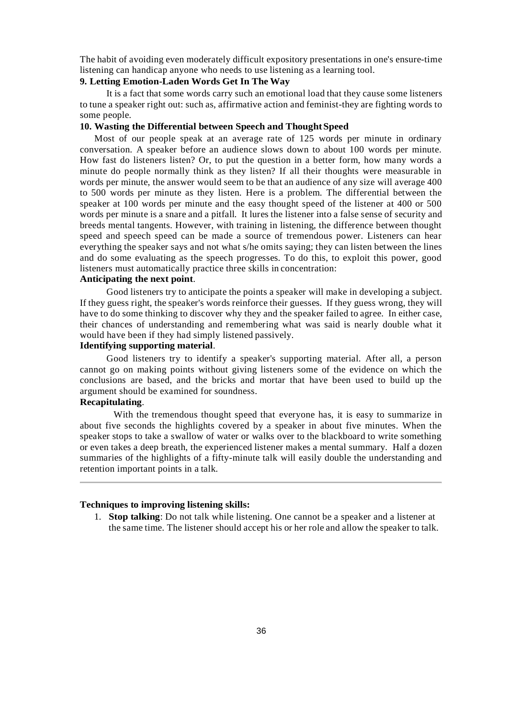The habit of avoiding even moderately difficult expository presentations in one's ensure-time listening can handicap anyone who needs to use listening as a learning tool.

### **9. Letting Emotion-Laden Words Get In The Way**

It is a fact that some words carry such an emotional load that they cause some listeners to tune a speaker right out: such as, affirmative action and feminist-they are fighting words to some people.

### **10. Wasting the Differential between Speech and ThoughtSpeed**

Most of our people speak at an average rate of 125 words per minute in ordinary conversation. A speaker before an audience slows down to about 100 words per minute. How fast do listeners listen? Or, to put the question in a better form, how many words a minute do people normally think as they listen? If all their thoughts were measurable in words per minute, the answer would seem to be that an audience of any size will average 400 to 500 words per minute as they listen. Here is a problem. The differential between the speaker at 100 words per minute and the easy thought speed of the listener at 400 or 500 words per minute is a snare and a pitfall. It lures the listener into a false sense of security and breeds mental tangents. However, with training in listening, the difference between thought speed and speech speed can be made a source of tremendous power. Listeners can hear everything the speaker says and not what s/he omits saying; they can listen between the lines and do some evaluating as the speech progresses. To do this, to exploit this power, good listeners must automatically practice three skills in concentration:

### **Anticipating the next point**.

Good listeners try to anticipate the points a speaker will make in developing a subject. If they guess right, the speaker's words reinforce their guesses. If they guess wrong, they will have to do some thinking to discover why they and the speaker failed to agree. In either case, their chances of understanding and remembering what was said is nearly double what it would have been if they had simply listened passively.

### **Identifying supporting material**.

Good listeners try to identify a speaker's supporting material. After all, a person cannot go on making points without giving listeners some of the evidence on which the conclusions are based, and the bricks and mortar that have been used to build up the argument should be examined for soundness.

### **Recapitulating**.

With the tremendous thought speed that everyone has, it is easy to summarize in about five seconds the highlights covered by a speaker in about five minutes. When the speaker stops to take a swallow of water or walks over to the blackboard to write something or even takes a deep breath, the experienced listener makes a mental summary. Half a dozen summaries of the highlights of a fifty-minute talk will easily double the understanding and retention important points in a talk.

#### **Techniques to improving listening skills:**

1. **Stop talking**: Do not talk while listening. One cannot be a speaker and a listener at the same time. The listener should accept his or her role and allow the speaker to talk.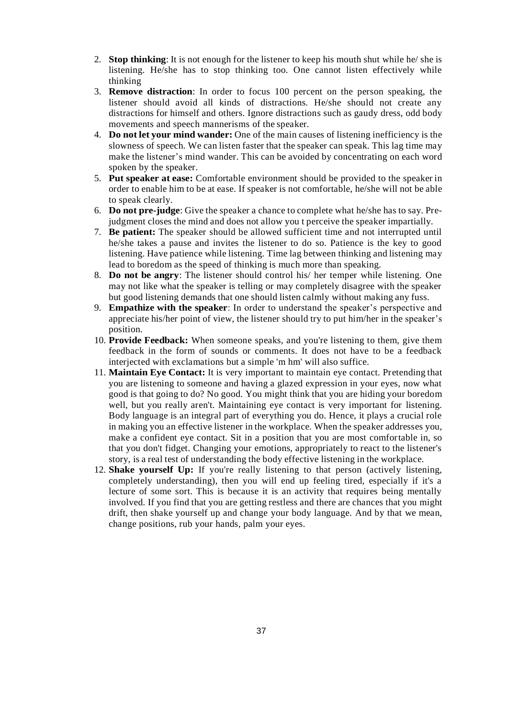- 2. **Stop thinking**: It is not enough for the listener to keep his mouth shut while he/ she is listening. He/she has to stop thinking too. One cannot listen effectively while thinking
- 3. **Remove distraction**: In order to focus 100 percent on the person speaking, the listener should avoid all kinds of distractions. He/she should not create any distractions for himself and others. Ignore distractions such as gaudy dress, odd body movements and speech mannerisms of the speaker.
- 4. **Do not let your mind wander:** One of the main causes of listening inefficiency is the slowness of speech. We can listen faster that the speaker can speak. This lag time may make the listener's mind wander. This can be avoided by concentrating on each word spoken by the speaker.
- 5. **Put speaker at ease:** Comfortable environment should be provided to the speaker in order to enable him to be at ease. If speaker is not comfortable, he/she will not be able to speak clearly.
- 6. **Do not pre-judge**: Give the speaker a chance to complete what he/she has to say. Prejudgment closes the mind and does not allow you t perceive the speaker impartially.
- 7. **Be patient:** The speaker should be allowed sufficient time and not interrupted until he/she takes a pause and invites the listener to do so. Patience is the key to good listening. Have patience while listening. Time lag between thinking and listening may lead to boredom as the speed of thinking is much more than speaking.
- 8. **Do not be angry**: The listener should control his/ her temper while listening. One may not like what the speaker is telling or may completely disagree with the speaker but good listening demands that one should listen calmly without making any fuss.
- 9. **Empathize with the speaker**: In order to understand the speaker's perspective and appreciate his/her point of view, the listener should try to put him/her in the speaker's position.
- 10. **Provide Feedback:** When someone speaks, and you're listening to them, give them feedback in the form of sounds or comments. It does not have to be a feedback interjected with exclamations but a simple 'm hm' will also suffice.
- 11. **Maintain Eye Contact:** It is very important to maintain eye contact. Pretending that you are listening to someone and having a glazed expression in your eyes, now what good is that going to do? No good. You might think that you are hiding your boredom well, but you really aren't. Maintaining eye contact is very important for listening. Body language is an integral part of everything you do. Hence, it plays a crucial role in making you an effective listener in the workplace. When the speaker addresses you, make a confident eye contact. Sit in a position that you are most comfortable in, so that you don't fidget. Changing your emotions, appropriately to react to the listener's story, is a real test of understanding the body effective listening in the workplace.
- 12. **Shake yourself Up:** If you're really listening to that person (actively listening, completely understanding), then you will end up feeling tired, especially if it's a lecture of some sort. This is because it is an activity that requires being mentally involved. If you find that you are getting restless and there are chances that you might drift, then shake yourself up and change your body language. And by that we mean, change positions, rub your hands, palm your eyes.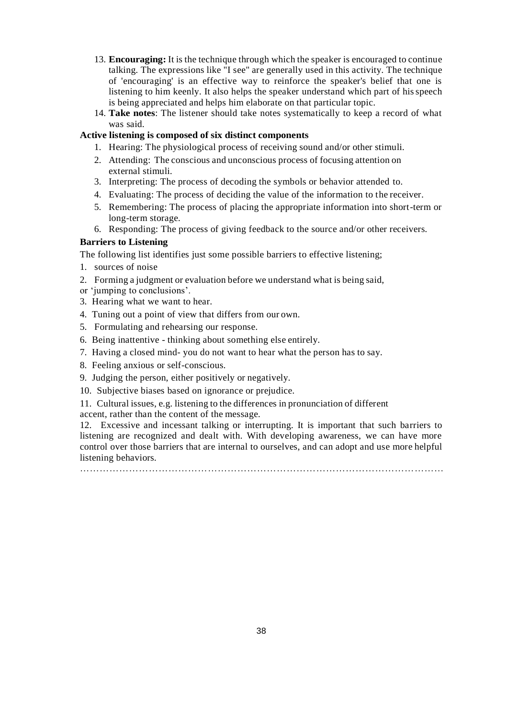- 13. **Encouraging:** It is the technique through which the speaker is encouraged to continue talking. The expressions like "I see" are generally used in this activity. The technique of 'encouraging' is an effective way to reinforce the speaker's belief that one is listening to him keenly. It also helps the speaker understand which part of hisspeech is being appreciated and helps him elaborate on that particular topic.
- 14. **Take notes**: The listener should take notes systematically to keep a record of what was said.

# **Active listening is composed of six distinct components**

- 1. Hearing: The physiological process of receiving sound and/or other stimuli.
- 2. Attending: The conscious and unconscious process of focusing attention on external stimuli.
- 3. Interpreting: The process of decoding the symbols or behavior attended to.
- 4. Evaluating: The process of deciding the value of the information to the receiver.
- 5. Remembering: The process of placing the appropriate information into short-term or long-term storage.
- 6. Responding: The process of giving feedback to the source and/or other receivers.

### **Barriers to Listening**

The following list identifies just some possible barriers to effective listening;

- 1. sources of noise
- 2. Forming a judgment or evaluation before we understand what is being said,
- or 'jumping to conclusions'.
- 3. Hearing what we want to hear.
- 4. Tuning out a point of view that differs from our own.
- 5. Formulating and rehearsing our response.
- 6. Being inattentive thinking about something else entirely.
- 7. Having a closed mind- you do not want to hear what the person has to say.
- 8. Feeling anxious or self-conscious.
- 9. Judging the person, either positively or negatively.
- 10. Subjective biases based on ignorance or prejudice.
- 11. Cultural issues, e.g. listening to the differences in pronunciation of different

accent, rather than the content of the message.

12. Excessive and incessant talking or interrupting. It is important that such barriers to listening are recognized and dealt with. With developing awareness, we can have more control over those barriers that are internal to ourselves, and can adopt and use more helpful listening behaviors.

…………………………………………………………………………………………………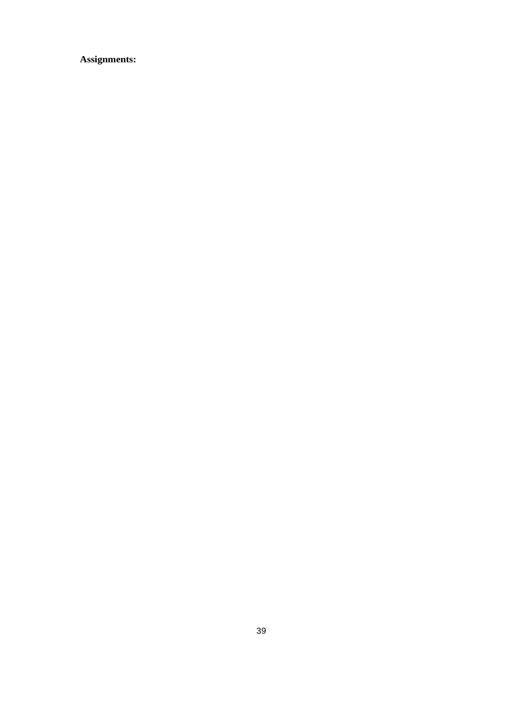**Assignments:**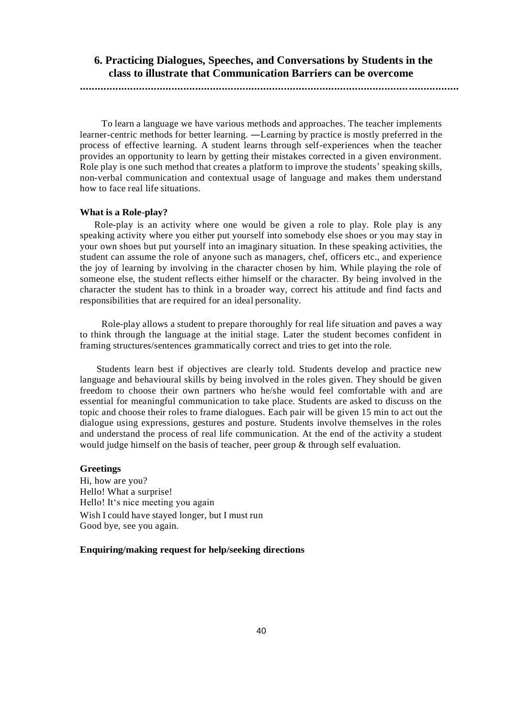# **6. Practicing Dialogues, Speeches, and Conversations by Students in the class to illustrate that Communication Barriers can be overcome**

**................................................................................................................................**

To learn a language we have various methods and approaches. The teacher implements learner-centric methods for better learning. ―Learning by practice is mostly preferred in the process of effective learning. A student learns through self-experiences when the teacher provides an opportunity to learn by getting their mistakes corrected in a given environment. Role play is one such method that creates a platform to improve the students' speaking skills, non-verbal communication and contextual usage of language and makes them understand how to face real life situations.

### **What is a Role-play?**

Role-play is an activity where one would be given a role to play. Role play is any speaking activity where you either put yourself into somebody else shoes or you may stay in your own shoes but put yourself into an imaginary situation. In these speaking activities, the student can assume the role of anyone such as managers, chef, officers etc., and experience the joy of learning by involving in the character chosen by him. While playing the role of someone else, the student reflects either himself or the character. By being involved in the character the student has to think in a broader way, correct his attitude and find facts and responsibilities that are required for an ideal personality.

Role-play allows a student to prepare thoroughly for real life situation and paves a way to think through the language at the initial stage. Later the student becomes confident in framing structures/sentences grammatically correct and tries to get into the role.

Students learn best if objectives are clearly told. Students develop and practice new language and behavioural skills by being involved in the roles given. They should be given freedom to choose their own partners who he/she would feel comfortable with and are essential for meaningful communication to take place. Students are asked to discuss on the topic and choose their roles to frame dialogues. Each pair will be given 15 min to act out the dialogue using expressions, gestures and posture. Students involve themselves in the roles and understand the process of real life communication. At the end of the activity a student would judge himself on the basis of teacher, peer group & through self evaluation.

### **Greetings**

Hi, how are you? Hello! What a surprise! Hello! It's nice meeting you again Wish I could have stayed longer, but I must run Good bye, see you again.

# **Enquiring/making request for help/seeking directions**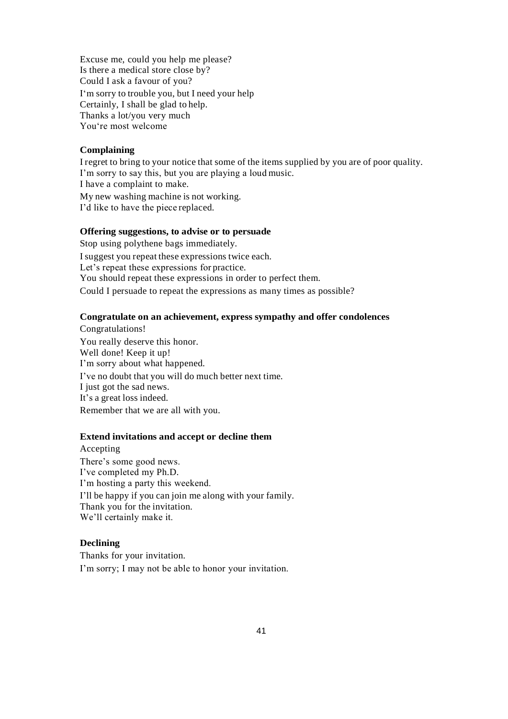Excuse me, could you help me please? Is there a medical store close by? Could I ask a favour of you? I'm sorry to trouble you, but I need your help Certainly, I shall be glad to help. Thanks a lot/you very much You're most welcome

### **Complaining**

I regret to bring to your notice that some of the items supplied by you are of poor quality. I'm sorry to say this, but you are playing a loud music. I have a complaint to make. My new washing machine is not working. I'd like to have the piece replaced.

# **Offering suggestions, to advise or to persuade**

Stop using polythene bags immediately. Isuggest you repeat these expressions twice each. Let's repeat these expressions for practice. You should repeat these expressions in order to perfect them. Could I persuade to repeat the expressions as many times as possible?

# **Congratulate on an achievement, express sympathy and offer condolences**

Congratulations!

You really deserve this honor. Well done! Keep it up! I'm sorry about what happened. I've no doubt that you will do much better next time. I just got the sad news. It's a great loss indeed. Remember that we are all with you.

### **Extend invitations and accept or decline them**

Accepting There's some good news. I've completed my Ph.D. I'm hosting a party this weekend. I'll be happy if you can join me along with your family. Thank you for the invitation. We'll certainly make it.

# **Declining**

Thanks for your invitation. I'm sorry; I may not be able to honor your invitation.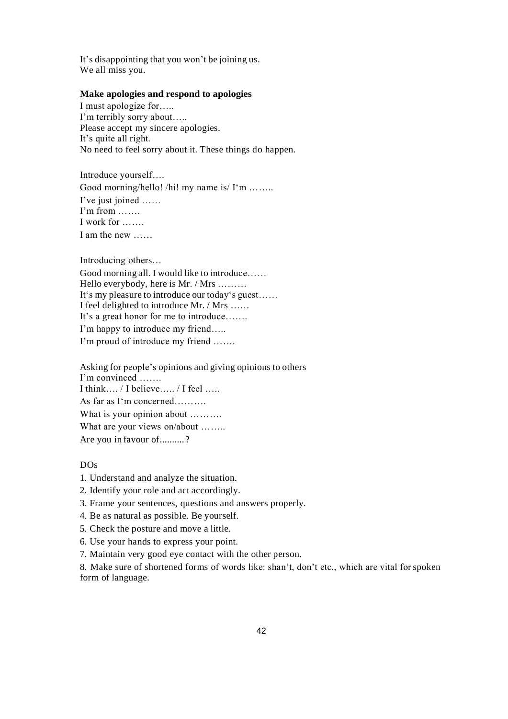It's disappointing that you won't be joining us. We all miss you.

# **Make apologies and respond to apologies**

I must apologize for….. I'm terribly sorry about….. Please accept my sincere apologies. It's quite all right. No need to feel sorry about it. These things do happen.

Introduce yourself…. Good morning/hello! /hi! my name is/ I'm ........ I've just joined …… I'm from ……. I work for ……. I am the new ……

Introducing others…

Good morning all. I would like to introduce…… Hello everybody, here is Mr. / Mrs ……… It's my pleasure to introduce our today's guest…… I feel delighted to introduce Mr. / Mrs …… It's a great honor for me to introduce……. I'm happy to introduce my friend….. I'm proud of introduce my friend …….

Asking for people's opinions and giving opinions to others I'm convinced ……. I think…. / I believe….. / I feel ….. As far as I'm concerned………. What is your opinion about .......... What are your views on/about ........ Are you in favour of.......... ?

### DOs

- 1. Understand and analyze the situation.
- 2. Identify your role and act accordingly.
- 3. Frame your sentences, questions and answers properly.
- 4. Be as natural as possible. Be yourself.
- 5. Check the posture and move a little.
- 6. Use your hands to express your point.
- 7. Maintain very good eye contact with the other person.

8. Make sure of shortened forms of words like: shan't, don't etc., which are vital forspoken form of language.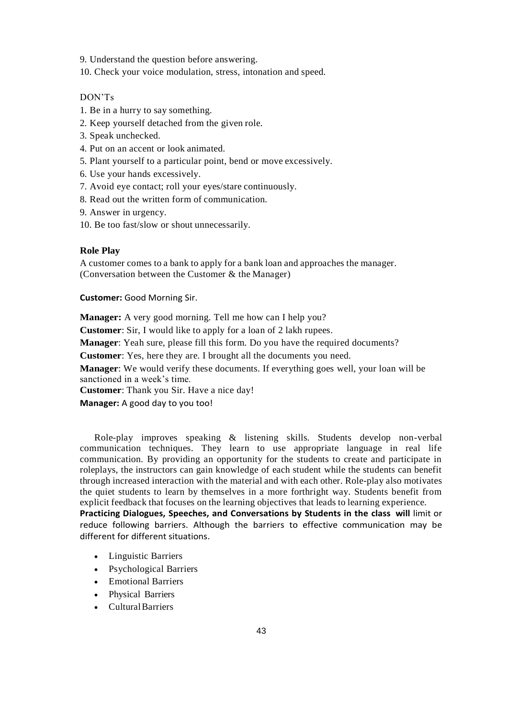- 9. Understand the question before answering.
- 10. Check your voice modulation, stress, intonation and speed.

# DON'Ts

- 1. Be in a hurry to say something.
- 2. Keep yourself detached from the given role.
- 3. Speak unchecked.
- 4. Put on an accent or look animated.
- 5. Plant yourself to a particular point, bend or move excessively.
- 6. Use your hands excessively.
- 7. Avoid eye contact; roll your eyes/stare continuously.
- 8. Read out the written form of communication.
- 9. Answer in urgency.
- 10. Be too fast/slow or shout unnecessarily.

### **Role Play**

A customer comes to a bank to apply for a bank loan and approaches the manager. (Conversation between the Customer & the Manager)

**Customer:** Good Morning Sir.

**Manager:** A very good morning. Tell me how can I help you?

**Customer**: Sir, I would like to apply for a loan of 2 lakh rupees.

**Manager**: Yeah sure, please fill this form. Do you have the required documents?

**Customer**: Yes, here they are. I brought all the documents you need.

**Manager**: We would verify these documents. If everything goes well, your loan will be sanctioned in a week's time.

**Customer**: Thank you Sir. Have a nice day!

**Manager:** A good day to you too!

Role-play improves speaking & listening skills. Students develop non-verbal communication techniques. They learn to use appropriate language in real life communication. By providing an opportunity for the students to create and participate in roleplays, the instructors can gain knowledge of each student while the students can benefit through increased interaction with the material and with each other. Role-play also motivates the quiet students to learn by themselves in a more forthright way. Students benefit from explicit feedback that focuses on the learning objectives that leads to learning experience.

**Practicing Dialogues, Speeches, and Conversations by Students in the class will** limit or reduce following barriers. Although the barriers to effective communication may be different for different situations.

- Linguistic Barriers
- Psychological Barriers
- Emotional Barriers
- Physical Barriers
- CulturalBarriers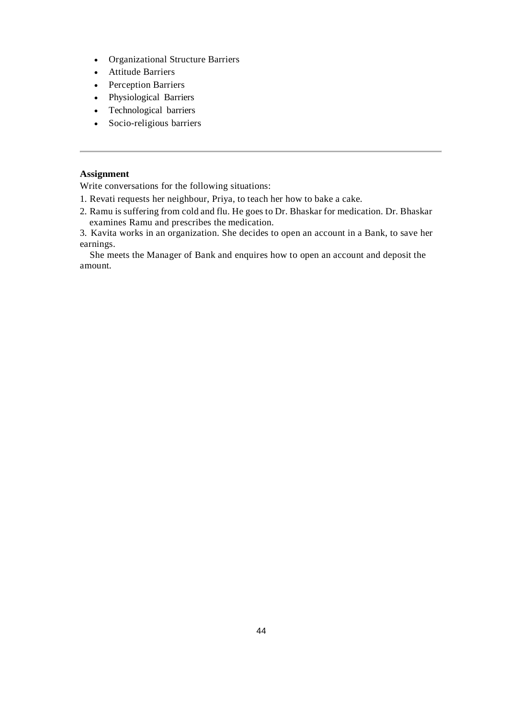- Organizational Structure Barriers
- Attitude Barriers
- Perception Barriers
- Physiological Barriers
- Technological barriers
- Socio-religious barriers

# **Assignment**

Write conversations for the following situations:

- 1. Revati requests her neighbour, Priya, to teach her how to bake a cake.
- 2. Ramu is suffering from cold and flu. He goes to Dr. Bhaskar for medication. Dr. Bhaskar examines Ramu and prescribes the medication.
- 3. Kavita works in an organization. She decides to open an account in a Bank, to save her earnings.

She meets the Manager of Bank and enquires how to open an account and deposit the amount.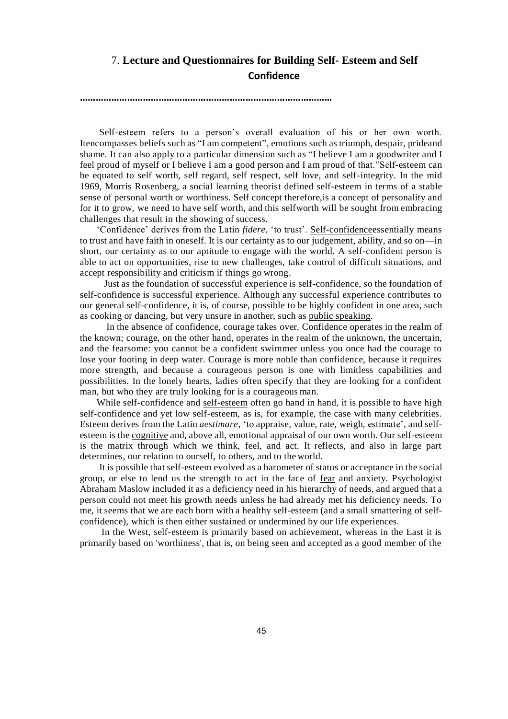# 7. **Lecture and Questionnaires for Building Self- Esteem and Self Confidence**

**……………………………………………………………………………………**

Self-esteem refers to a person's overall evaluation of his or her own worth. Itencompasses beliefs such as "I am competent", emotions such as triumph, despair, prideand shame. It can also apply to a particular dimension such as "I believe I am a goodwriter and I feel proud of myself or I believe I am a good person and I am proud of that."Self-esteem can be equated to self worth, self regard, self respect, self love, and self-integrity. In the mid 1969, Morris Rosenberg, a social learning theorist defined self-esteem in terms of a stable sense of personal worth or worthiness. Self concept therefore,is a concept of personality and for it to grow, we need to have self worth, and this selfworth will be sought from embracing challenges that result in the showing of success.

'Confidence' derives from the Latin *fidere*, 'to trust'. Self-confidenceessentially means to trust and have faith in oneself. It is our certainty as to our judgement, ability, and so on—in short, our certainty as to our aptitude to engage with the world. A self-confident person is able to act on opportunities, rise to new challenges, take control of difficult situations, and accept responsibility and criticism if things go wrong.

Just as the foundation of successful experience is self-confidence, so the foundation of self-confidence is successful experience. Although any successful experience contributes to our general self-confidence, it is, of course, possible to be highly confident in one area, such as cooking or dancing, but very unsure in another, such as public speaking.

In the absence of confidence, courage takes over. Confidence operates in the realm of the known; courage, on the other hand, operates in the [realm of the unknow](https://www.psychologytoday.com/intl/basics/stage-fright)n, the uncertain, and the fearsome: you cannot be a confident swimmer unless you once had the courage to lose your footing in deep water. Courage is more noble than confidence, because it requires more strength, and because a courageous person is one with limitless capabilities and possibilities. In the lonely hearts, ladies often specify that they are looking for a confident man, but who they are truly looking for is a courageous man.

While self-confidence and self-esteem often go hand in hand, it is possible to have high self-confidence and yet low self-esteem, as is, for example, the case with many celebrities. Esteem derives from the Latin *aestimare*, 'to appraise, value, rate, weigh, estimate', and selfesteem is the cognitive and, above all, emotional appraisal of our own worth. Our self-esteem is the matrix through which we think, feel, and act. It reflects, and also in large part determines, our relation to ourself, to others, and to the world.

It is [possible](https://www.psychologytoday.com/intl/basics/cognition) that self-esteem evolved as a barometer of status or acceptance in the social group, or else to lend us the strength to act in the face of fear and anxiety. Psychologist Abraham Maslow included it as a deficiency need in his hierarchy of needs, and argued that a person could not meet his growth needs unless he had already met his deficiency needs. To me, it seems that we are each born with a healthy self-esteem [\(and](https://www.psychologytoday.com/intl/basics/fear) a small smattering of selfconfidence), which is then either sustained or undermined by our life experiences.

In the West, self-esteem is primarily based on achievement, whereas in the East it is primarily based on 'worthiness', that is, on being seen and accepted as a good member of the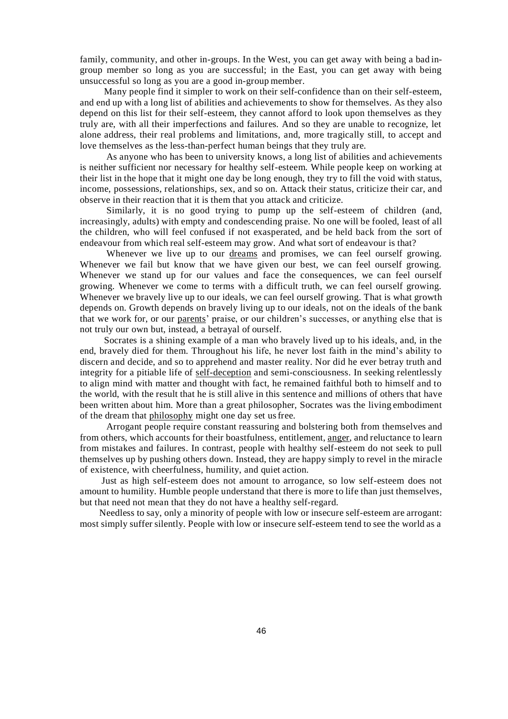family, community, and other in-groups. In the West, you can get away with being a bad ingroup member so long as you are successful; in the East, you can get away with being unsuccessful so long as you are a good in-group member.

Many people find it simpler to work on their self-confidence than on their self-esteem, and end up with a long list of abilities and achievements to show for themselves. As they also depend on this list for their self-esteem, they cannot afford to look upon themselves as they truly are, with all their imperfections and failures. And so they are unable to recognize, let alone address, their real problems and limitations, and, more tragically still, to accept and love themselves as the less-than-perfect human beings that they truly are.

As anyone who has been to university knows, a long list of abilities and achievements is neither sufficient nor necessary for healthy self-esteem. While people keep on working at their list in the hope that it might one day be long enough, they try to fill the void with status, income, possessions, relationships, sex, and so on. Attack their status, criticize their car, and observe in their reaction that it is them that you attack and criticize.

Similarly, it is no good trying to pump up the self-esteem of children (and, increasingly, adults) with empty and condescending praise. No one will be fooled, least of all the children, who will feel confused if not exasperated, and be held back from the sort of endeavour from which real self-esteem may grow. And what sort of endeavour is that?

Whenever we live up to our dreams and promises, we can feel ourself growing. Whenever we fail but know that we have given our best, we can feel ourself growing. Whenever we stand up for our [values](https://www.psychologytoday.com/intl/basics/dreaming) and face the consequences, we can feel ourself growing. Whenever we come to terms with a difficult truth, we can feel ourself growing. Whenever we bravely live up to our ideals, we can feel ourself growing. That is what growth depends on. Growth depends on bravely living up to our ideals, not on the ideals of the bank that we work for, or our parents' praise, or our children's successes, or anything else that is not truly our own but, instead, a betrayal of ourself.

Socrates is a shining [exam](https://www.psychologytoday.com/intl/basics/parenting)ple of a man who bravely lived up to his ideals, and, in the end, bravely died for them. Throughout his life, he never lost faith in the mind's ability to discern and decide, and so to apprehend and master reality. Nor did he ever betray truth and integrity for a pitiable life of self-deception and semi-consciousness. In seeking relentlessly to align mind with matter and thought with fact, he remained faithful both to himself and to the world, with the result that he is still alive in this sentence and millions of others that have been written about him. More than a great philosopher, Socrates was the living embodiment of the dream that philosophy might one day set usfree.

Arrogant people require constant reassuring and bolstering both from themselves and from others, which accounts for their boastfulness, entitlement, anger, and reluctance to learn from mistakes [and failures.](https://www.psychologytoday.com/intl/basics/philosophy) In contrast, people with healthy self-esteem do not seek to pull themselves up by pushing others down. Instead, they are happy simply to revel in the miracle of existence, with cheerfulness, humility, and quiet action.

Just as high self-esteem does not amount to arrogance, so low self-esteem does not amount to humility. Humble people understand that there is more to life than just themselves, but that need not mean that they do not have a healthy self-regard.

Needless to say, only a minority of people with low or insecure self-esteem are arrogant: most simply suffer silently. People with low or insecure self-esteem tend to see the world as a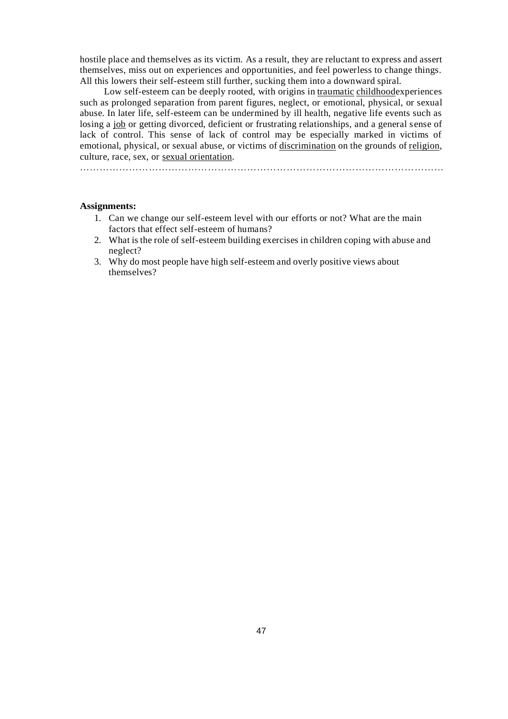hostile place and themselves as its victim. As a result, they are reluctant to express and assert themselves, miss out on experiences and opportunities, and feel powerless to change things. All this lowers their self-esteem still further, sucking them into a downward spiral.

Low self-esteem can be deeply rooted, with origins in traumatic childhoodexperiences such as prolonged separation from parent figures, neglect, or [emotional, physical,](https://www.psychologytoday.com/intl/basics/trauma) or sexual abuse. In later life, self-esteem can be undermined by ill health, negative life events such as losing a job or getting divorced, deficient or frustrating relationships, and a general sense of lack [of](https://www.psychologytoday.com/intl/basics/career) control. This sense of lack of control may be especially marked in victims of emotional, physical, or sexual abuse, or victims of discrimination on the grounds of religion, culture, race, sex, or sexual orientation.

[…………………………………………………………………………………………………](https://www.psychologytoday.com/intl/basics/homosexuality)

### **Assignments:**

- 1. Can we change our self-esteem level with our efforts or not? What are the main factors that effect self-esteem of humans?
- 2. What is the role of self-esteem building exercises in children coping with abuse and neglect?
- 3. Why do most people have high self-esteem and overly positive views about themselves?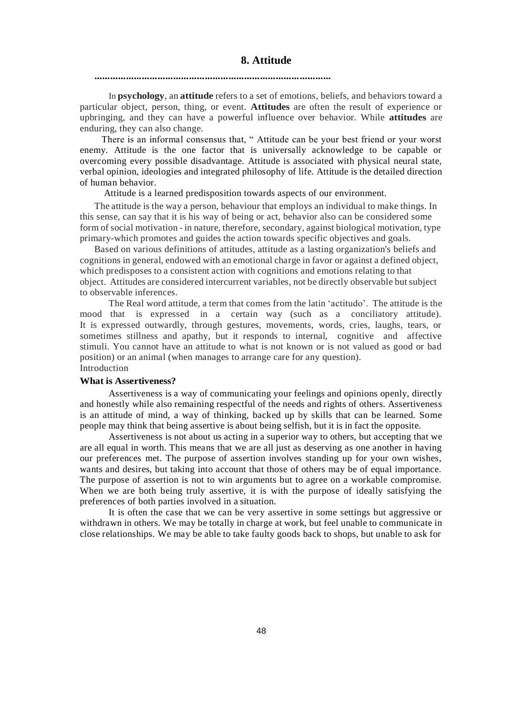# **8. Attitude**

#### **………………………………………………………………………………**

In **psychology**, an **attitude** refers to a set of emotions, beliefs, and behaviors toward a particular object, person, thing, or event. **Attitudes** are often the result of experience or upbringing, and they can have a powerful influence over behavior. While **attitudes** are enduring, they can also change.

There is an informal consensus that, " Attitude can be your best friend or your worst enemy. Attitude is the one factor that is universally acknowledge to be capable or overcoming every possible disadvantage. Attitude is associated with physical neural state, verbal opinion, ideologies and integrated philosophy of life. Attitude is the detailed direction of human behavior.

Attitude is a learned predisposition towards aspects of our environment.

The attitude is the way a person, behaviour that employs an individual to make things. In this sense, can say that it is his way of being or act, behavior also can be considered some form of social motivation - in nature, therefore, secondary, against biological motivation, type primary-which promotes and guides the action towards specific objectives and goals.

Based on various definitions of attitudes, attitude as a lasting organization's beliefs and cognitions in general, endowed with an emotional charge in favor or against a defined object, which predisposes to a consistent action with cognitions and emotions relating to that object. Attitudes are considered intercurrent variables, not be directly observable but subject to observable inferences.

The Real word attitude, a term that comes from the latin 'actitudo'. The attitude is the mood that is expressed in a certain way (such as a conciliatory attitude). It is expressed outwardly, through gestures, movements, words, cries, laughs, tears, or sometimes stillness and apathy, but it responds to internal, cognitive and affective stimuli. You cannot have an attitude to what is not known or is not valued as good or bad position) or an animal (when manages to arrange care for any question). Introduction

#### **What is Assertiveness?**

Assertiveness is a way of communicating your feelings and opinions openly, directly and honestly while also remaining respectful of the needs and rights of others. Assertiveness is an attitude of mind, a way of thinking, backed up by skills that can be learned. Some people may think that being assertive is about being selfish, but it is in fact the opposite.

Assertiveness is not about us acting in a superior way to others, but accepting that we are all equal in worth. This means that we are all just as deserving as one another in having our preferences met. The purpose of assertion involves standing up for your own wishes, wants and desires, but taking into account that those of others may be of equal importance. The purpose of assertion is not to win arguments but to agree on a workable compromise. When we are both being truly assertive, it is with the purpose of ideally satisfying the preferences of both parties involved in a situation.

It is often the case that we can be very assertive in some settings but aggressive or withdrawn in others. We may be totally in charge at work, but feel unable to communicate in close relationships. We may be able to take faulty goods back to shops, but unable to ask for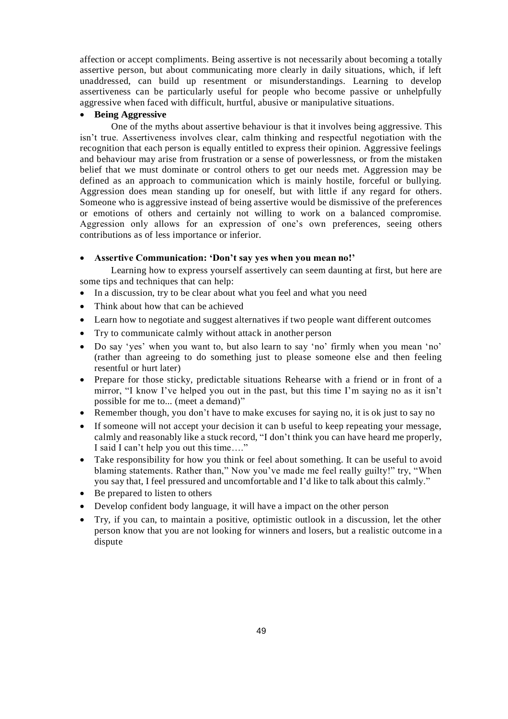affection or accept compliments. Being assertive is not necessarily about becoming a totally assertive person, but about communicating more clearly in daily situations, which, if left unaddressed, can build up resentment or misunderstandings. Learning to develop assertiveness can be particularly useful for people who become passive or unhelpfully aggressive when faced with difficult, hurtful, abusive or manipulative situations.

### **Being Aggressive**

One of the myths about assertive behaviour is that it involves being aggressive. This isn't true. Assertiveness involves clear, calm thinking and respectful negotiation with the recognition that each person is equally entitled to express their opinion. Aggressive feelings and behaviour may arise from frustration or a sense of powerlessness, or from the mistaken belief that we must dominate or control others to get our needs met. Aggression may be defined as an approach to communication which is mainly hostile, forceful or bullying. Aggression does mean standing up for oneself, but with little if any regard for others. Someone who is aggressive instead of being assertive would be dismissive of the preferences or emotions of others and certainly not willing to work on a balanced compromise. Aggression only allows for an expression of one's own preferences, seeing others contributions as of less importance or inferior.

### **Assertive Communication: 'Don't say yes when you mean no!'**

Learning how to express yourself assertively can seem daunting at first, but here are some tips and techniques that can help:

- In a discussion, try to be clear about what you feel and what you need
- Think about how that can be achieved
- Learn how to negotiate and suggest alternatives if two people want different outcomes
- Try to communicate calmly without attack in another person
- Do say 'yes' when you want to, but also learn to say 'no' firmly when you mean 'no' (rather than agreeing to do something just to please someone else and then feeling resentful or hurt later)
- Prepare for those sticky, predictable situations Rehearse with a friend or in front of a mirror, "I know I've helped you out in the past, but this time I'm saying no as it isn't possible for me to... (meet a demand)"
- Remember though, you don't have to make excuses for saying no, it is ok just to say no
- If someone will not accept your decision it can b useful to keep repeating your message, calmly and reasonably like a stuck record, "I don't think you can have heard me properly, I said I can't help you out this time…."
- Take responsibility for how you think or feel about something. It can be useful to avoid blaming statements. Rather than," Now you've made me feel really guilty!" try, "When you say that, I feel pressured and uncomfortable and I'd like to talk about this calmly."
- Be prepared to listen to others
- Develop confident body language, it will have a impact on the other person
- Try, if you can, to maintain a positive, optimistic outlook in a discussion, let the other person know that you are not looking for winners and losers, but a realistic outcome in a dispute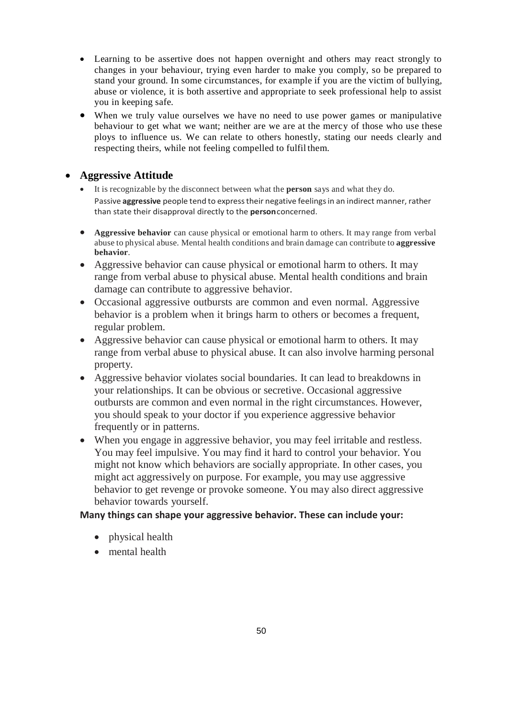- Learning to be assertive does not happen overnight and others may react strongly to changes in your behaviour, trying even harder to make you comply, so be prepared to stand your ground. In some circumstances, for example if you are the victim of bullying, abuse or violence, it is both assertive and appropriate to seek professional help to assist you in keeping safe.
- When we truly value ourselves we have no need to use power games or manipulative behaviour to get what we want; neither are we are at the mercy of those who use these ploys to influence us. We can relate to others honestly, stating our needs clearly and respecting theirs, while not feeling compelled to fulfil them.

# **Aggressive Attitude**

- It is recognizable by the disconnect between what the **person** says and what they do. Passive **aggressive** people tend to expresstheir negative feelingsin an indirect manner, rather than state their disapproval directly to the **person**concerned.
- **Aggressive behavior** can cause physical or emotional harm to others. It may range from verbal abuse to physical abuse. Mental health conditions and brain damage can contribute to **aggressive behavior**.
- Aggressive behavior can cause physical or emotional harm to others. It may range from verbal abuse to physical abuse. Mental health conditions and brain damage can contribute to aggressive behavior.
- Occasional aggressive outbursts are common and even normal. Aggressive behavior is a problem when it brings harm to others or becomes a frequent, regular problem.
- Aggressive behavior can cause physical or emotional harm to others. It may range from verbal abuse to physical abuse. It can also involve harming personal property.
- Aggressive behavior violates social boundaries. It can lead to breakdowns in your relationships. It can be obvious or secretive. Occasional aggressive outbursts are common and even normal in the right circumstances. However, you should speak to your doctor if you experience aggressive behavior frequently or in patterns.
- When you engage in aggressive behavior, you may feel irritable and restless. You may feel impulsive. You may find it hard to control your behavior. You might not know which behaviors are socially appropriate. In other cases, you might act aggressively on purpose. For example, you may use aggressive behavior to get revenge or provoke someone. You may also direct aggressive behavior towards yourself.

# **Many things can shape your aggressive behavior. These can include your:**

- physical health
- mental health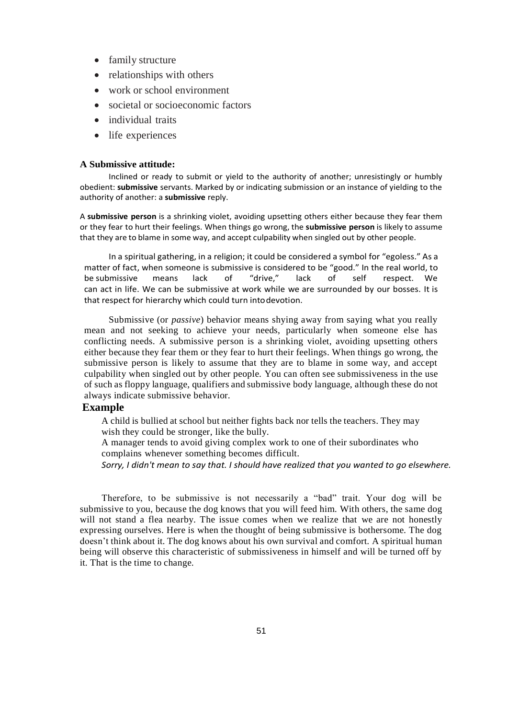- family structure
- relationships with others
- work or school environment
- societal or socioeconomic factors
- individual traits
- life experiences

# **A Submissive attitude:**

Inclined or ready to submit or yield to the authority of another; unresistingly or humbly obedient: **submissive** servants. Marked by or indicating submission or an instance of yielding to the authority of another: a **submissive** reply.

A **submissive person** is a shrinking violet, avoiding upsetting others either because they fear them or they fear to hurt their feelings. When things go wrong, the **submissive person** is likely to assume that they are to blame in some way, and accept culpability when singled out by other people.

In a spiritual gathering, in a religion; it could be considered a symbol for "egoless." As a matter of fact, when someone is submissive is considered to be "good." In the real world, to be submissive means lack of "drive," lack of self respect. We can act in life. We can be submissive at work while we are surrounded by our bosses. It is that respect for hierarchy which could turn intodevotion.

Submissive (or *passive*) behavior means shying away from saying what you really mean and not seeking to achieve your needs, particularly when someone else has conflicting needs. A submissive person is a shrinking violet, avoiding upsetting others either because they fear them or they fear to hurt their feelings. When things go wrong, the submissive person is likely to assume that they are to blame in some way, and accept culpability when singled out by other people. You can often see submissiveness in the use of such as floppy language, qualifiers and submissive body language, although these do not always indicate submissive behavior.

# **Exa[mple](http://changingminds.org/techniques/language/modifying_meaning/floppy_language.htm)**

A child is bullied at school but neither fights back nor tells the teachers. They may wish they could be stronger, like the bully.

A manager tends to avoid giving complex work to one of their subordinates who complains whenever something becomes difficult.

*Sorry, I didn't mean to say that. I should have realized that you wanted to go elsewhere.*

Therefore, to be submissive is not necessarily a "bad" trait. Your dog will be submissive to you, because the dog knows that you will feed him. With others, the same dog will not stand a flea nearby. The issue comes when we realize that we are not honestly expressing ourselves. Here is when the thought of being submissive is bothersome. The dog doesn't think about it. The dog knows about his own survival and comfort. A spiritual human being will observe this characteristic of submissiveness in himself and will be turned off by it. That is the time to change.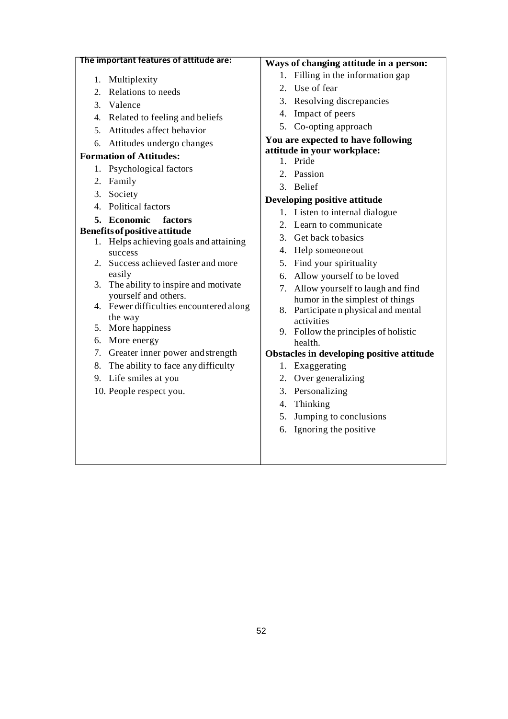# **The important features of attitude are:**

- 1. Multiplexity
- 2. Relations to needs
- 3. Valence
- 4. Related to feeling and beliefs
- 5. Attitudes affect behavior
- 6. Attitudes undergo changes

### **Formation of Attitudes:**

- 1. Psychological factors
- 2. Family
- 3. Society
- 4. Political factors

### **5. Economic factors Benefitsofpositiveattitude**

- 1. Helps achieving goals and attaining success
- 2. Success achieved faster and more easily
- 3. The ability to inspire and motivate yourself and others.
- 4. Fewer difficulties encountered along the way
- 5. More happiness
- 6. More energy
- 7. Greater inner power and strength
- 8. The ability to face any difficulty
- 9. Life smiles at you
- 10. People respect you.

### **Ways of changing attitude in a person:**

- 1. Filling in the information gap
- 2. Use of fear
- 3. Resolving discrepancies
- 4. Impact of peers
- 5. Co-opting approach

### **You are expected to have following attitude in your workplace:**

- 1. Pride
- 2. Passion
- 3. Belief

### **Developing positive attitude**

- 1. Listen to internal dialogue
- 2. Learn to communicate
- 3. Get back tobasics
- 4. Help someoneout
- 5. Find your spirituality
- 6. Allow yourself to be loved
- 7. Allow yourself to laugh and find humor in the simplest of things
- 8. Participate n physical and mental activities
- 9. Follow the principles of holistic health.

# **Obstacles in developing positive attitude**

- 1. Exaggerating
- 2. Over generalizing
- 3. Personalizing
- 4. Thinking
- 5. Jumping to conclusions
- 6. Ignoring the positive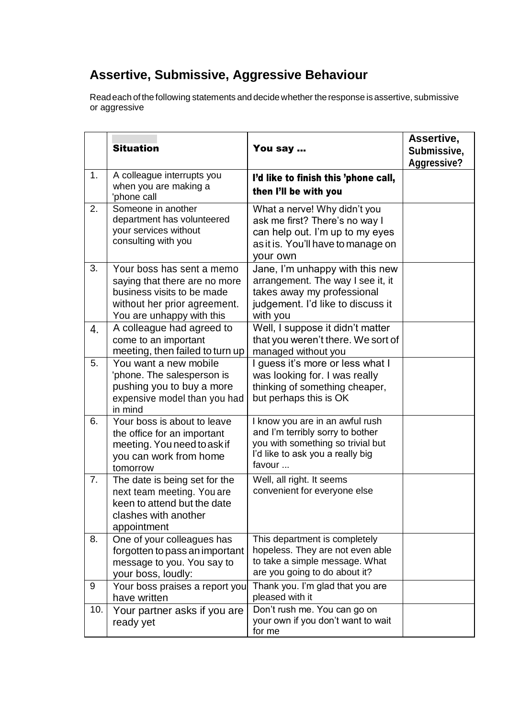# **Assertive, Submissive, Aggressive Behaviour**

Read each of the following statements and decide whether the response is assertive, submissive or aggressive

|     | <b>Situation</b>                                                                                                                                      | You say                                                                                                                                                | Assertive,<br>Submissive,<br>Aggressive? |
|-----|-------------------------------------------------------------------------------------------------------------------------------------------------------|--------------------------------------------------------------------------------------------------------------------------------------------------------|------------------------------------------|
| 1.  | A colleague interrupts you<br>when you are making a<br>'phone call                                                                                    | I'd like to finish this 'phone call,<br>then I'll be with you                                                                                          |                                          |
| 2.  | Someone in another<br>department has volunteered<br>your services without<br>consulting with you                                                      | What a nerve! Why didn't you<br>ask me first? There's no way I<br>can help out. I'm up to my eyes<br>as it is. You'll have to manage on<br>your own    |                                          |
| 3.  | Your boss has sent a memo<br>saying that there are no more<br>business visits to be made<br>without her prior agreement.<br>You are unhappy with this | Jane, I'm unhappy with this new<br>arrangement. The way I see it, it<br>takes away my professional<br>judgement. I'd like to discuss it<br>with you    |                                          |
| 4.  | A colleague had agreed to<br>come to an important<br>meeting, then failed to turn up                                                                  | Well, I suppose it didn't matter<br>that you weren't there. We sort of<br>managed without you                                                          |                                          |
| 5.  | You want a new mobile<br>'phone. The salesperson is<br>pushing you to buy a more<br>expensive model than you had<br>in mind                           | I guess it's more or less what I<br>was looking for. I was really<br>thinking of something cheaper,<br>but perhaps this is OK                          |                                          |
| 6.  | Your boss is about to leave<br>the office for an important<br>meeting. You need to ask if<br>you can work from home<br>tomorrow                       | I know you are in an awful rush<br>and I'm terribly sorry to bother<br>you with something so trivial but<br>I'd like to ask you a really big<br>favour |                                          |
| 7.  | The date is being set for the<br>next team meeting. You are<br>keen to attend but the date<br>clashes with another<br>appointment                     | Well, all right. It seems<br>convenient for everyone else                                                                                              |                                          |
| 8.  | One of your colleagues has<br>forgotten to pass an important<br>message to you. You say to<br>your boss, loudly:                                      | This department is completely<br>hopeless. They are not even able<br>to take a simple message. What<br>are you going to do about it?                   |                                          |
| 9   | Your boss praises a report you<br>have written                                                                                                        | Thank you. I'm glad that you are<br>pleased with it                                                                                                    |                                          |
| 10. | Your partner asks if you are<br>ready yet                                                                                                             | Don't rush me. You can go on<br>your own if you don't want to wait<br>for me                                                                           |                                          |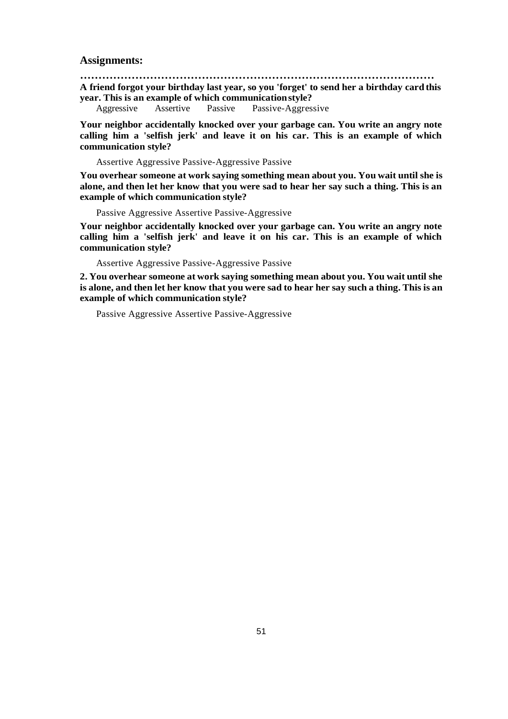### **Assignments:**

**…………………………………………………………………………………… A friend forgot your birthday last year, so you 'forget' to send her a birthday card this year. This is an example of which communicationstyle?**

Aggressive Assertive Passive Passive-Aggressive

**Your neighbor accidentally knocked over your garbage can. You write an angry note calling him a 'selfish jerk' and leave it on his car. This is an example of which communication style?**

Assertive Aggressive Passive-Aggressive Passive

**You overhear someone at work saying something mean about you. You wait until she is alone, and then let her know that you were sad to hear her say such a thing. This is an example of which communication style?**

Passive Aggressive Assertive Passive-Aggressive

**Your neighbor accidentally knocked over your garbage can. You write an angry note calling him a 'selfish jerk' and leave it on his car. This is an example of which communication style?**

Assertive Aggressive Passive-Aggressive Passive

**2. You overhear someone at work saying something mean about you. You wait until she**  is alone, and then let her know that you were sad to hear her say such a thing. This is an **example of which communication style?**

Passive Aggressive Assertive Passive-Aggressive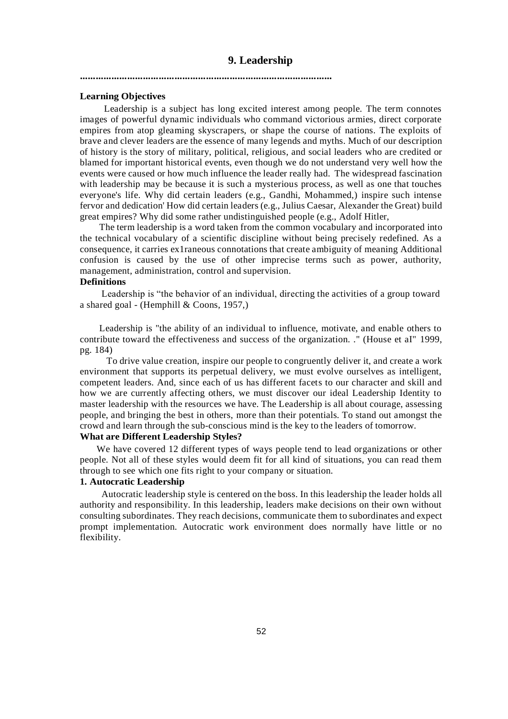# **9. Leadership**

**……………………………………………………………………………………**

#### **Learning Objectives**

Leadership is a subject has long excited interest among people. The term connotes images of powerful dynamic individuals who command victorious armies, direct corporate empires from atop gleaming skyscrapers, or shape the course of nations. The exploits of brave and clever leaders are the essence of many legends and myths. Much of our description of history is the story of military, political, religious, and social leaders who are credited or blamed for important historical events, even though we do not understand very well how the events were caused or how much influence the leader really had. The widespread fascination with leadership may be because it is such a mysterious process, as well as one that touches everyone's life. Why did certain leaders (e.g., Gandhi, Mohammed,) inspire such intense fervor and dedication' How did certain leaders (e.g., Julius Caesar, Alexander the Great) build great empires? Why did some rather undistinguished people (e.g., Adolf Hitler,

The term leadership is a word taken from the common vocabulary and incorporated into the technical vocabulary of a scientific discipline without being precisely redefined. As a consequence, it carries ex1raneous connotations that create ambiguity of meaning Additional confusion is caused by the use of other imprecise terms such as power, authority, management, administration, control and supervision.

### **Definitions**

Leadership is "the behavior of an individual, directing the activities of a group toward a shared goal - (Hemphill & Coons, 1957,)

Leadership is "the ability of an individual to influence, motivate, and enable others to contribute toward the effectiveness and success of the organization. ." (House et aI" 1999, pg. 184)

To drive value creation, inspire our people to congruently deliver it, and create a work environment that supports its perpetual delivery, we must evolve ourselves as intelligent, competent leaders. And, since each of us has different facets to our character and skill and how we are currently affecting others, we must discover our ideal Leadership Identity to master leadership with the resources we have. The Leadership is all about courage, assessing people, and bringing the best in others, more than their potentials. To stand out amongst the crowd and learn through the sub-conscious mind is the key to the leaders of tomorrow.

### **What are Different Leadership Styles?**

We have covered 12 different types of ways people tend to lead organizations or other people. Not all of these styles would deem fit for all kind of situations, you can read them through to see which one fits right to your company or situation.

# **1. Autocratic Leadership**

Autocratic leadership style is centered on the boss. In this leadership the leader holds all authority and responsibility. In this leadership, leaders make decisions on their own without consulting subordinates. They reach decisions, communicate them to subordinates and expect prompt implementation. Autocratic work environment does normally have little or no flexibility.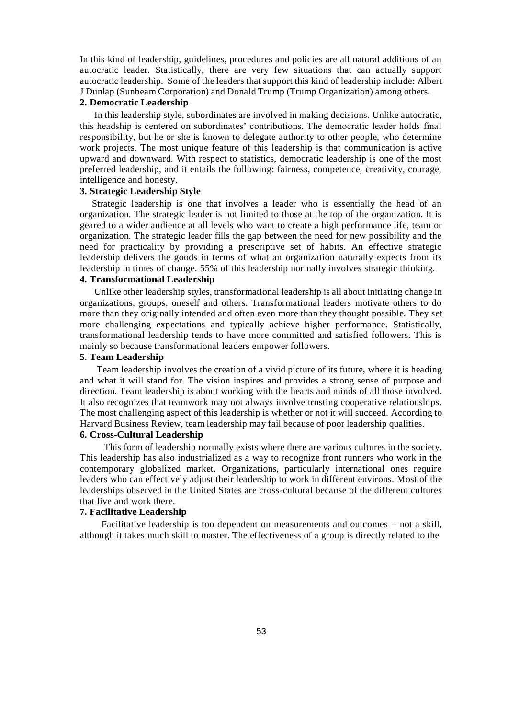In this kind of leadership, guidelines, procedures and policies are all natural additions of an autocratic leader. Statistically, there are very few situations that can actually support autocratic leadership. Some of the leaders that support this kind of leadership include: Albert J Dunlap (Sunbeam Corporation) and Donald Trump (Trump Organization) among others.

### **2. Democratic Leadership**

In this leadership style, subordinates are involved in making decisions. Unlike autocratic, this headship is centered on subordinates' contributions. The democratic leader holds final responsibility, but he or she is known to delegate authority to other people, who determine work projects. The most unique feature of this leadership is that communication is active upward and downward. With respect to statistics, democratic leadership is one of the most preferred leadership, and it entails the following: fairness, competence, creativity, courage, intelligence and honesty.

# **3. Strategic Leadership Style**

Strategic leadership is one that involves a leader who is essentially the head of an organization. The strategic leader is not limited to those at the top of the organization. It is geared to a wider audience at all levels who want to create a high performance life, team or organization. The strategic leader fills the gap between the need for new possibility and the need for practicality by providing a prescriptive set of habits. An effective strategic leadership delivers the goods in terms of what an organization naturally expects from its leadership in times of change. 55% of this leadership normally involves strategic thinking.

# **4. Transformational Leadership**

Unlike other leadership styles, transformational leadership is all about initiating change in organizations, groups, oneself and others. Transformational leaders motivate others to do more than they originally intended and often even more than they thought possible. They set more challenging expectations and typically achieve higher performance. Statistically, transformational leadership tends to have more committed and satisfied followers. This is mainly so because transformational leaders empower followers.

### **5. Team Leadership**

Team leadership involves the creation of a vivid picture of its future, where it is heading and what it will stand for. The vision inspires and provides a strong sense of purpose and direction. Team leadership is about working with the hearts and minds of all those involved. It also recognizes that teamwork may not always involve trusting cooperative relationships. The most challenging aspect of this leadership is whether or not it will succeed. According to Harvard Business Review, team leadership may fail because of poor leadership qualities.

# **6. Cross-Cultural Leadership**

This form of leadership normally exists where there are various cultures in the society. [This leadership has also i](https://hbr.org/2009/05/why-teams-dont-work)ndustrialized as a way to recognize front runners who work in the contemporary globalized market. Organizations, particularly international ones require leaders who can effectively adjust their leadership to work in different environs. Most of the leaderships observed in the United States are cross-cultural because of the different cultures that live and work there.

# **7. Facilitative Leadership**

Facilitative leadership is too dependent on measurements and outcomes – not a skill, although it takes much skill to master. The effectiveness of a group is directly related to the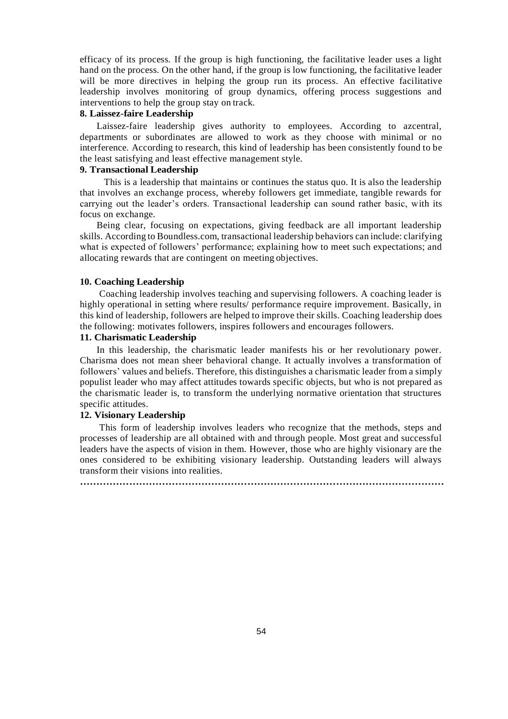efficacy of its process. If the group is high functioning, the facilitative leader uses a light hand on the process. On the other hand, if the group is low functioning, the facilitative leader will be more directives in helping the group run its process. An effective facilitative leadership involves monitoring of group dynamics, offering process suggestions and interventions to help the group stay on track.

### **8. Laissez-faire Leadership**

Laissez-faire leadership gives authority to employees. According to azcentral, departments or subordinates are allowed to work as they choose with minimal or no interference. According to research, this kind of leadership has been consistently found to be the least satisfying and least effective management style.

### **9. Transactional Leadership**

This is a leadership that maintains or continues the status quo. It is also the leadership that involves an exchange process, whereby followers get immediate, tangible rewards for carrying out the leader's orders. Transactional leadership can sound rather basic, with its focus on exchange.

Being clear, focusing on expectations, giving feedback are all important leadership skills. According to Boundless.com, transactional leadership behaviors can include: clarifying what is expected of followers' performance; explaining how to meet such expectations; and a[llocating rewards that are contingent o](https://www.boundless.com/management/textbooks/boundless-management-textbook/leadership-9/types-of-leaders-72/key-behaviors-of-transactional-leaders-356-6822/)n meeting objectives.

#### **10. Coaching Leadership**

Coaching leadership involves teaching and supervising followers. A coaching leader is highly operational in setting where results/ performance require improvement. Basically, in this kind of leadership, followers are helped to improve their skills. Coaching leadership does the following: motivates followers, inspires followers and encourages followers.

### **11. Charismatic Leadership**

In this leadership, the charismatic leader manifests his or her revolutionary power. Charisma does not mean sheer behavioral change. It actually involves a transformation of followers' values and beliefs. Therefore, this distinguishes a charismatic leader from a simply populist leader who may affect attitudes towards specific objects, but who is not prepared as the charismatic leader is, to transform the underlying normative orientation that structures specific attitudes.

### **12. Visionary Leadership**

This form of leadership involves leaders who recognize that the methods, steps and processes of leadership are all obtained with and through people. Most great and successful leaders have the aspects of vision in them. However, those who are highly visionary are the ones considered to be exhibiting visionary leadership. Outstanding leaders will always transform their visions into realities.

**…………………………………………………………………………………………………**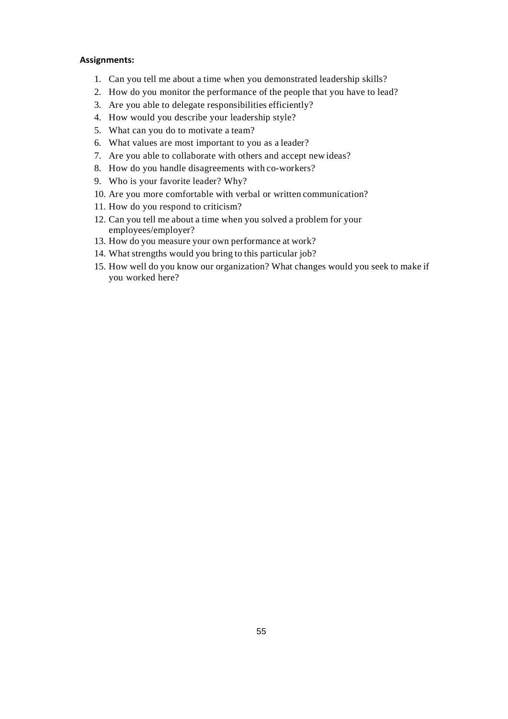### **Assignments:**

- 1. Can you tell me about a time when you demonstrated leadership skills?
- 2. How do you monitor the performance of the people that you have to lead?
- 3. Are you able to delegate responsibilities efficiently?
- 4. How would you describe your leadership style?
- 5. What can you do to motivate a team?
- 6. What values are most important to you as a leader?
- 7. Are you able to collaborate with others and accept new ideas?
- 8. How do you handle disagreements with co-workers?
- 9. Who is your favorite leader? Why?
- 10. Are you more comfortable with verbal or written communication?
- 11. How do you respond to criticism?
- 12. Can you tell me about a time when you solved a problem for your employees/employer?
- 13. How do you measure your own performance at work?
- 14. What strengths would you bring to this particular job?
- 15. How well do you know our organization? What changes would you seek to make if you worked here?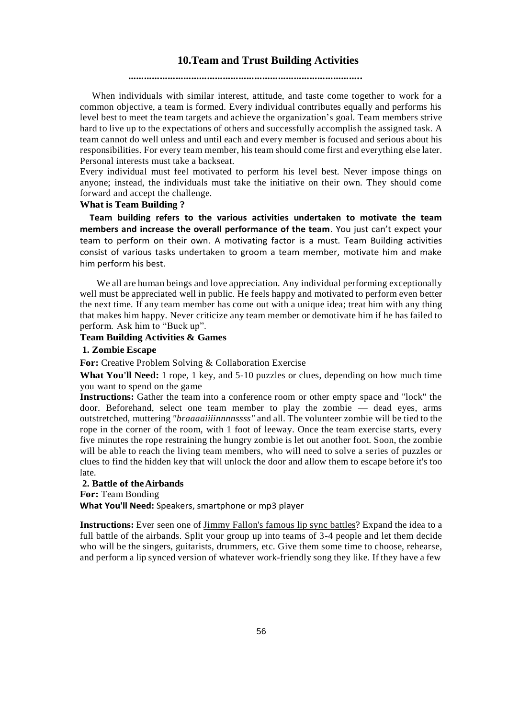# **10.Team and Trust Building Activities**

**……………………………………………………………………………..**

When individuals with similar interest, attitude, and taste come together to work for a common objective, a team is formed. Every individual contributes equally and performs his level best to meet the team targets and achieve the organization's goal. Team members strive hard to live up to the expectations of others and successfully accomplish the assigned task. A team cannot do well unless and until each and every member is focused and serious about his responsibilities. For every team member, his team should come first and everything else later. Personal interests must take a backseat.

Every individual must feel motivated to perform his level best. Never impose things on anyone; instead, the individuals must take the initiative on their own. They should come forward and accept the challenge.

# **What is Team Building ?**

**Team building refers to the various activities undertaken to motivate the team members and increase the overall performance of the team**. You just can't expect your team to perform on their own. A motivating factor is a must. Team Building activities consist of various tasks undertaken to groom a team member, motivate him and make him perform his best.

We all are human beings and love appreciation. Any individual performing exceptionally well must be appreciated well in public. He feels happy and motivated to perform even better the next time. If any team member has come out with a unique idea; treat him with any thing that makes him happy. Never criticize any team member or demotivate him if he has failed to perform. Ask him to "Buck up".

### **Team Building Activities & Games**

# **1. Zombie Escape**

**For:** Creative Problem Solving & Collaboration Exercise

**What You'll Need:** 1 rope, 1 key, and 5-10 puzzles or clues, depending on how much time you want to spend on the game

**Instructions:** Gather the team into a conference room or other empty space and "lock" the door. Beforehand, select one team member to play the zombie — dead eyes, arms outstretched, muttering *"braaaaiiiinnnnssss"* and all. The volunteer zombie will be tied to the rope in the corner of the room, with 1 foot of leeway. Once the team exercise starts, every five minutes the rope restraining the hungry zombie is let out another foot. Soon, the zombie will be able to reach the living team members, who will need to solve a series of puzzles or clues to find the hidden key that will unlock the door and allow them to escape before it's too late.

# **2. Battle of theAirbands**

**For:** Team Bonding

**What You'll Need:** Speakers, smartphone or mp3 player

**Instructions:** Ever seen one of Jimmy Fallon's famous lip sync battles? Expand the idea to a full battle of the airbands. Split your group up into teams of 3-4 people and let them decide who will be the singers, guitarists, drummers, etc. Give them some time to choose, rehearse, and perform a lip synced version of whatever [work-friendly](http://www.metatube.com/en/videos/183714/Late-Night-Lip-Sync-Off-with-John-Krasinski/) song they like. If they have a few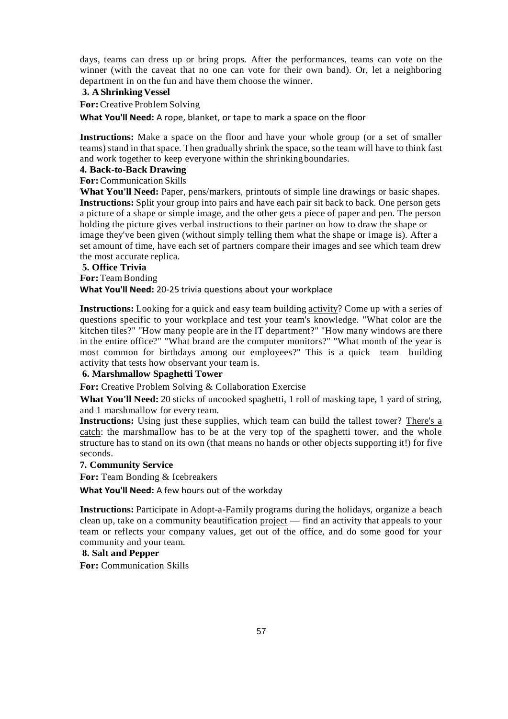days, teams can dress up or bring props. After the performances, teams can vote on the winner (with the caveat that no one can vote for their own band). Or, let a neighboring department in on the fun and have them choose the winner.

# **3. A ShrinkingVessel**

**For:**Creative Problem Solving

**What You'll Need:** A rope, blanket, or tape to mark a space on the floor

**Instructions:** Make a space on the floor and have your whole group (or a set of smaller teams) stand in that space. Then gradually shrink the space, so the team will have to think fast and work together to keep everyone within the shrinking boundaries.

# **4. Back-to-Back Drawing**

### **For:**Communication Skills

What You'll Need: Paper, pens/markers, printouts of simple line drawings or basic shapes. **Instructions:** Split your group into pairs and have each pair sit back to back. One person gets a picture of a shape or simple image, and the other gets a piece of paper and pen. The person holding the picture gives verbal instructions to their partner on how to draw the shape or image they've been given (without simply telling them what the shape or image is). After a set amount of time, have each set of partners compare their images and see which team drew the most accurate replica.

# **5. Office Trivia**

**For:**Team Bonding

**What You'll Need:** 20-25 trivia questions about your workplace

**Instructions:** Looking for a quick and easy team building activity? Come up with a series of questions specific to your workplace and test your team's knowledge. "What color are the kitchen tiles?" "How many people are in the IT department?" ["How](https://www.wrike.com/project-management-guide/faq/what-is-an-activity-in-project-management/) many windows are there in the entire office?" "What brand are the computer monitors?" "What month of the year is most common for birthdays among our employees?" This is a quick team building activity that tests how observant your team is.

# **6. Marshmallow Spaghetti Tower**

For: Creative Problem Solving & Collaboration Exercise

**What You'll Need:** 20 sticks of uncooked spaghetti, 1 roll of masking tape, 1 yard of string, and 1 marshmallow for every team.

**Instructions:** Using just these supplies, which team can build the tallest tower? There's a catch: the marshmallow has to be at the very top of the spaghetti tower, and the whole structure has to stand on its own (that means no hands or other objects supporting it!) for five seconds.

# **7. Community Service**

**For:** Team Bonding & Icebreakers

**What You'll Need:** A few hours out of the workday

**Instructions:** Participate in Adopt-a-Family programs during the holidays, organize a beach clean up, take on a community beautification project — find an activity that appeals to your team or reflects your company values, get out of the office, and do some good for your community and your team.

# **8. Salt and Pepper**

**For:** Communication Skills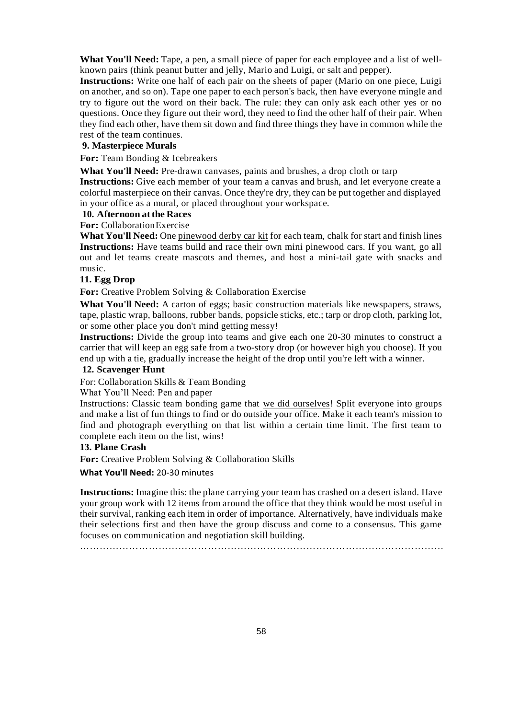**What You'll Need:** Tape, a pen, a small piece of paper for each employee and a list of wellknown pairs (think peanut butter and jelly, Mario and Luigi, or salt and pepper).

**Instructions:** Write one half of each pair on the sheets of paper (Mario on one piece, Luigi on another, and so on). Tape one paper to each person's back, then have everyone mingle and try to figure out the word on their back. The rule: they can only ask each other yes or no questions. Once they figure out their word, they need to find the other half of their pair. When they find each other, have them sit down and find three things they have in common while the rest of the team continues.

### **9. Masterpiece Murals**

**For:** Team Bonding & Icebreakers

**What You'll Need:** Pre-drawn canvases, paints and brushes, a drop cloth or tarp

**Instructions:** Give each member of your team a canvas and brush, and let everyone create a colorful masterpiece on their canvas. Once they're dry, they can be put together and displayed in your office as a mural, or placed throughout your workspace.

### **10. Afternoon atthe Races**

**For:** CollaborationExercise

**What You'll Need:** One pinewood derby car kit for each team, chalk for start and finish lines **Instructions:** Have teams build and race their own mini pinewood cars. If you want, go all out and let teams cr[eate mascots and themes,](http://www.scoutstuff.org/bsa/crafts/pinewood-derby/vehicle/official-pinewood-derby-car-kit.html) and host a mini-tail gate with snacks and music.

### **11. Egg Drop**

**For:** Creative Problem Solving & Collaboration Exercise

What You'll Need: A carton of eggs; basic construction materials like newspapers, straws, tape, plastic wrap, balloons, rubber bands, popsicle sticks, etc.; tarp or drop cloth, parking lot, or some other place you don't mind getting messy!

**Instructions:** Divide the group into teams and give each one 20-30 minutes to construct a carrier that will keep an egg safe from a two-story drop (or however high you choose). If you end up with a tie, gradually increase the height of the drop until you're left with a winner.

# **12. Scavenger Hunt**

For: Collaboration Skills & Team Bonding

What You'll Need: Pen and paper

Instructions: Classic team bonding game that we did ourselves! Split everyone into groups and make a list of fun things to find or do outside your office. Make it each team's mission to find and photograph everything on that list within a certain time limit. The first team to complete each item on the list, wins!

# **13. Plane Crash**

**For:** Creative Problem Solving & Collaboration Skills

**What You'll Need:** 20-30 minutes

**Instructions:** Imagine this: the plane carrying your team has crashed on a desert island. Have your group work with 12 items from around the office that they think would be most useful in their survival, ranking each item in order of importance. Alternatively, have individuals make their selections first and then have the group discuss and come to a consensus. This game focuses on communication and negotiation skill building.

…………………………………………………………………………………………………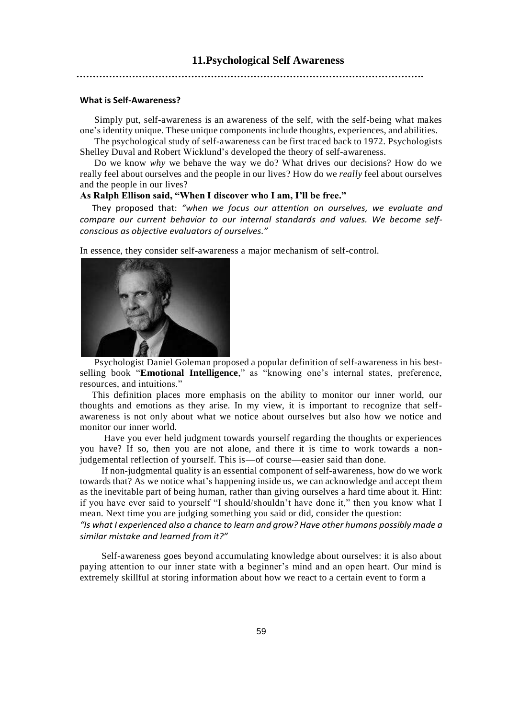**…………………………………………………………………………………………….**

#### **What is Self-Awareness?**

Simply put, self-awareness is an awareness of the self, with the self-being what makes one's identity unique. These unique components include thoughts, experiences, and abilities.

The psychological study of self-awareness can be first traced back to 1972. Psychologists Shelley Duval and Robert Wicklund's developed the theory of self-awareness.

Do we know *why* we behave the way we do? What drives our decisions? How do we really feel about ourselves and the people in our lives? How do we *really* feel about ourselves and the people in our lives?

# **As Ralph Ellison said, "When I discover who I am, I'll be free."**

They proposed that: *"when we focus our attention on ourselves, we evaluate and compare our current behavior to our internal standards and values. We become selfconscious as objective evaluators of ourselves."*

In essence, they consider self-awareness a major mechanism of self-control.



Psychologist Daniel Goleman proposed a popular definition of self-awareness in his bestselling book "**Emotional Intelligence**," as "knowing one's internal states, preference, resources, and intuitions."

This def[inition places more emphasi](https://positivepsychology.com/emotional-intelligence-eq/)s on the ability to monitor our inner world, our thoughts and emotions as they arise. In my view, it is important to recognize that selfawareness is not only about what we notice about ourselves but also how we notice and monitor our inner world.

Have you ever held judgment towards yourself regarding the thoughts or experiences you have? If so, then you are not alone, and there it is time to work towards a nonjudgemental reflection of yourself. This is—of course—easier said than done.

If non-judgmental quality is an essential component of self-awareness, how do we work towards that? As we notice what's happening inside us, we can acknowledge and accept them as the inevitable part of being human, rather than giving ourselves a hard time about it. Hint: if you have ever said to yourself "I should/shouldn't have done it," then you know what I mean. Next time you are judging something you said or did, consider the question:

*"Is what I experienced also a chance to learn and grow? Have other humans possibly made a similar mistake and learned from it?"*

Self-awareness goes beyond accumulating knowledge about ourselves: it is also about paying attention to our inner state with a beginner's mind and an open heart. Our mind is extremely skillful at storing information about how we react to a certain event to form a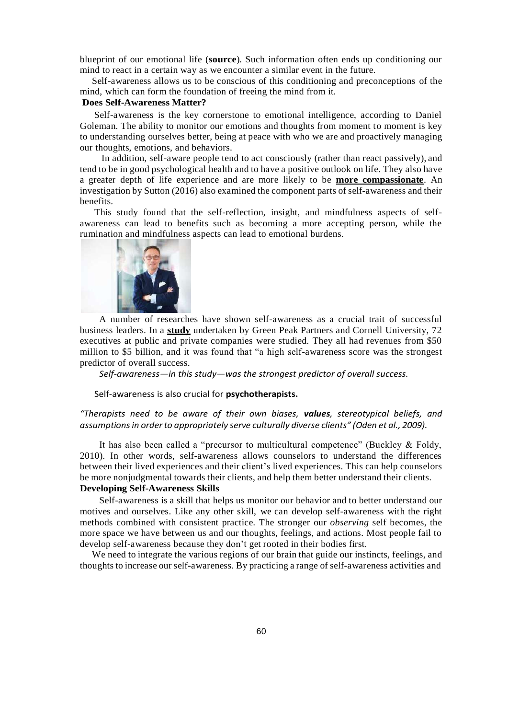blueprint of our emotional life (**source**). Such information often ends up conditioning our mind to react in a certain way as we encounter a similar event in the future.

Self-awareness allows us to be conscious of this conditioning and preconceptions of the mind, which can form the foundation of freeing the mind from it.

### **Does Self-Awareness Matter?**

Self-awareness is the key cornerstone to emotional intelligence, according to Daniel Goleman. The ability to monitor our emotions and thoughts from moment to moment is key to understanding ourselves better, being at peace with who we are and proactively managing our thoughts, emotions, and behaviors.

In addition, self-aware people tend to act consciously (rather than react passively), and tend to be in good psychological health and to have a positive outlook on life. They also have a greater depth of life experience and are more likely to be **more compassionate**. An investigation by Sutton (2016) also examined the component parts of [self-awareness](http://www.tandfonline.com/action/cookieAbsent) and their benefits.

This study found that the self-reflection, insight, and mindfulness aspects of selfawareness can lead to benefits such as becoming a more accepting person, while the rumination and mindfulness aspects can lead to emotional burdens.



A number of researches have shown self-awareness as a crucial trait of successful business leaders. In a **study** undertaken by Green Peak Partners and Cornell University, 72 executives at public and private companies were studied. They all had revenues from \$50 million to \$5 billio[n, and](http://www.amanet.org/training/articles/New-Study-Shows-Nice-Guys-Finish-First.aspx?pcode=XCRP) it was found that "a high self-awareness score was the strongest predictor of overall success.

*Self-awareness—in this study—was the strongest predictor of overall success.*

Self-awareness is also crucial for **psychotherapists.**

*"Therapists need to be aware of their own biases, values, stereotypical beliefs, and assumptionsin orderto appropriately serve [culturally](https://positivepsychology.com/psychotherapy/) diverse clients" (Oden et al., 2009).*

It has also been called a "precursor to multicultural competence" (Buckley & Foldy, 2010). In other words, self-awareness allows counselors to understand the differences between their lived experiences and their client's lived experiences. This can help counselors be more nonjudgmental towards their clients, and help them better understand their clients. **Developing Self-Awareness Skills**

Self-awareness is a skill that helps us monitor our behavior and to better understand our motives and ourselves. Like any other skill, we can develop self-awareness with the right methods combined with consistent practice. The stronger our *observing* self becomes, the more space we have between us and our thoughts, feelings, and actions. Most people fail to develop self-awareness because they don't get rooted in their bodies first.

We need to integrate the various regions of our brain that guide our instincts, feelings, and thoughts to increase our self-awareness. By practicing a range of self-awareness activities and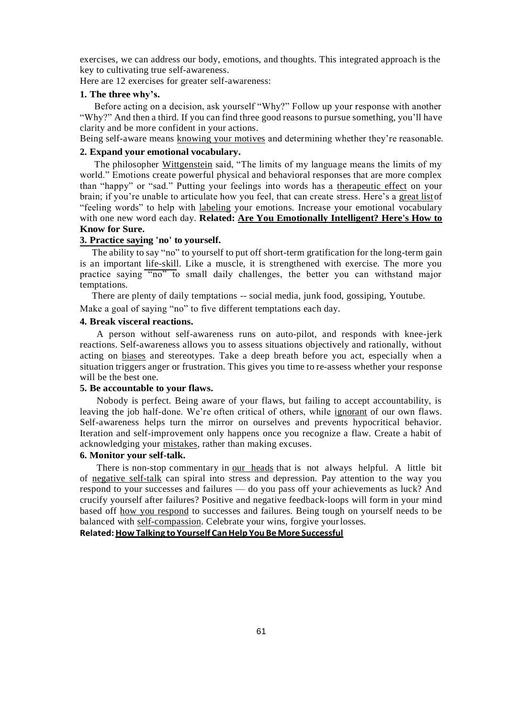exercises, we can address our body, emotions, and thoughts. This integrated approach is the key to cultivating true self-awareness.

Here are 12 exercises for greater self-awareness:

### **1. The three why's.**

Before acting on a decision, ask yourself "Why?" Follow up your response with another "Why?" And then a third. If you can find three good reasons to pursue something, you'll have clarity and be more confident in your actions.

Being self-aware means knowing your motives and determining whether they're reasonable.

# **2. Expand your emotional [vocabulary.](https://www.psychologytoday.com/blog/conceptual-revolution/201410/why-ask-why)**

The philosopher Wittgenstein said, "The limits of my language means the limits of my world." Emotions [create powerfu](http://oregonstate.edu/instruct/phl201/modules/Philosophers/Wittgenstein/wittgenstein.html)l physical and behavioral responses that are more complex than "happy" or "sad." Putting your feelings into words has a therapeutic effect on your brain; if you're unable to articulate how you feel, that can create [stress. Here's a](http://newsroom.ucla.edu/releases/Putting-Feelings-Into-Words-Produces-8047) great listof "feeling words" to help with labeling your emotions. Increase your emotional [vocabulary](http://www.psychpage.com/learning/library/assess/feelings.html) with one new word each day. **Related: Are You Emotionally Intelligent? Here's How to Know for Sure.**

### **3. Practice saying 'no' to yourself.**

The ability to say "no" to yourself to put off short-term gratification for the long-term gain is an important life-skill. Like a muscle, it is strengthened with exercise. The more you practice saying "no" to small daily challenges, the better you can withstand major temptations.

There are plenty of daily temptations -- social media, junk food, gossiping, Youtube. Make a goal of saying "no" to five different temptations each day.

### **4. Break visceral reactions.**

A person without self-awareness runs on auto-pilot, and responds with knee-jerk reactions. Self-awareness allows you to assess situations objectively and rationally, without acting on biases and stereotypes. Take a deep breath before you act, especially when a situation triggers anger or frustration. This gives you time to re-assess whether your response will be [the b](http://www.spring.org.uk/2010/01/stereotypes-why-we-act-without-thinking.php)est one.

### **5. Be accountable to your flaws.**

Nobody is perfect. Being aware of your flaws, but failing to accept accountability, is leaving the job half-done. We're often critical of others, while ignorant of our own flaws. Self-awareness helps turn the mirror on ourselves and prevents hypocritical behavior. Iteration and self-improvement only happens once you recognize a flaw. Create a habit of acknowledging your mistakes, rather than making excuses.

### **6. Monitor your self-talk.**

There is non-stop commentary in our heads that is not always helpful. A little bit of negative self-talk [can sp](https://hbr.org/2015/06/be-a-leader-who-can-admit-mistakes)iral into stress and depression. Pay attention to the way you respond to your successes and failures — do you pass off your achievements as luck? And crucify yourself after failures? Positive [and negative](http://www.theguardian.com/science/blog/2014/aug/21/science-little-voice-head-hearing-voices-inner-speech) feedback-loops will form in your mind [based off how you](http://www.npr.org/sections/health-shots/2014/10/07/353292408/why-saying-is-believing-the-science-of-self-talk) respond to successes and failures. Being tough on yourself needs to be balanced with self-compassion. Celebrate your wins, forgive yourlosses.

**Related:How Talking toYourself CanHelp You Be More Successful**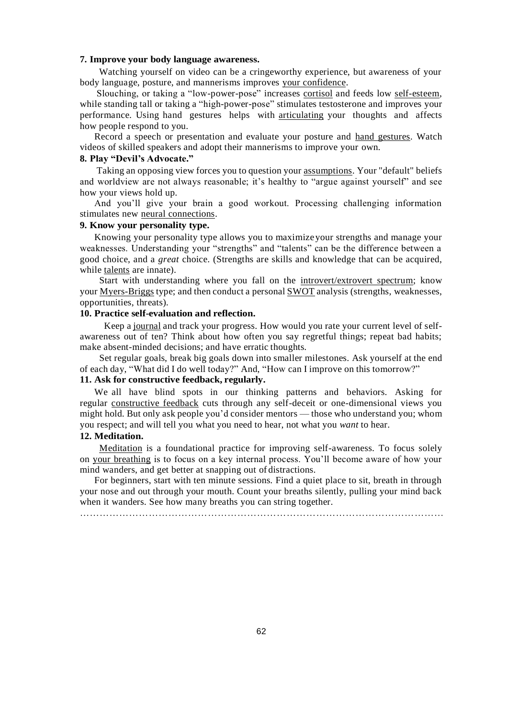#### **7. Improve your body language awareness.**

Watching yourself on video can be a cringeworthy experience, but awareness of your body language, posture, and mannerisms improves your confidence.

Slouching, or taking a "low-power-pose" [increases cortisol](https://www.ted.com/talks/amy_cuddy_your_body_language_shapes_who_you_are?language=en) and feeds low self-esteem, while standing tall or taking a "high-power-pose" stimulates [tes](https://www.youtube.com/watch?v=zmR2A9TnIso)tosterone and imp[roves](http://bigthink.com/neurobonkers/how-your-body-language-alters-your-state-of-mind) your performance. Using hand gestures helps with articulating your thoughts and affects how people respond to you.

Record a speech or presentation and evaluate your posture and hand gestures. Watch videos of skilled speakers and adopt their mannerisms to improve your [own.](https://www.youtube.com/watch?v=ZZZ7k8cMA-4)

### **8. Play "Devil's Advocate."**

Taking an opposing view forces you to question your assumptions. Your "default" beliefs and worldview are not always reasonable; it's healthy [to "argue aga](https://hbr.org/2014/10/identifying-the-biases-behind-your-bad-decisions)inst yourself" and see how your views hold up.

And you'll give your brain a good workout. Processing challenging information stimulates new neural connections.

### **9. Know your personality type.**

Knowing your personality type allows you to maximize your strengths and manage your weaknesses. Understanding your "strengths" and "talents" can be the difference between a good choice, and a *great* choice. (Strengths are skills and knowledge that can be acquired, while talents are innate).

Start with understanding where you fall on the introvert/extrovert spectrum; know your [Myer](http://strengths.gallup.com/help/general/125543/difference-talent-strength.aspx)s-Briggs type; and then conduct a personal SWOT analysis (strengths, weaknesses, opportunities, threats).

# **10. [Practice self-](http://www.25quiz.com/)evaluation and reflection.**

Keep a journal and track your progress. How would you rate your current level of selfawareness out of ten? Think about how often you say regretful things; repeat bad habits; make absen[t-minde](http://theutopianlife.com/2015/02/09/10-surprising-benefits-youll-get-journaling/)d decisions; and have erratic thoughts.

Set regular goals, break big goals down into smaller milestones. Ask yourself at the end of each day, "What did I do well today?" And, "How can I improve on this tomorrow?"

### **11. Ask for constructive feedback, regularly.**

We all have blind spots in our thinking patterns and behaviors. Asking for regular constructive feedback cuts through any self-deceit or one-dimensional views you might hold. But only ask people you'd consider mentors — those who understand you; whom you respect; and will tell you what you need to hear, not what you *want* to hear.

### **12. Meditation.**

Meditation is a foundational practice for improving self-awareness. To focus solely on your breathing is to focus on a key internal process. You'll become aware of how your mind wanders, and get better at snapping out of distractions.

[For begi](http://news.harvard.edu/gazette/story/2011/01/eight-weeks-to-a-better-brain/)nners, start with ten minute sessions. Find a quiet place to sit, breath in through [your nose and o](http://theutopianlife.com/2015/12/16/4-breathing-exercises-to-think-perform-sleep-better/)ut through your mouth. Count your breaths silently, pulling your mind back when it wanders. See how many breaths you can string together.

…………………………………………………………………………………………………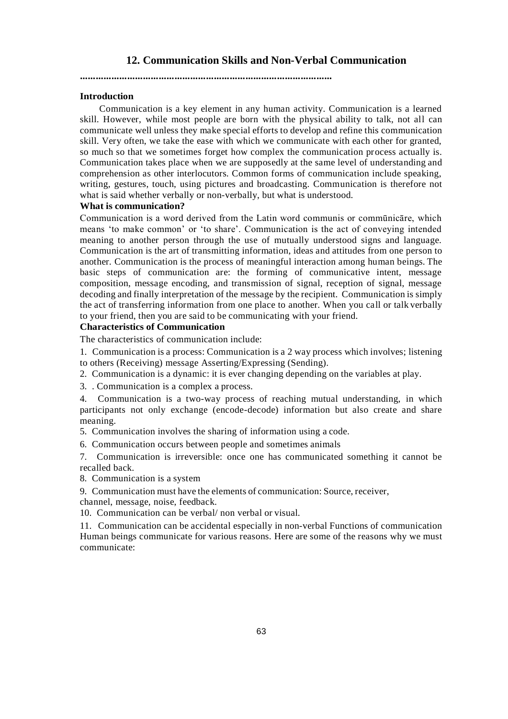# **12. Communication Skills and Non-Verbal Communication**

**……………………………………………………………………………………**

#### **Introduction**

Communication is a key element in any human activity. Communication is a learned skill. However, while most people are born with the physical ability to talk, not all can communicate well unless they make special efforts to develop and refine this communication skill. Very often, we take the ease with which we communicate with each other for granted, so much so that we sometimes forget how complex the communication process actually is. Communication takes place when we are supposedly at the same level of understanding and comprehension as other interlocutors. Common forms of communication include speaking, writing, gestures, touch, using pictures and broadcasting. Communication is therefore not what is said whether verbally or non-verbally, but what is understood.

#### **What is communication?**

Communication is a word derived from the Latin word communis or commūnicāre, which means 'to make common' or 'to share'. Communication is the act of conveying intended meaning to another person through the use of mutually understood signs and language. Communication is the art of transmitting information, ideas and attitudes from one person to another. Communication is the process of meaningful interaction among human beings. The basic steps of communication are: the forming of communicative intent, message composition, message encoding, and transmission of signal, reception of signal, message decoding and finally interpretation of the message by the recipient. Communication is simply the act of transferring information from one place to another. When you call or talk verbally to your friend, then you are said to be communicating with your friend.

### **Characteristics of Communication**

The characteristics of communication include:

1. Communication is a process: Communication is a 2 way process which involves; listening to others (Receiving) message Asserting/Expressing (Sending).

2. Communication is a dynamic: it is ever changing depending on the variables at play.

3. . Communication is a complex a process.

4. Communication is a two-way process of reaching mutual understanding, in which participants not only exchange (encode-decode) information but also create and share meaning.

5. Communication involves the sharing of information using a code.

6. Communication occurs between people and sometimes animals

7. Communication is irreversible: once one has communicated something it cannot be recalled back.

8. Communication is a system

9. Communication must have the elements of communication: Source, receiver,

channel, message, noise, feedback.

10. Communication can be verbal/ non verbal or visual.

11. Communication can be accidental especially in non-verbal Functions of communication Human beings communicate for various reasons. Here are some of the reasons why we must communicate: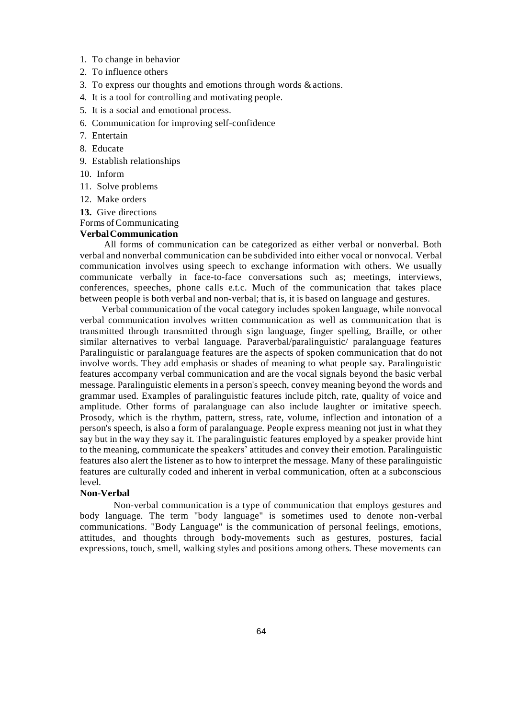- 1. To change in behavior
- 2. To influence others
- 3. To express our thoughts and emotions through words  $&$  actions.
- 4. It is a tool for controlling and motivating people.
- 5. It is a social and emotional process.
- 6. Communication for improving self-confidence
- 7. Entertain
- 8. Educate
- 9. Establish relationships
- 10. Inform
- 11. Solve problems
- 12. Make orders
- **13.** Give directions
- Forms ofCommunicating

#### **VerbalCommunication**

All forms of communication can be categorized as either verbal or nonverbal. Both verbal and nonverbal communication can be subdivided into either vocal or nonvocal. Verbal communication involves using speech to exchange information with others. We usually communicate verbally in face-to-face conversations such as; meetings, interviews, conferences, speeches, phone calls e.t.c. Much of the communication that takes place between people is both verbal and non-verbal; that is, it is based on language and gestures.

Verbal communication of the vocal category includes spoken language, while nonvocal verbal communication involves written communication as well as communication that is transmitted through transmitted through sign language, finger spelling, Braille, or other similar alternatives to verbal language. Paraverbal/paralinguistic/ paralanguage features Paralinguistic or paralanguage features are the aspects of spoken communication that do not involve words. They add emphasis or shades of meaning to what people say. Paralinguistic features accompany verbal communication and are the vocal signals beyond the basic verbal message. Paralinguistic elements in a person's speech, convey meaning beyond the words and grammar used. Examples of paralinguistic features include pitch, rate, quality of voice and amplitude. Other forms of paralanguage can also include laughter or imitative speech. Prosody, which is the rhythm, pattern, stress, rate, volume, inflection and intonation of a person's speech, is also a form of paralanguage. People express meaning not just in what they say but in the way they say it. The paralinguistic features employed by a speaker provide hint to the meaning, communicate the speakers' attitudes and convey their emotion. Paralinguistic features also alert the listener as to how to interpret the message. Many of these paralinguistic features are culturally coded and inherent in verbal communication, often at a subconscious level.

# **Non-Verbal**

Non-verbal communication is a type of communication that employs gestures and body language. The term "body language" is sometimes used to denote non-verbal communications. "Body Language" is the communication of personal feelings, emotions, attitudes, and thoughts through body-movements such as gestures, postures, facial expressions, touch, smell, walking styles and positions among others. These movements can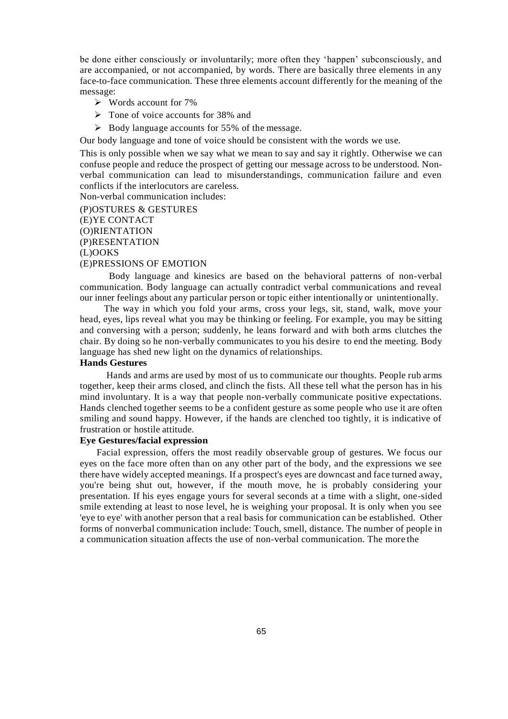be done either consciously or involuntarily; more often they 'happen' subconsciously, and are accompanied, or not accompanied, by words. There are basically three elements in any face-to-face communication. These three elements account differently for the meaning of the message:

- Words account for 7%
- $\triangleright$  Tone of voice accounts for 38% and
- $\triangleright$  Body language accounts for 55% of the message.

Our body language and tone of voice should be consistent with the words we use.

This is only possible when we say what we mean to say and say it rightly. Otherwise we can confuse people and reduce the prospect of getting our message across to be understood. Nonverbal communication can lead to misunderstandings, communication failure and even conflicts if the interlocutors are careless.

Non-verbal communication includes:

(P)OSTURES & GESTURES (E)YE CONTACT (O)RIENTATION (P)RESENTATION (L)OOKS (E)PRESSIONS OF EMOTION

Body language and kinesics are based on the behavioral patterns of non-verbal communication. Body language can actually contradict verbal communications and reveal our inner feelings about any particular person or topic either intentionally or unintentionally.

The way in which you fold your arms, cross your legs, sit, stand, walk, move your head, eyes, lips reveal what you may be thinking or feeling. For example, you may be sitting and conversing with a person; suddenly, he leans forward and with both arms clutches the chair. By doing so he non-verbally communicates to you his desire to end the meeting. Body language has shed new light on the dynamics of relationships.

# **Hands Gestures**

Hands and arms are used by most of us to communicate our thoughts. People rub arms together, keep their arms closed, and clinch the fists. All these tell what the person has in his mind involuntary. It is a way that people non-verbally communicate positive expectations. Hands clenched together seems to be a confident gesture as some people who use it are often smiling and sound happy. However, if the hands are clenched too tightly, it is indicative of frustration or hostile attitude.

### **Eye Gestures/facial expression**

Facial expression, offers the most readily observable group of gestures. We focus our eyes on the face more often than on any other part of the body, and the expressions we see there have widely accepted meanings. If a prospect's eyes are downcast and face turned away, you're being shut out, however, if the mouth move, he is probably considering your presentation. If his eyes engage yours for several seconds at a time with a slight, one-sided smile extending at least to nose level, he is weighing your proposal. It is only when you see 'eye to eye' with another person that a real basis for communication can be established. Other forms of nonverbal communication include: Touch, smell, distance. The number of people in a communication situation affects the use of non-verbal communication. The more the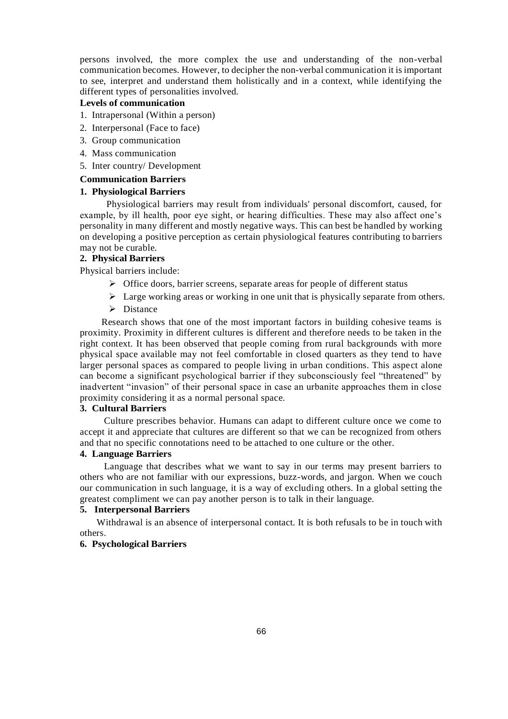persons involved, the more complex the use and understanding of the non-verbal communication becomes. However, to decipher the non-verbal communication it is important to see, interpret and understand them holistically and in a context, while identifying the different types of personalities involved.

### **Levels of communication**

- 1. Intrapersonal (Within a person)
- 2. Interpersonal (Face to face)
- 3. Group communication
- 4. Mass communication
- 5. Inter country/ Development

### **Communication Barriers**

# **1. Physiological Barriers**

Physiological barriers may result from individuals' personal discomfort, caused, for example, by ill health, poor eye sight, or hearing difficulties. These may also affect one's personality in many different and mostly negative ways. This can best be handled by working on developing a positive perception as certain physiological features contributing to barriers may not be curable.

# **2. Physical Barriers**

Physical barriers include:

- $\triangleright$  Office doors, barrier screens, separate areas for people of different status
- $\triangleright$  Large working areas or working in one unit that is physically separate from others.
- $\triangleright$  Distance

Research shows that one of the most important factors in building cohesive teams is proximity. Proximity in different cultures is different and therefore needs to be taken in the right context. It has been observed that people coming from rural backgrounds with more physical space available may not feel comfortable in closed quarters as they tend to have larger personal spaces as compared to people living in urban conditions. This aspect alone can become a significant psychological barrier if they subconsciously feel "threatened" by inadvertent "invasion" of their personal space in case an urbanite approaches them in close proximity considering it as a normal personal space.

# **3. Cultural Barriers**

Culture prescribes behavior. Humans can adapt to different culture once we come to accept it and appreciate that cultures are different so that we can be recognized from others and that no specific connotations need to be attached to one culture or the other.

# **4. Language Barriers**

Language that describes what we want to say in our terms may present barriers to others who are not familiar with our expressions, buzz-words, and jargon. When we couch our communication in such language, it is a way of excluding others. In a global setting the greatest compliment we can pay another person is to talk in their language.

### **5. Interpersonal Barriers**

Withdrawal is an absence of interpersonal contact. It is both refusals to be in touch with others.

### **6. Psychological Barriers**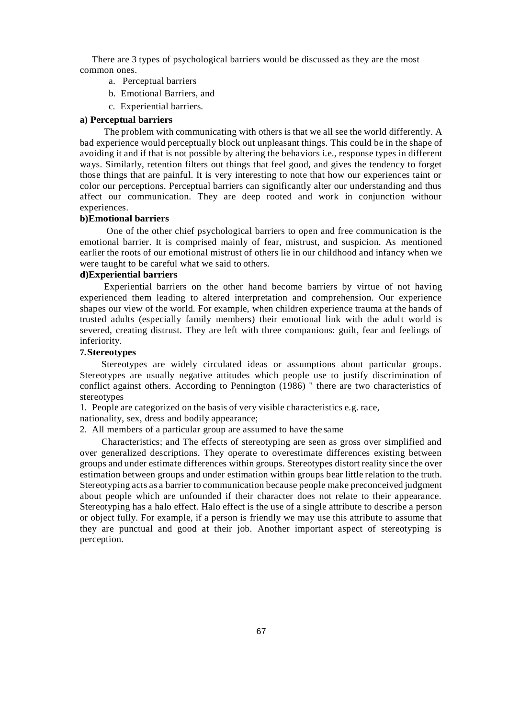There are 3 types of psychological barriers would be discussed as they are the most common ones.

- a. Perceptual barriers
- b. Emotional Barriers, and
- c. Experiential barriers.

### **a) Perceptual barriers**

The problem with communicating with others is that we all see the world differently. A bad experience would perceptually block out unpleasant things. This could be in the shape of avoiding it and if that is not possible by altering the behaviors i.e., response types in different ways. Similarly, retention filters out things that feel good, and gives the tendency to forget those things that are painful. It is very interesting to note that how our experiences taint or color our perceptions. Perceptual barriers can significantly alter our understanding and thus affect our communication. They are deep rooted and work in conjunction withour experiences.

### **b)Emotional barriers**

One of the other chief psychological barriers to open and free communication is the emotional barrier. It is comprised mainly of fear, mistrust, and suspicion. As mentioned earlier the roots of our emotional mistrust of others lie in our childhood and infancy when we were taught to be careful what we said to others.

# **d)Experiential barriers**

Experiential barriers on the other hand become barriers by virtue of not having experienced them leading to altered interpretation and comprehension. Our experience shapes our view of the world. For example, when children experience trauma at the hands of trusted adults (especially family members) their emotional link with the adult world is severed, creating distrust. They are left with three companions: guilt, fear and feelings of inferiority.

### **7.Stereotypes**

Stereotypes are widely circulated ideas or assumptions about particular groups. Stereotypes are usually negative attitudes which people use to justify discrimination of conflict against others. According to Pennington (1986) " there are two characteristics of stereotypes

1. People are categorized on the basis of very visible characteristics e.g. race,

nationality, sex, dress and bodily appearance;

2. All members of a particular group are assumed to have the same

Characteristics; and The effects of stereotyping are seen as gross over simplified and over generalized descriptions. They operate to overestimate differences existing between groups and under estimate differences within groups. Stereotypes distort reality since the over estimation between groups and under estimation within groups bear little relation to the truth. Stereotyping acts as a barrier to communication because people make preconceived judgment about people which are unfounded if their character does not relate to their appearance. Stereotyping has a halo effect. Halo effect is the use of a single attribute to describe a person or object fully. For example, if a person is friendly we may use this attribute to assume that they are punctual and good at their job. Another important aspect of stereotyping is perception.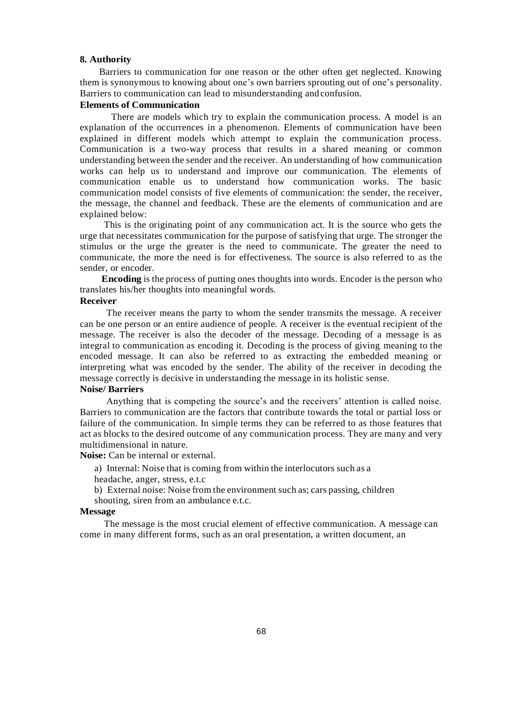### **8. Authority**

Barriers to communication for one reason or the other often get neglected. Knowing them is synonymous to knowing about one's own barriers sprouting out of one's personality. Barriers to communication can lead to misunderstanding and confusion.

# **Elements of Communication**

There are models which try to explain the communication process. A model is an explanation of the occurrences in a phenomenon. Elements of communication have been explained in different models which attempt to explain the communication process. Communication is a two-way process that results in a shared meaning or common understanding between the sender and the receiver. An understanding of how communication works can help us to understand and improve our communication. The elements of communication enable us to understand how communication works. The basic communication model consists of five elements of communication: the sender, the receiver, the message, the channel and feedback. These are the elements of communication and are explained below:

This is the originating point of any communication act. It is the source who gets the urge that necessitates communication for the purpose of satisfying that urge. The stronger the stimulus or the urge the greater is the need to communicate. The greater the need to communicate, the more the need is for effectiveness. The source is also referred to as the sender, or encoder.

**Encoding** is the process of putting ones thoughts into words. Encoder is the person who translates his/her thoughts into meaningful words.

### **Receiver**

The receiver means the party to whom the sender transmits the message. A receiver can be one person or an entire audience of people. A receiver is the eventual recipient of the message. The receiver is also the decoder of the message. Decoding of a message is as integral to communication as encoding it. Decoding is the process of giving meaning to the encoded message. It can also be referred to as extracting the embedded meaning or interpreting what was encoded by the sender. The ability of the receiver in decoding the message correctly is decisive in understanding the message in its holistic sense.

# **Noise/ Barriers**

Anything that is competing the source's and the receivers' attention is called noise. Barriers to communication are the factors that contribute towards the total or partial loss or failure of the communication. In simple terms they can be referred to as those features that act as blocks to the desired outcome of any communication process. They are many and very multidimensional in nature.

**Noise:** Can be internal or external.

a) Internal: Noise that is coming from within the interlocutors such as a

headache, anger, stress, e.t.c

b) External noise: Noise from the environment such as; cars passing, children shouting, siren from an ambulance e.t.c.

#### **Message**

The message is the most crucial element of effective communication. A message can come in many different forms, such as an oral presentation, a written document, an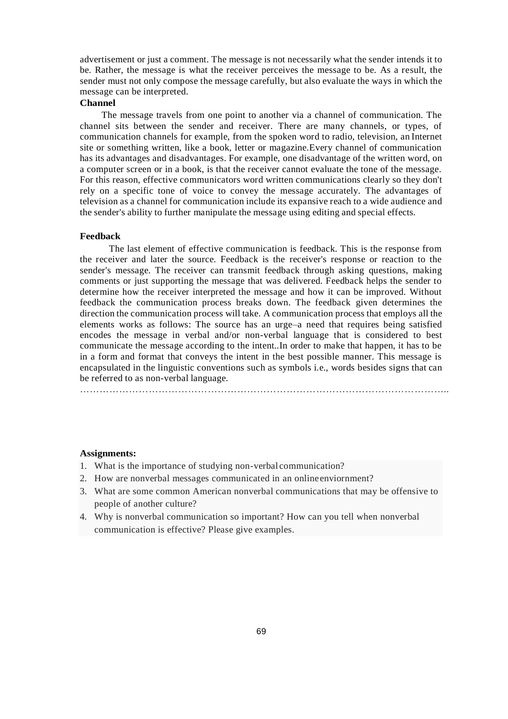advertisement or just a comment. The message is not necessarily what the sender intends it to be. Rather, the message is what the receiver perceives the message to be. As a result, the sender must not only compose the message carefully, but also evaluate the ways in which the message can be interpreted.

### **Channel**

The message travels from one point to another via a channel of communication. The channel sits between the sender and receiver. There are many channels, or types, of communication channels for example, from the spoken word to radio, television, an Internet site or something written, like a book, letter or magazine.Every channel of communication has its advantages and disadvantages. For example, one disadvantage of the written word, on a computer screen or in a book, is that the receiver cannot evaluate the tone of the message. For this reason, effective communicators word written communications clearly so they don't rely on a specific tone of voice to convey the message accurately. The advantages of television as a channel for communication include its expansive reach to a wide audience and the sender's ability to further manipulate the message using editing and special effects.

### **Feedback**

The last element of effective communication is feedback. This is the response from the receiver and later the source. Feedback is the receiver's response or reaction to the sender's message. The receiver can transmit feedback through asking questions, making comments or just supporting the message that was delivered. Feedback helps the sender to determine how the receiver interpreted the message and how it can be improved. Without feedback the communication process breaks down. The feedback given determines the direction the communication process will take. A communication process that employs all the elements works as follows: The source has an urge–a need that requires being satisfied encodes the message in verbal and/or non-verbal language that is considered to best communicate the message according to the intent..In order to make that happen, it has to be in a form and format that conveys the intent in the best possible manner. This message is encapsulated in the linguistic conventions such as symbols i.e., words besides signs that can be referred to as non-verbal language.

…………………………………………………………………………………………………..

### **Assignments:**

- 1. What is the importance of studying non-verbal communication?
- 2. How are nonverbal messages communicated in an onlineenviornment?
- 3. What are some common American nonverbal communications that may be offensive to people of another culture?
- 4. Why is nonverbal communication so important? How can you tell when nonverbal communication is effective? Please give examples.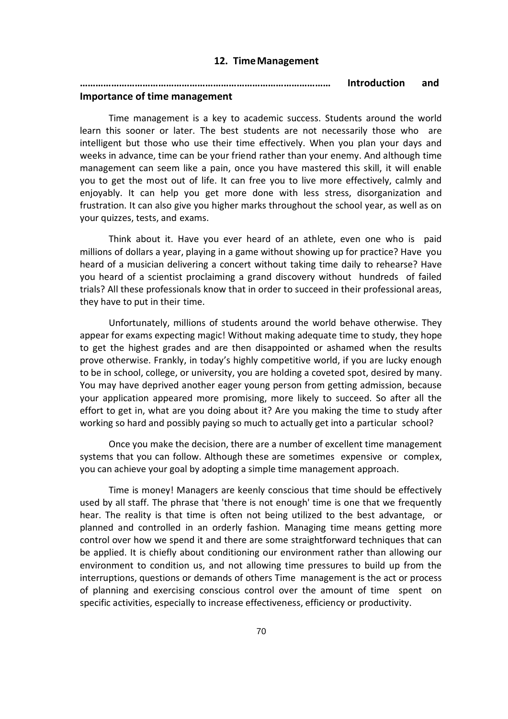#### **12. TimeManagement**

### **…………………………………………………………………………………… Introduction and Importance of time management**

Time management is a key to academic success. Students around the world learn this sooner or later. The best students are not necessarily those who are intelligent but those who use their time effectively. When you plan your days and weeks in advance, time can be your friend rather than your enemy. And although time management can seem like a pain, once you have mastered this skill, it will enable you to get the most out of life. It can free you to live more effectively, calmly and enjoyably. It can help you get more done with less stress, disorganization and frustration. It can also give you higher marks throughout the school year, as well as on your quizzes, tests, and exams.

Think about it. Have you ever heard of an athlete, even one who is paid millions of dollars a year, playing in a game without showing up for practice? Have you heard of a musician delivering a concert without taking time daily to rehearse? Have you heard of a scientist proclaiming a grand discovery without hundreds of failed trials? All these professionals know that in order to succeed in their professional areas, they have to put in their time.

Unfortunately, millions of students around the world behave otherwise. They appear for exams expecting magic! Without making adequate time to study, they hope to get the highest grades and are then disappointed or ashamed when the results prove otherwise. Frankly, in today's highly competitive world, if you are lucky enough to be in school, college, or university, you are holding a coveted spot, desired by many. You may have deprived another eager young person from getting admission, because your application appeared more promising, more likely to succeed. So after all the effort to get in, what are you doing about it? Are you making the time to study after working so hard and possibly paying so much to actually get into a particular school?

Once you make the decision, there are a number of excellent time management systems that you can follow. Although these are sometimes expensive or complex, you can achieve your goal by adopting a simple time management approach.

Time is money! Managers are keenly conscious that time should be effectively used by all staff. The phrase that 'there is not enough' time is one that we frequently hear. The reality is that time is often not being utilized to the best advantage, or planned and controlled in an orderly fashion. Managing time means getting more control over how we spend it and there are some straightforward techniques that can be applied. It is chiefly about conditioning our environment rather than allowing our environment to condition us, and not allowing time pressures to build up from the interruptions, questions or demands of others Time management is the act or process of planning and exercising conscious control over the amount of time spent on specific activities, especially to increase effectiveness, efficiency or productivity.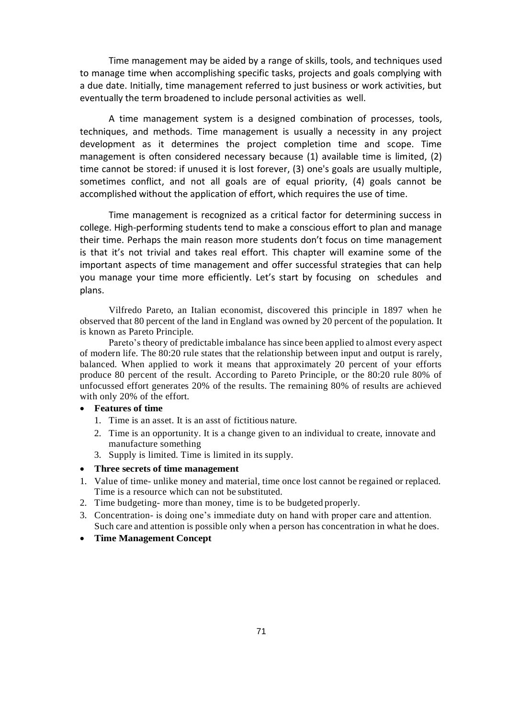Time management may be aided by a range of skills, tools, and techniques used to manage time when accomplishing specific tasks, projects and goals complying with a due date. Initially, time management referred to just business or work activities, but eventually the term broadened to include personal activities as well.

A time management system is a designed combination of processes, tools, techniques, and methods. Time management is usually a necessity in any project development as it determines the project completion time and scope. Time management is often considered necessary because (1) available time is limited, (2) time cannot be stored: if unused it is lost forever, (3) one's goals are usually multiple, sometimes conflict, and not all goals are of equal priority, (4) goals cannot be accomplished without the application of effort, which requires the use of time.

Time management is recognized as a critical factor for determining success in college. High-performing students tend to make a conscious effort to plan and manage their time. Perhaps the main reason more students don't focus on time management is that it's not trivial and takes real effort. This chapter will examine some of the important aspects of time management and offer successful strategies that can help you manage your time more efficiently. Let's start by focusing on schedules and plans.

Vilfredo Pareto, an Italian economist, discovered this principle in 1897 when he observed that 80 percent of the land in England was owned by 20 percent of the population. It is known as Pareto Principle.

Pareto's theory of predictable imbalance has since been applied to almost every aspect of modern life. The 80:20 rule states that the relationship between input and output is rarely, balanced. When applied to work it means that approximately 20 percent of your efforts produce 80 percent of the result. According to Pareto Principle, or the 80:20 rule 80% of unfocussed effort generates 20% of the results. The remaining 80% of results are achieved with only 20% of the effort.

#### **Features of time**

- 1. Time is an asset. It is an asst of fictitious nature.
- 2. Time is an opportunity. It is a change given to an individual to create, innovate and manufacture something
- 3. Supply is limited. Time is limited in its supply.

#### **Three secrets of time management**

- 1. Value of time- unlike money and material, time once lost cannot be regained or replaced. Time is a resource which can not be substituted.
- 2. Time budgeting- more than money, time is to be budgeted properly.
- 3. Concentration- is doing one's immediate duty on hand with proper care and attention. Such care and attention is possible only when a person has concentration in what he does.

#### **Time Management Concept**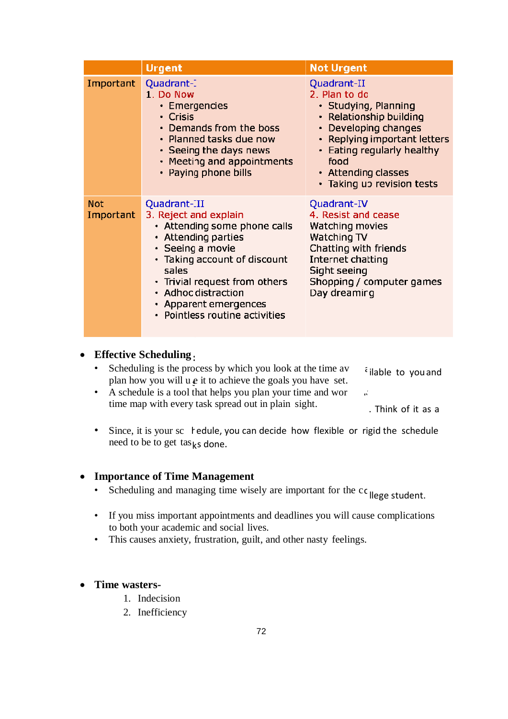|                         | <b>Urgent</b>                                                                                                                                                                                                                                                                | <b>Not Urgent</b>                                                                                                                                                                                                                  |
|-------------------------|------------------------------------------------------------------------------------------------------------------------------------------------------------------------------------------------------------------------------------------------------------------------------|------------------------------------------------------------------------------------------------------------------------------------------------------------------------------------------------------------------------------------|
| Important               | Quadrant-I<br>1. Do Now<br>• Emergencies<br>• Crisis<br>• Demands from the boss<br>• Planned tasks due now<br>• Seeing the days news<br>• Meeting and appointments<br>• Paying phone bills                                                                                   | Quadrant-II<br>2. Plan to do<br>• Studying, Planning<br>• Relationship building<br>• Developing changes<br>• Replying important letters<br>• Eating regularly healthy<br>food<br>• Attending classes<br>• Taking up revision tests |
| <b>Not</b><br>Important | Quadrant-III<br>3. Reject and explain<br>• Attending some phone calls<br>• Attending parties<br>· Seeing a movie<br>• Taking account of discount<br>sales<br>• Trivial request from others<br>• Adhoc distraction<br>• Apparent emergences<br>• Pointless routine activities | Quadrant-IV<br>4. Resist and cease<br><b>Watching movies</b><br>Watching TV<br>Chatting with friends<br>Internet chatting<br>Sight seeing<br>Shopping / computer games<br>Day dreaming                                             |

# **: Effective Scheduling**

| • Scheduling is the process by which you look at the time av              | ilable to you and |
|---------------------------------------------------------------------------|-------------------|
| plan how you will $\mu \varepsilon$ it to achieve the goals you have set. |                   |

• A schedule is a tool that helps you plan your time and wor time map with every task spread out in plain sight.

. Think of it as a

k

h • Since, it is your sc edule, you can decide how flexible or rigid the schedule need to be to get tas<sub>k</sub>s done.

### **Importance of Time Management**

- Scheduling and managing time wisely are important for the cc llege student.
- If you miss important appointments and deadlines you will cause complications to both your academic and social lives.
- This causes anxiety, frustration, guilt, and other nasty feelings.

#### **Time wasters-**

- 1. Indecision
- 2. Inefficiency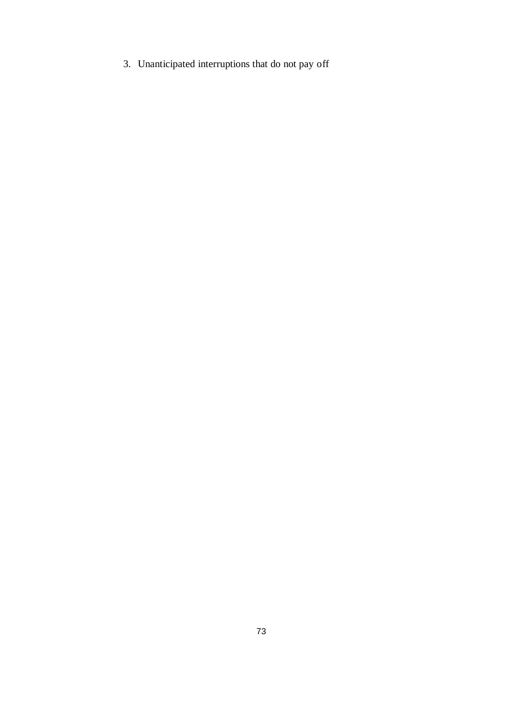3. Unanticipated interruptions that do not pay off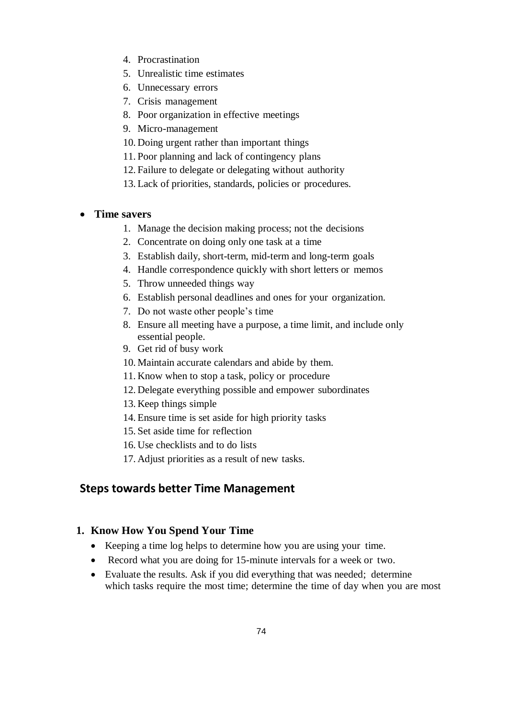- 4. Procrastination
- 5. Unrealistic time estimates
- 6. Unnecessary errors
- 7. Crisis management
- 8. Poor organization in effective meetings
- 9. Micro-management
- 10. Doing urgent rather than important things
- 11. Poor planning and lack of contingency plans
- 12. Failure to delegate or delegating without authority
- 13. Lack of priorities, standards, policies or procedures.

### **Time savers**

- 1. Manage the decision making process; not the decisions
- 2. Concentrate on doing only one task at a time
- 3. Establish daily, short-term, mid-term and long-term goals
- 4. Handle correspondence quickly with short letters or memos
- 5. Throw unneeded things way
- 6. Establish personal deadlines and ones for your organization.
- 7. Do not waste other people's time
- 8. Ensure all meeting have a purpose, a time limit, and include only essential people.
- 9. Get rid of busy work
- 10. Maintain accurate calendars and abide by them.
- 11. Know when to stop a task, policy or procedure
- 12. Delegate everything possible and empower subordinates
- 13. Keep things simple
- 14. Ensure time is set aside for high priority tasks
- 15. Set aside time for reflection
- 16. Use checklists and to do lists
- 17. Adjust priorities as a result of new tasks.

### **Steps towards better Time Management**

### **1. Know How You Spend Your Time**

- Keeping a time log helps to determine how you are using your time.
- Record what you are doing for 15-minute intervals for a week or two.
- Evaluate the results. Ask if you did everything that was needed; determine which tasks require the most time; determine the time of day when you are most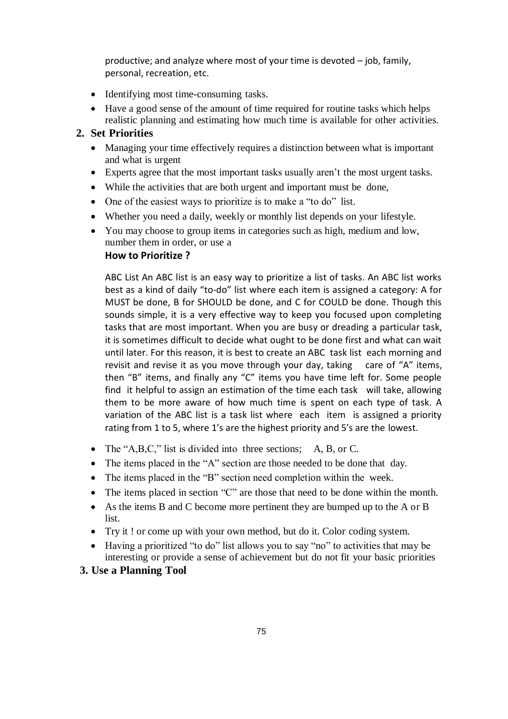productive; and analyze where most of your time is devoted – job, family, personal, recreation, etc.

- Identifying most time-consuming tasks.
- Have a good sense of the amount of time required for routine tasks which helps realistic planning and estimating how much time is available for other activities.

#### **2. Set Priorities**

- Managing your time effectively requires a distinction between what is important and what is urgent
- Experts agree that the most important tasks usually aren't the most urgent tasks.
- While the activities that are both urgent and important must be done,
- One of the easiest ways to prioritize is to make a "to do" list.
- Whether you need a daily, weekly or monthly list depends on your lifestyle.
- You may choose to group items in categories such as high, medium and low, number them in order, or use a

#### **How to Prioritize ?**

ABC List An ABC list is an easy way to prioritize a list of tasks. An ABC list works best as a kind of daily "to-do" list where each item is assigned a category: A for MUST be done, B for SHOULD be done, and C for COULD be done. Though this sounds simple, it is a very effective way to keep you focused upon completing tasks that are most important. When you are busy or dreading a particular task, it is sometimes difficult to decide what ought to be done first and what can wait until later. For this reason, it is best to create an ABC task list each morning and revisit and revise it as you move through your day, taking care of "A" items, then "B" items, and finally any "C" items you have time left for. Some people find it helpful to assign an estimation of the time each task will take, allowing them to be more aware of how much time is spent on each type of task. A variation of the ABC list is a task list where each item is assigned a priority rating from 1 to 5, where 1's are the highest priority and 5's are the lowest.

- The "A,B,C," list is divided into three sections; A, B, or C.
- The items placed in the "A" section are those needed to be done that day.
- The items placed in the "B" section need completion within the week.
- The items placed in section "C" are those that need to be done within the month.
- As the items B and C become more pertinent they are bumped up to the A or B list.
- Try it ! or come up with your own method, but do it. Color coding system.
- Having a prioritized "to do" list allows you to say "no" to activities that may be interesting or provide a sense of achievement but do not fit your basic priorities

#### **3. Use a Planning Tool**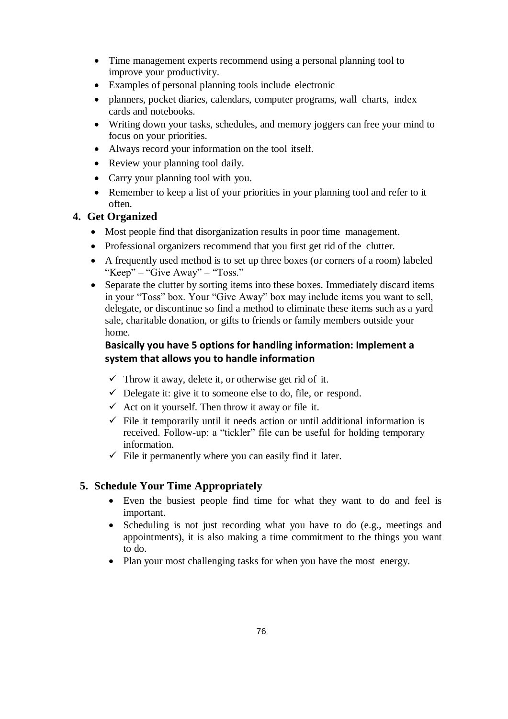- Time management experts recommend using a personal planning tool to improve your productivity.
- Examples of personal planning tools include electronic
- planners, pocket diaries, calendars, computer programs, wall charts, index cards and notebooks.
- Writing down your tasks, schedules, and memory joggers can free your mind to focus on your priorities.
- Always record your information on the tool itself.
- Review your planning tool daily.
- Carry your planning tool with you.
- Remember to keep a list of your priorities in your planning tool and refer to it often.

### **4. Get Organized**

- Most people find that disorganization results in poor time management.
- Professional organizers recommend that you first get rid of the clutter.
- A frequently used method is to set up three boxes (or corners of a room) labeled "Keep" – "Give Away" – "Toss."
- Separate the clutter by sorting items into these boxes. Immediately discard items in your "Toss" box. Your "Give Away" box may include items you want to sell, delegate, or discontinue so find a method to eliminate these items such as a yard sale, charitable donation, or gifts to friends or family members outside your home.

### **Basically you have 5 options for handling information: Implement a system that allows you to handle information**

- $\checkmark$  Throw it away, delete it, or otherwise get rid of it.
- $\checkmark$  Delegate it: give it to someone else to do, file, or respond.
- $\checkmark$  Act on it vourself. Then throw it away or file it.
- $\checkmark$  File it temporarily until it needs action or until additional information is received. Follow-up: a "tickler" file can be useful for holding temporary information.
- $\checkmark$  File it permanently where you can easily find it later.

#### **5. Schedule Your Time Appropriately**

- Even the busiest people find time for what they want to do and feel is important.
- Scheduling is not just recording what you have to do (e.g., meetings and appointments), it is also making a time commitment to the things you want to do.
- Plan your most challenging tasks for when you have the most energy.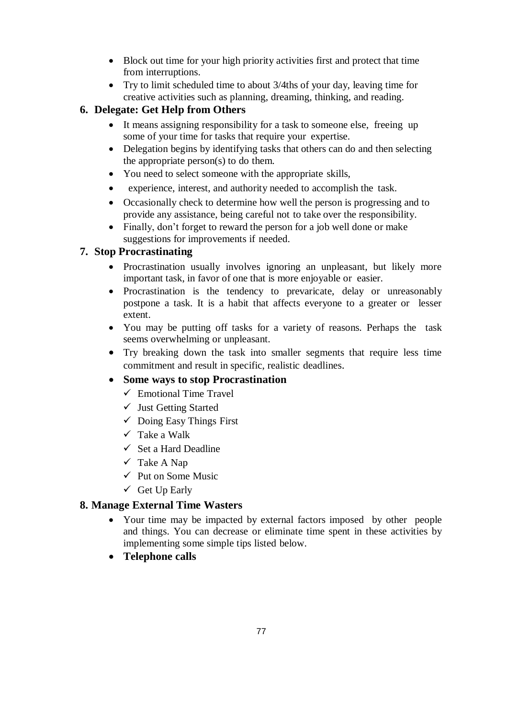- Block out time for your high priority activities first and protect that time from interruptions.
- Try to limit scheduled time to about 3/4ths of your day, leaving time for creative activities such as planning, dreaming, thinking, and reading.

## **6. Delegate: Get Help from Others**

- It means assigning responsibility for a task to someone else, freeing up some of your time for tasks that require your expertise.
- Delegation begins by identifying tasks that others can do and then selecting the appropriate person(s) to do them.
- You need to select someone with the appropriate skills,
- experience, interest, and authority needed to accomplish the task.
- Occasionally check to determine how well the person is progressing and to provide any assistance, being careful not to take over the responsibility.
- Finally, don't forget to reward the person for a job well done or make suggestions for improvements if needed.

### **7. Stop Procrastinating**

- Procrastination usually involves ignoring an unpleasant, but likely more important task, in favor of one that is more enjoyable or easier.
- Procrastination is the tendency to prevaricate, delay or unreasonably postpone a task. It is a habit that affects everyone to a greater or lesser extent.
- You may be putting off tasks for a variety of reasons. Perhaps the task seems overwhelming or unpleasant.
- Try breaking down the task into smaller segments that require less time commitment and result in specific, realistic deadlines.

### **Some ways to stop Procrastination**

- $\checkmark$  Emotional Time Travel
- $\checkmark$  Just Getting Started
- $\checkmark$  Doing Easy Things First
- $\checkmark$  Take a Walk
- $\checkmark$  Set a Hard Deadline
- $\checkmark$  Take A Nap
- $\checkmark$  Put on Some Music
- $\checkmark$  Get Up Early

#### **8. Manage External Time Wasters**

- Your time may be impacted by external factors imposed by other people and things. You can decrease or eliminate time spent in these activities by implementing some simple tips listed below.
- **Telephone calls**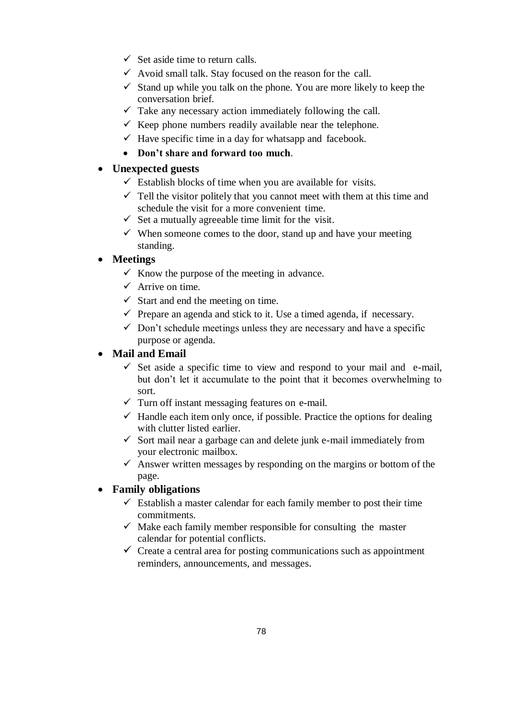- $\checkmark$  Set aside time to return calls.
- $\checkmark$  Avoid small talk. Stay focused on the reason for the call.
- $\checkmark$  Stand up while you talk on the phone. You are more likely to keep the conversation brief.
- $\checkmark$  Take any necessary action immediately following the call.
- $\checkmark$  Keep phone numbers readily available near the telephone.
- $\checkmark$  Have specific time in a day for whatsapp and facebook.
- **Don't share and forward too much**.

# **Unexpected guests**

- $\checkmark$  Establish blocks of time when you are available for visits.
- $\checkmark$  Tell the visitor politely that you cannot meet with them at this time and schedule the visit for a more convenient time.
- $\checkmark$  Set a mutually agreeable time limit for the visit.
- $\checkmark$  When someone comes to the door, stand up and have your meeting standing.

# **Meetings**

- $\checkmark$  Know the purpose of the meeting in advance.
- $\checkmark$  Arrive on time.
- $\checkmark$  Start and end the meeting on time.
- $\checkmark$  Prepare an agenda and stick to it. Use a timed agenda, if necessary.
- $\checkmark$  Don't schedule meetings unless they are necessary and have a specific purpose or agenda.

# **Mail and Email**

- $\checkmark$  Set aside a specific time to view and respond to your mail and e-mail, but don't let it accumulate to the point that it becomes overwhelming to sort.
- $\checkmark$  Turn off instant messaging features on e-mail.
- $\checkmark$  Handle each item only once, if possible. Practice the options for dealing with clutter listed earlier.
- $\checkmark$  Sort mail near a garbage can and delete junk e-mail immediately from your electronic mailbox.
- $\checkmark$  Answer written messages by responding on the margins or bottom of the page.

# **Family obligations**

- $\checkmark$  Establish a master calendar for each family member to post their time commitments.
- $\checkmark$  Make each family member responsible for consulting the master calendar for potential conflicts.
- $\checkmark$  Create a central area for posting communications such as appointment reminders, announcements, and messages.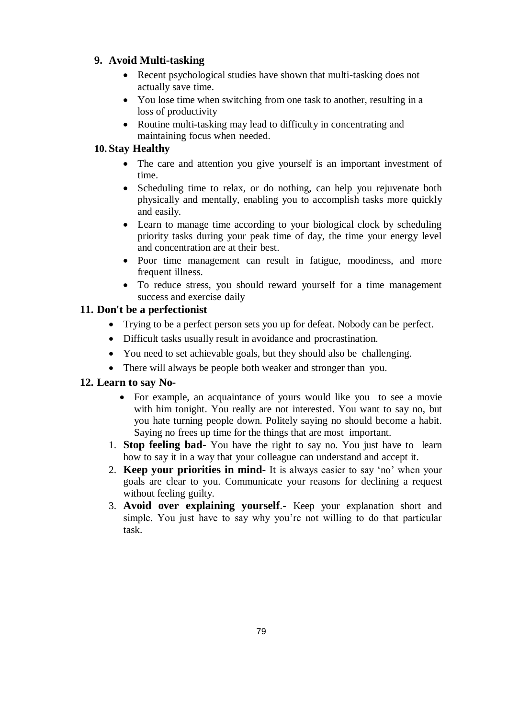## **9. Avoid Multi-tasking**

- Recent psychological studies have shown that multi-tasking does not actually save time.
- You lose time when switching from one task to another, resulting in a loss of productivity
- Routine multi-tasking may lead to difficulty in concentrating and maintaining focus when needed.

### **10. Stay Healthy**

- The care and attention you give yourself is an important investment of time.
- Scheduling time to relax, or do nothing, can help you rejuvenate both physically and mentally, enabling you to accomplish tasks more quickly and easily.
- Learn to manage time according to your biological clock by scheduling priority tasks during your peak time of day, the time your energy level and concentration are at their best.
- Poor time management can result in fatigue, moodiness, and more frequent illness.
- To reduce stress, you should reward yourself for a time management success and exercise daily

### **11. Don't be a perfectionist**

- Trying to be a perfect person sets you up for defeat. Nobody can be perfect.
- Difficult tasks usually result in avoidance and procrastination.
- You need to set achievable goals, but they should also be challenging.
- There will always be people both weaker and stronger than you.

#### **12. Learn to say No-**

- For example, an acquaintance of yours would like you to see a movie with him tonight. You really are not interested. You want to say no, but you hate turning people down. Politely saying no should become a habit. Saying no frees up time for the things that are most important.
- 1. **Stop feeling bad** You have the right to say no. You just have to learn how to say it in a way that your colleague can understand and accept it.
- 2. **Keep your priorities in mind** It is always easier to say 'no' when your goals are clear to you. Communicate your reasons for declining a request without feeling guilty.
- 3. **Avoid over explaining yourself**.- Keep your explanation short and simple. You just have to say why you're not willing to do that particular task.